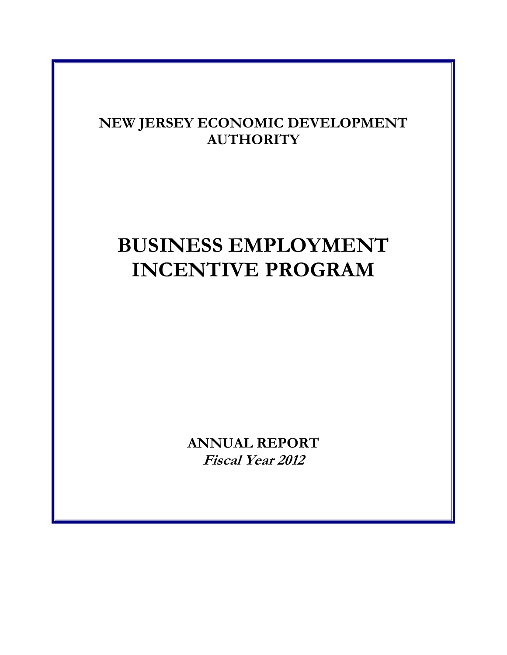# **NEW JERSEY ECONOMIC DEVELOPMENT AUTHORITY**

# **BUSINESS EMPLOYMENT INCENTIVE PROGRAM**

**ANNUAL REPORT Fiscal Year 2012**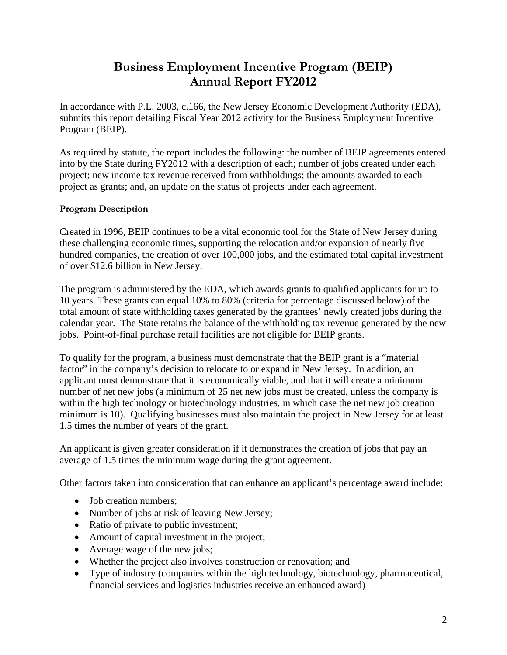## **Business Employment Incentive Program (BEIP) Annual Report FY2012**

In accordance with P.L. 2003, c.166, the New Jersey Economic Development Authority (EDA), submits this report detailing Fiscal Year 2012 activity for the Business Employment Incentive Program (BEIP).

As required by statute, the report includes the following: the number of BEIP agreements entered into by the State during FY2012 with a description of each; number of jobs created under each project; new income tax revenue received from withholdings; the amounts awarded to each project as grants; and, an update on the status of projects under each agreement.

### **Program Description**

Created in 1996, BEIP continues to be a vital economic tool for the State of New Jersey during these challenging economic times, supporting the relocation and/or expansion of nearly five hundred companies, the creation of over 100,000 jobs, and the estimated total capital investment of over \$12.6 billion in New Jersey.

The program is administered by the EDA, which awards grants to qualified applicants for up to 10 years. These grants can equal 10% to 80% (criteria for percentage discussed below) of the total amount of state withholding taxes generated by the grantees' newly created jobs during the calendar year. The State retains the balance of the withholding tax revenue generated by the new jobs. Point-of-final purchase retail facilities are not eligible for BEIP grants.

To qualify for the program, a business must demonstrate that the BEIP grant is a "material factor" in the company's decision to relocate to or expand in New Jersey. In addition, an applicant must demonstrate that it is economically viable, and that it will create a minimum number of net new jobs (a minimum of 25 net new jobs must be created, unless the company is within the high technology or biotechnology industries, in which case the net new job creation minimum is 10). Qualifying businesses must also maintain the project in New Jersey for at least 1.5 times the number of years of the grant.

An applicant is given greater consideration if it demonstrates the creation of jobs that pay an average of 1.5 times the minimum wage during the grant agreement.

Other factors taken into consideration that can enhance an applicant's percentage award include:

- Job creation numbers;
- Number of jobs at risk of leaving New Jersey;
- Ratio of private to public investment;
- Amount of capital investment in the project;
- Average wage of the new jobs;
- Whether the project also involves construction or renovation; and
- Type of industry (companies within the high technology, biotechnology, pharmaceutical, financial services and logistics industries receive an enhanced award)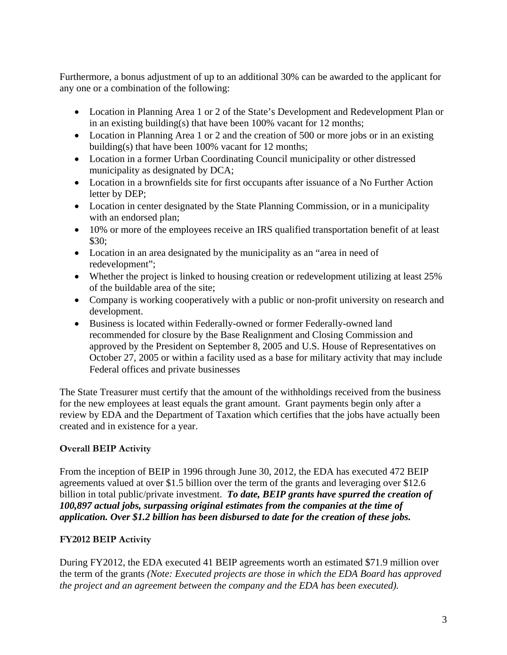Furthermore, a bonus adjustment of up to an additional 30% can be awarded to the applicant for any one or a combination of the following:

- Location in Planning Area 1 or 2 of the State's Development and Redevelopment Plan or in an existing building(s) that have been 100% vacant for 12 months;
- Location in Planning Area 1 or 2 and the creation of 500 or more jobs or in an existing building(s) that have been 100% vacant for 12 months;
- Location in a former Urban Coordinating Council municipality or other distressed municipality as designated by DCA;
- Location in a brownfields site for first occupants after issuance of a No Further Action letter by DEP;
- Location in center designated by the State Planning Commission, or in a municipality with an endorsed plan;
- 10% or more of the employees receive an IRS qualified transportation benefit of at least \$30;
- Location in an area designated by the municipality as an "area in need of redevelopment";
- Whether the project is linked to housing creation or redevelopment utilizing at least 25% of the buildable area of the site;
- Company is working cooperatively with a public or non-profit university on research and development.
- Business is located within Federally-owned or former Federally-owned land recommended for closure by the Base Realignment and Closing Commission and approved by the President on September 8, 2005 and U.S. House of Representatives on October 27, 2005 or within a facility used as a base for military activity that may include Federal offices and private businesses

The State Treasurer must certify that the amount of the withholdings received from the business for the new employees at least equals the grant amount. Grant payments begin only after a review by EDA and the Department of Taxation which certifies that the jobs have actually been created and in existence for a year.

### **Overall BEIP Activity**

From the inception of BEIP in 1996 through June 30, 2012, the EDA has executed 472 BEIP agreements valued at over \$1.5 billion over the term of the grants and leveraging over \$12.6 billion in total public/private investment. *To date, BEIP grants have spurred the creation of 100,897 actual jobs, surpassing original estimates from the companies at the time of application. Over \$1.2 billion has been disbursed to date for the creation of these jobs.*

### **FY2012 BEIP Activity**

During FY2012, the EDA executed 41 BEIP agreements worth an estimated \$71.9 million over the term of the grants *(Note: Executed projects are those in which the EDA Board has approved the project and an agreement between the company and the EDA has been executed).*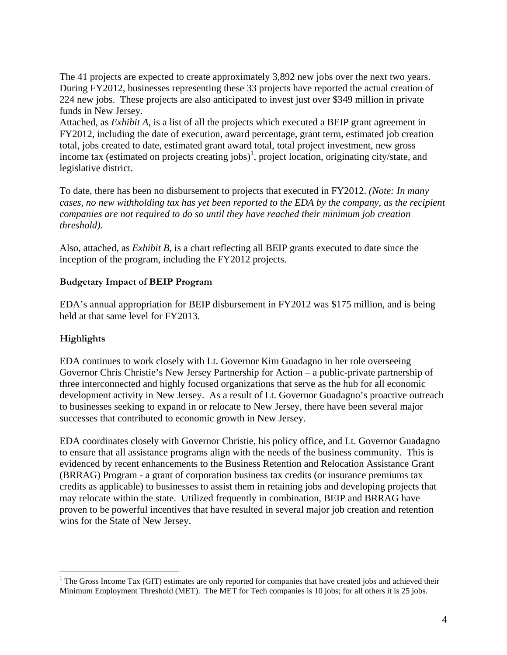The 41 projects are expected to create approximately 3,892 new jobs over the next two years. During FY2012, businesses representing these 33 projects have reported the actual creation of 224 new jobs. These projects are also anticipated to invest just over \$349 million in private funds in New Jersey.

Attached, as *Exhibit A*, is a list of all the projects which executed a BEIP grant agreement in FY2012, including the date of execution, award percentage, grant term, estimated job creation total, jobs created to date, estimated grant award total, total project investment, new gross income tax (estimated on projects creating jobs)<sup>1</sup>, project location, originating city/state, and legislative district.

To date, there has been no disbursement to projects that executed in FY2012. *(Note: In many cases, no new withholding tax has yet been reported to the EDA by the company, as the recipient companies are not required to do so until they have reached their minimum job creation threshold).* 

Also, attached, as *Exhibit B*, is a chart reflecting all BEIP grants executed to date since the inception of the program, including the FY2012 projects.

### **Budgetary Impact of BEIP Program**

EDA's annual appropriation for BEIP disbursement in FY2012 was \$175 million, and is being held at that same level for FY2013.

### **Highlights**

1

EDA continues to work closely with Lt. Governor Kim Guadagno in her role overseeing Governor Chris Christie's New Jersey Partnership for Action – a public-private partnership of three interconnected and highly focused organizations that serve as the hub for all economic development activity in New Jersey. As a result of Lt. Governor Guadagno's proactive outreach to businesses seeking to expand in or relocate to New Jersey, there have been several major successes that contributed to economic growth in New Jersey.

EDA coordinates closely with Governor Christie, his policy office, and Lt. Governor Guadagno to ensure that all assistance programs align with the needs of the business community. This is evidenced by recent enhancements to the Business Retention and Relocation Assistance Grant (BRRAG) Program - a grant of corporation business tax credits (or insurance premiums tax credits as applicable) to businesses to assist them in retaining jobs and developing projects that may relocate within the state. Utilized frequently in combination, BEIP and BRRAG have proven to be powerful incentives that have resulted in several major job creation and retention wins for the State of New Jersey.

 $1$ <sup>1</sup> The Gross Income Tax (GIT) estimates are only reported for companies that have created jobs and achieved their Minimum Employment Threshold (MET). The MET for Tech companies is 10 jobs; for all others it is 25 jobs.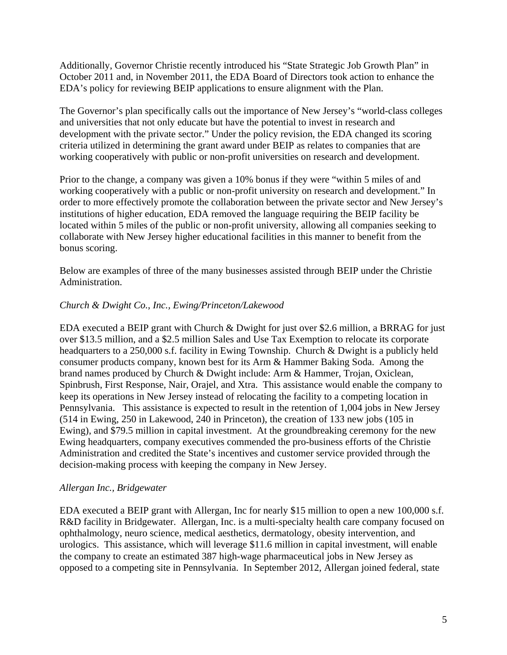Additionally, Governor Christie recently introduced his "State Strategic Job Growth Plan" in October 2011 and, in November 2011, the EDA Board of Directors took action to enhance the EDA's policy for reviewing BEIP applications to ensure alignment with the Plan.

The Governor's plan specifically calls out the importance of New Jersey's "world-class colleges and universities that not only educate but have the potential to invest in research and development with the private sector." Under the policy revision, the EDA changed its scoring criteria utilized in determining the grant award under BEIP as relates to companies that are working cooperatively with public or non-profit universities on research and development.

Prior to the change, a company was given a 10% bonus if they were "within 5 miles of and working cooperatively with a public or non-profit university on research and development." In order to more effectively promote the collaboration between the private sector and New Jersey's institutions of higher education, EDA removed the language requiring the BEIP facility be located within 5 miles of the public or non-profit university, allowing all companies seeking to collaborate with New Jersey higher educational facilities in this manner to benefit from the bonus scoring.

Below are examples of three of the many businesses assisted through BEIP under the Christie Administration.

### *Church & Dwight Co., Inc., Ewing/Princeton/Lakewood*

EDA executed a BEIP grant with Church & Dwight for just over \$2.6 million, a BRRAG for just over \$13.5 million, and a \$2.5 million Sales and Use Tax Exemption to relocate its corporate headquarters to a 250,000 s.f. facility in Ewing Township. Church & Dwight is a publicly held consumer products company, known best for its Arm & Hammer Baking Soda. Among the brand names produced by Church & Dwight include: Arm & Hammer, Trojan, Oxiclean, Spinbrush, First Response, Nair, Orajel, and Xtra. This assistance would enable the company to keep its operations in New Jersey instead of relocating the facility to a competing location in Pennsylvania. This assistance is expected to result in the retention of 1,004 jobs in New Jersey (514 in Ewing, 250 in Lakewood, 240 in Princeton), the creation of 133 new jobs (105 in Ewing), and \$79.5 million in capital investment. At the groundbreaking ceremony for the new Ewing headquarters, company executives commended the pro-business efforts of the Christie Administration and credited the State's incentives and customer service provided through the decision-making process with keeping the company in New Jersey.

### *Allergan Inc., Bridgewater*

EDA executed a BEIP grant with Allergan, Inc for nearly \$15 million to open a new 100,000 s.f. R&D facility in Bridgewater. Allergan, Inc. is a multi-specialty health care company focused on ophthalmology, neuro science, medical aesthetics, dermatology, obesity intervention, and urologics. This assistance, which will leverage \$11.6 million in capital investment, will enable the company to create an estimated 387 high-wage pharmaceutical jobs in New Jersey as opposed to a competing site in Pennsylvania. In September 2012, Allergan joined federal, state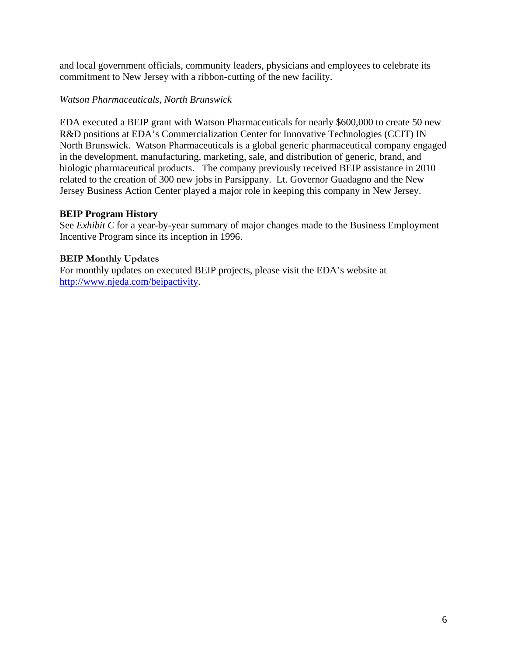and local government officials, community leaders, physicians and employees to celebrate its commitment to New Jersey with a ribbon-cutting of the new facility.

### *Watson Pharmaceuticals, North Brunswick*

EDA executed a BEIP grant with Watson Pharmaceuticals for nearly \$600,000 to create 50 new R&D positions at EDA's Commercialization Center for Innovative Technologies (CCIT) IN North Brunswick. Watson Pharmaceuticals is a global generic pharmaceutical company engaged in the development, manufacturing, marketing, sale, and distribution of generic, brand, and biologic pharmaceutical products. The company previously received BEIP assistance in 2010 related to the creation of 300 new jobs in Parsippany. Lt. Governor Guadagno and the New Jersey Business Action Center played a major role in keeping this company in New Jersey.

### **BEIP Program History**

See *Exhibit C* for a year-by-year summary of major changes made to the Business Employment Incentive Program since its inception in 1996.

### **BEIP Monthly Updates**

For monthly updates on executed BEIP projects, please visit the EDA's website at http://www.njeda.com/beipactivity.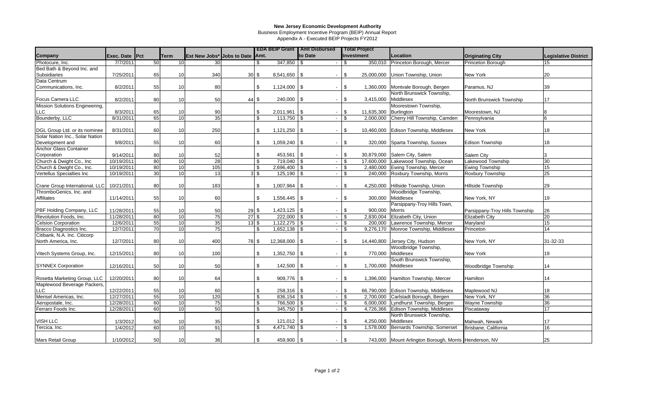Business Employment Incentive Program (BEIP) Annual Report

Appendix A - Executed BEIP Projects FY2012

|                                 |                |             |                                 |                            |                       |               | <b>EDA BEIP Grant   Amt Disbursed</b> | <b>Total Project</b>        |                                                       |                                |                             |
|---------------------------------|----------------|-------------|---------------------------------|----------------------------|-----------------------|---------------|---------------------------------------|-----------------------------|-------------------------------------------------------|--------------------------------|-----------------------------|
| <b>Company</b>                  | Exec. Date Pct | <b>Term</b> | Est New Jobs* Jobs to Date Amt. |                            |                       |               | to Date                               | Investment                  | Location                                              | <b>Originating City</b>        | <b>Legislative District</b> |
| Photocure, Inc.                 | 7/7/2011       | 50          | 10<br>30                        |                            |                       | $347,850$ \$  |                                       | 350,010                     | Princeton Borough, Mercer                             | Princeton Borough              | 15                          |
| Bed Bath & Beyond Inc. and      |                |             |                                 |                            |                       |               |                                       |                             |                                                       |                                |                             |
| Subsidiaries                    | 7/25/2011      | 65          | 340<br>10                       | 30S                        |                       |               | $\blacksquare$                        | \$<br>25,000,000            | Union Township, Union                                 | New York                       | 20                          |
| Data Centrum                    |                |             |                                 |                            |                       |               |                                       |                             |                                                       |                                |                             |
| Communications, Inc.            | 8/2/2011       | 55          | 10<br>80                        |                            | \$<br>$1,124,000$ \\$ |               | $\overline{\phantom{a}}$              | \$<br>1,360,000             | Montvale Borough, Bergen                              | Paramus, NJ                    | 39                          |
|                                 |                |             |                                 |                            |                       |               |                                       |                             | North Brunswick Township,                             |                                |                             |
| Focus Camera LLC                | 8/2/2011       | 80          | 50<br>10                        | 44 \$                      |                       | 240,000 \$    | $\overline{\phantom{a}}$              | \$<br>3,415,000             | Middlesex                                             | North Brunswick Township       | 17                          |
| Mission Solutions Engineering,  |                |             |                                 |                            |                       |               |                                       |                             | Moorestown Township,                                  |                                |                             |
| <b>LLC</b>                      | 8/3/2011       | 65          | 90<br>10                        |                            | $2,011,961$ \$<br>\$  |               | $\overline{\phantom{a}}$              | \$<br>11,635,300            | Burlington                                            | Moorestown, NJ                 |                             |
| Bounderby, LLC                  | 8/31/2011      | 65          | 35<br>10                        |                            | $\mathfrak s$         | $113,750$ \$  | $\overline{\phantom{a}}$              | \$<br>2,000,000             | Cherry Hill Township, Camden                          | Pennsylvania                   | 6                           |
|                                 |                |             |                                 |                            |                       |               |                                       |                             |                                                       |                                |                             |
| DGL Group Ltd. or its nominee   | 8/31/2011      | 60          | 250<br>10                       |                            | \$<br>$1,121,250$ \\$ |               | $\blacksquare$                        | \$<br>10,460,000            | Edison Township, Middlesex                            | New York                       | 18                          |
| Solar Nation Inc., Solar Nation |                |             |                                 |                            |                       |               |                                       |                             |                                                       |                                |                             |
| Development and                 | 9/8/2011       | 55          | 60<br>10                        |                            | \$<br>$1,059,240$ \$  |               | $\blacksquare$                        | \$<br>320,000               | Sparta Township, Sussex                               | <b>Edison Township</b>         | 18                          |
| <b>Anchor Glass Container</b>   |                |             |                                 |                            |                       |               |                                       |                             |                                                       |                                |                             |
| Corporation                     | 9/14/2011      | 80          | 52<br>10                        |                            | \$                    | 453,561 \\$   | $\overline{\phantom{a}}$              | -\$<br>30,879,000           | Salem City, Salem                                     | Salem City                     |                             |
| Church & Dwight Co., Inc        | 10/19/2011     | 80          | 28<br>10                        |                            | \$                    | 719.040 \$    | $\sim$                                | 17.600.000                  | Lakewood Township, Ocean                              | Lakewood Township              | 30                          |
| Church & Dwight Co., Inc.       | 10/19/2011     | 80          | 105<br>10                       |                            | $2,696,400$ \$        |               | $\sim$                                | \$<br>2,480,000             | Ewing Township, Mercer                                | <b>Ewing Township</b>          | 15                          |
| Vertellus Specialties Inc       | 10/19/2011     | 30          | 10<br>13                        | $3\sqrt{3}$                |                       | $125,190$ \$  | $\blacksquare$                        | \$<br>240,000               | Roxbury Township, Morris                              | Roxbury Township               | 25                          |
|                                 |                |             |                                 |                            |                       |               |                                       |                             |                                                       |                                |                             |
| Crane Group International, LLC  | 10/21/2011     | 80          | 183<br>10                       |                            | \$<br>$1,007,964$ \$  |               | $\blacksquare$                        | \$<br>4,250,000             | Hillside Township, Union                              | <b>Hillside Township</b>       | 29                          |
| ThromboGenics, Inc. and         |                |             |                                 |                            |                       |               |                                       |                             | Woodbridge Township,                                  |                                |                             |
| <b>Affiliates</b>               | 11/14/2011     | 55          | 60<br>10                        |                            | \$<br>$1,556,445$ \$  |               | $\blacksquare$                        | \$<br>300,000               | Middlesex                                             | New York, NY                   | 19                          |
|                                 |                |             |                                 |                            |                       |               |                                       |                             | Parsippany-Troy Hills Town,                           |                                |                             |
| PBF Holding Company, LLC        | 11/28/2011     | 55          | 50<br>10                        | $29$ \$                    | $1,423,125$ \$        |               | $\overline{\phantom{a}}$              | \$<br>900,000               | <b>Morris</b>                                         | Parsippany-Troy Hills Township | 26                          |
| Revolution Foods, Inc.          | 11/28/2011     | 80          | $\overline{10}$<br>75           | $27\overline{\smash{)}\,}$ |                       | 222,000 \$    | $\mathbf{r}$                          | $\mathfrak{L}$<br>2.830.004 | Elizabeth City, Union                                 | <b>Elizabeth City</b>          | 20                          |
| <b>Celsion Corporation</b>      | 12/6/2011      | 55          | 10<br>35                        | $13$ \$                    | $1,122,275$ \$        |               | $\sim$                                | \$<br>200,000               | Lawrence Township, Mercer                             | Maryland                       | 15                          |
| Bracco Diagnostics Inc.         | 12/7/2011      | 70          | 75<br>10                        |                            | \$<br>$1,652,138$ \$  |               | $\blacksquare$                        | \$.<br>9,276,170            | Monroe Township, Middlesex                            | Princeton                      | 14                          |
| Citibank, N.A. Inc. Citicorp    |                |             |                                 |                            |                       |               |                                       |                             |                                                       |                                |                             |
| North America, Inc.             | 12/7/2011      | 80          | 400<br>10                       | 78 \$                      | $12,368,000$ \ \ \$   |               | $\blacksquare$                        | \$<br>14,440,800            | Jersey City, Hudson                                   | New York, NY                   | 31-32-33                    |
|                                 |                |             |                                 |                            |                       |               |                                       |                             | Woodbridge Township,                                  |                                |                             |
| Vitech Systems Group, Inc.      | 12/15/2011     | 80          | 100<br>10                       |                            | $1,352,750$ \$<br>\$  |               | $\blacksquare$                        | \$<br>770,000               | Middlesex                                             | New York                       | 19                          |
|                                 |                |             |                                 |                            |                       |               |                                       |                             | South Brunswick Township,                             |                                |                             |
| <b>SYNNEX Corporation</b>       | 12/16/2011     | 50          | 50<br>10                        |                            | \$                    | 142,500 \$    | $\blacksquare$                        | \$<br>1,700,000             | Middlesex                                             | Woodbridge Township            | 14                          |
|                                 |                |             |                                 |                            |                       |               |                                       |                             |                                                       |                                |                             |
| Rosetta Marketing Group, LLC    | 12/20/2011     | 80          | 64<br>10                        |                            | \$                    | 909,776 \$    | $\overline{\phantom{a}}$              | \$<br>1,396,000             | Hamilton Township, Mercer                             | Hamilton                       | 14                          |
| Maplewood Beverage Packers,     |                |             |                                 |                            |                       |               |                                       |                             |                                                       |                                |                             |
| <b>LLC</b>                      | 12/22/2011     | 55          | 60<br>10                        |                            | \$                    | $258,316$ \\$ | $\blacksquare$                        | \$<br>66,790,000            | Edison Township, Middlesex                            | Maplewood NJ                   | 18                          |
| Merisel Americas, Inc.          | 12/27/2011     | 55          | 120<br>10                       |                            | \$                    | $836,154$ \$  | $\sim$                                | \$<br>2,700,000             | Carlstadt Borough, Bergen                             | New York, NY                   | 36                          |
| Aeropostale, Inc.               | 12/28/2011     | 60          | 10<br>$\overline{75}$           |                            | \$                    | 766,500       | \$.<br>$\overline{\phantom{a}}$       | \$<br>6.000.000             | Lyndhurst Township, Bergen                            | <b>Wayne Township</b>          | 36                          |
| Ferraro Foods Inc.              | 12/28/2011     | 60          | 50<br>10                        |                            | \$                    | $345,750$ \$  | $\overline{\phantom{a}}$              | \$<br>4,726,366             | Edison Township, Middlesex                            | Piscataway                     | 17                          |
|                                 |                |             |                                 |                            |                       |               |                                       |                             | North Brunswick Township,                             |                                |                             |
| VISH LLC                        | 1/3/2012       | 50          | 35<br>10                        |                            | \$                    | $121,012$ \$  | $\overline{\phantom{a}}$              | \$.<br>4,250,000            | Middlesex                                             | Mahwah, Newark                 | 17                          |
| Tercica, Inc.                   | 1/4/2012       | 60          | 10<br>91                        |                            | $4,471,740$ \\$<br>\$ |               | $\blacksquare$                        | <sup>\$</sup><br>1,578,000  | Bernards Township, Somerset                           | Brisbane, California           | 16                          |
|                                 |                |             |                                 |                            |                       |               |                                       |                             |                                                       |                                |                             |
| Mars Retail Group               | 1/10/2012      | 50          | 10<br>36                        |                            |                       | 459,900 \$    | $\sim$                                | \$                          | 743,000 Mount Arlington Borough, Morris Henderson, NV |                                | 25                          |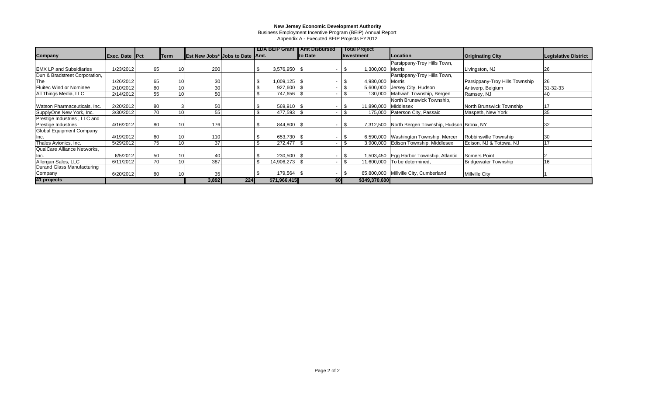Business Employment Incentive Program (BEIP) Annual Report

Appendix A - Executed BEIP Projects FY2012

|                                 |                |    |             |                                        |     |                | <b>EDA BEIP Grant I Amt Disbursed</b> | <b>Total Project</b> |                                                   |                                |                      |
|---------------------------------|----------------|----|-------------|----------------------------------------|-----|----------------|---------------------------------------|----------------------|---------------------------------------------------|--------------------------------|----------------------|
| Company                         | Exec. Date Pct |    | <b>Term</b> | <b>Est New Jobs*</b> Jobs to Date Amt. |     |                | to Date                               | Investment           | Location                                          | <b>Originating City</b>        | Legislative District |
|                                 |                |    |             |                                        |     |                |                                       |                      | Parsippany-Troy Hills Town,                       |                                |                      |
| <b>EMX LP and Subsidiaries</b>  | 1/23/2012      | 65 | 10          | 200                                    |     | $3,576,950$ \$ | $\overline{\phantom{a}}$              | 1,300,000            | Morris                                            | Livingston, NJ                 | 26                   |
| Dun & Bradstreet Corporation,   |                |    |             |                                        |     |                |                                       |                      | Parsippany-Troy Hills Town,                       |                                |                      |
| The                             | 1/26/2012      | 65 |             | 30                                     |     | $1,009,125$ \$ |                                       | 4,980,000 Morris     |                                                   | Parsippany-Troy Hills Township | <b>26</b>            |
| Fluitec Wind or Nominee         | 2/10/2012      | 80 | 10          | 30                                     |     | $927,600$ \$   |                                       | 5,600,000            | Jersey City, Hudson                               | Antwerp, Belgium               | 31-32-33             |
| All Things Media, LLC           | 2/14/2012      | 55 | 10          | 50                                     |     | 747,656 \$     |                                       | 130,000              | Mahwah Township, Bergen                           | Ramsey, NJ                     | 40                   |
|                                 |                |    |             |                                        |     |                |                                       |                      | North Brunswick Township,                         |                                |                      |
| Watson Pharmaceuticals, Inc.    | 2/20/2012      | 80 |             | 50                                     |     | $569,910$ \\$  |                                       | 11,890,000           | Middlesex                                         | North Brunswick Township       |                      |
| SupplyOne New York, Inc.        | 3/30/2012      | 70 |             | 55                                     |     | 477,593        |                                       | 175,000              | Paterson City, Passaic                            | Maspeth, New York              | 35                   |
| Prestige Industries, LLC and    |                |    |             |                                        |     |                |                                       |                      |                                                   |                                |                      |
| Prestige Industries             | 4/16/2012      | 80 |             | 176                                    |     | 844,800 \$     |                                       |                      | 7,312,500 North Bergen Township, Hudson Bronx, NY |                                | 32                   |
| <b>Global Equipment Company</b> |                |    |             |                                        |     |                |                                       |                      |                                                   |                                |                      |
|                                 | 4/19/2012      | 60 |             | 110                                    |     | 653,730 \$     |                                       |                      | 6,590,000 Washington Township, Mercer             | Robbinsville Township          | 130                  |
| Thales Avionics, Inc.           | 5/29/2012      | 75 | 10          | 37                                     |     | 272,477 \$     |                                       | 3,900,000            | Edison Township, Middlesex                        | Edison, NJ & Totowa, NJ        | 17                   |
| QualCare Alliance Networks,     |                |    |             |                                        |     |                |                                       |                      |                                                   |                                |                      |
|                                 | 6/5/2012       | 50 | 10.         | 40                                     |     | 230,500 \$     |                                       |                      | ,503,450 Egg Harbor Township, Atlantic            | Somers Point                   |                      |
| Allergan Sales, LLC             | 6/11/2012      | 70 | 10          | 387                                    |     | 14,906,273 \$  |                                       | 11,600,000           | To be determined.                                 | <b>Bridgewater Township</b>    | 16                   |
| Durand Glass Manufacturing      |                |    |             |                                        |     |                |                                       |                      |                                                   |                                |                      |
| Company                         | 6/20/2012      | 80 |             | 35                                     |     | 179,564 \$     |                                       |                      | 65,800,000 Millville City, Cumberland             | <b>Millville City</b>          |                      |
| 41 projects                     |                |    |             | 3,892                                  | 224 | \$71,966,415   | \$OI                                  | \$349,370,600        |                                                   |                                |                      |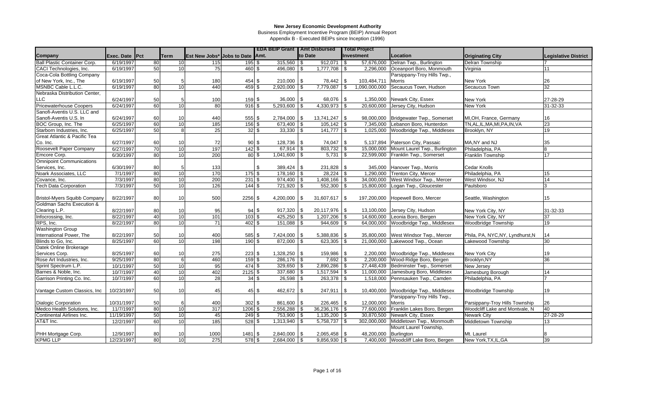Business Employment Incentive Program (BEIP) Annual Report

|                                      |                |                 |              |                 |                                 | <b>EDA BEIP Grant   Amt Disbursed</b> |     |                  |                | <b>Total Project</b> |                                       |                                  |                             |
|--------------------------------------|----------------|-----------------|--------------|-----------------|---------------------------------|---------------------------------------|-----|------------------|----------------|----------------------|---------------------------------------|----------------------------------|-----------------------------|
| Company                              | Exec. Date Pct |                 | <b>ITerm</b> |                 | Est New Jobs* Jobs to Date Amt. |                                       |     | to Date          |                | Investment           | Location                              | <b>Originating City</b>          | <b>Legislative District</b> |
| Ball Plastic Container Corp.         | 6/19/1997      | 80              | 10           | 115             | $195$ \$                        | $315,560$ \$                          |     | 912,071          | l \$           | 57,676,000           | Delran Twp., Burlington               | <b>Delran Township</b>           |                             |
| CACI Technologies, Inc.              | 6/19/1997      | 50              | 10           | 75              | 460 \$                          | 496,080 \$                            |     | 1,777,708        | <b>S</b>       | 2,296,000            | Oceanport Boro, Monmouth              | Virginia                         | 11                          |
| Coca-Cola Bottling Company           |                |                 |              |                 |                                 |                                       |     |                  |                |                      | Parsippany-Troy Hills Twp.,           |                                  |                             |
| of New York, Inc., The               | 6/19/1997      | 50              |              | 180             | 454 \$                          |                                       |     | 78,442           | \$             | 103,484,711          | Morris                                | New York                         | 26                          |
| MSNBC Cable L.L.C.                   | 6/19/1997      | 80              | 10           | 440             | $459$ \$                        | 2,920,000                             |     | 7,779,087        | $\mathfrak{L}$ | 1,090,000,000        | Secaucus Town, Hudson                 | Secaucus Town                    | $\overline{32}$             |
| Nebraska Distribution Center,        |                |                 |              |                 |                                 |                                       |     |                  |                |                      |                                       |                                  |                             |
| <b>LLC</b>                           | 6/24/1997      | 50              |              | 100             | 159S                            | 36,000 \$                             |     | 68,076           | \$             | 1,350,000            | Newark City, Essex                    | New York                         | 27-28-29                    |
| <b>Pricewaterhouse Coopers</b>       | 6/24/1997      | 60              | 10           | $\overline{80}$ | 916S                            | $5,293,600$ \$                        |     | 4,330,973        | \$             | 20,600,000           | Jersey City, Hudson                   | <b>New York</b>                  | 31-32-33                    |
| Sanofi-Aventis U.S. LLC and          |                |                 |              |                 |                                 |                                       |     |                  |                |                      |                                       |                                  |                             |
| Sanofi-Aventis U.S. In               | 6/24/1997      | 60              | 10           | 440             | 555 \$                          | $2,784,000$ \$                        |     | $13,741,247$ \\$ |                | 98,000,000           | Bridgewater Twp., Somerset            | MI, OH, France, Germany          | 16                          |
| BOC Group, Inc. The                  | 6/25/1997      | 60              | 10           | 185             | $156$ \$                        | 673,400 \$                            |     | $105, 142$ \\$   |                | 7.345.000            | Lebanon Boro, Hunterdon               | TN, AL, IL, MA, MI, PA, IN, VA   | 23                          |
| Starborn Industries, Inc.            | 6/25/1997      | 50              | 8            | 25              | $32 \overline{\smash{)}\,}$     | $33,330$ \\$                          |     | 141,777          | \$             | 1,025,000            | Woodbridge Twp., Middlesex            | Brooklyn, NY                     | 19                          |
| Great Atlantic & Pacific Tea         |                |                 |              |                 |                                 |                                       |     |                  |                |                      |                                       |                                  |                             |
| Co. Inc.                             | 6/27/1997      | 60              | 10           | 72              | $90\sqrt{3}$                    | 128,736 \$                            |     | 74,047           | -\$            | 5,137,894            | Paterson City, Passaic                | MA, NY and NJ                    | 35                          |
| Roosevelt Paper Company              | 6/27/1997      | $\overline{70}$ | 10           | 197             | $142 \overline{\text{S}}$       | $67,914$ \ \$                         |     | 803,732          | -\$            | 15,000,000           | Mount Laurel Twp., Burlington         | Philadelphia, PA                 | 8                           |
| Emcore Corp.                         | 6/30/1997      | 80              | 10           | 200             | $80\sqrt{3}$                    | $1,041,600$ \$                        |     | 5,731            | - \$           | 22,599,000           | Franklin Twp., Somerset               | Franklin Township                | 17                          |
| <b>Omnipoint Communications</b>      |                |                 |              |                 |                                 |                                       |     |                  |                |                      |                                       |                                  |                             |
| Services, Inc.                       | 6/30/1997      | 80              |              | 133             | \$                              | $389,424$ \$                          |     | 231,828          | \$             | 345,000              | Hanover Twp., Morris                  | Cedar Knolls                     |                             |
| Noark Associates, LLC                | 7/1/1997       | 80              | 10           | 170             | $175$ \$                        | $178,160$ \$                          |     | $28,224$ \$      |                | 1,290,000            | Trenton City, Mercer                  | Philadelphia, PA                 | 15                          |
| Covance, Inc.                        | 7/3/1997       | 80              | 10           | 200             | $231$ \$                        | 974,400 \$                            |     | 1,408,166        | <b>S</b>       | 34,000,000           | West Windsor Twp., Mercer             | West Windsor, NJ                 | 14                          |
| <b>Tech Data Corporation</b>         | 7/3/1997       | 50              | 10           | 126             | 144S                            | $721,920$ \$                          |     | 552,300          | \$             | 15,800,000           | Logan Twp., Gloucester                | Paulsboro                        | 3                           |
|                                      |                |                 |              |                 |                                 |                                       |     |                  |                |                      |                                       |                                  |                             |
| <b>Bristol-Myers Squibb Company</b>  | 8/22/1997      | 80              | 10           | 500             | $2256$ \$                       | 4,200,000                             | -SG | 31,607,617       | -\$            | 197,200,000          | Hopewell Boro, Mercer                 | Seattle, Washington              | 15                          |
| <b>Goldman Sachs Execution &amp;</b> |                |                 |              |                 |                                 |                                       |     |                  |                |                      |                                       |                                  |                             |
| Clearing L.P.                        | 8/22/1997      | 80              | 10           | 95              | 94S                             | $917,320$ \$                          |     | 20,117,976       | <b>S</b>       | 13,100,000           | Jersey City, Hudson                   | New York City, NY                | 31-32-33                    |
| Infocrossing, Inc.                   | 8/22/1997      | 40              | 10           | 101             | $103$ \$                        | $425,250$ \$                          |     | 1,207,206        | \$             | 14,600,000           | Leonia Boro, Bergen                   | New York City, NY                | 37                          |
| RPS, Inc.                            | 8/22/1997      | 80              | 10           | 71              | $402 \,$ \$                     | $151,088$ \$                          |     | $944,609$ \$     |                | 64,000,000           | Woodbridge Twp., Middlesex            | Woodbridge Township              | 19                          |
| <b>Washington Group</b>              |                |                 |              |                 |                                 |                                       |     |                  |                |                      |                                       |                                  |                             |
| International Power, The             | 8/22/1997      | 50              | 10           | 400             | 585 \$                          | 7,424,000 \$                          |     | 5,388,836        | \$             | 35,800,000           | West Windsor Twp., Mercer             | Phila, PA, NYC, NY, Lyndhurst, N | 14                          |
| Blinds to Go, Inc.                   | 8/25/1997      | 60              | 10           | 198             | 190S                            | 872,000 \$                            |     | 623,305          | \$             | 21,000,000           | Lakewood Twp., Ocean                  | Lakewood Township                | 30                          |
| Datek Online Brokerage               |                |                 |              |                 |                                 |                                       |     |                  |                |                      |                                       |                                  |                             |
| Services Corp.                       | 8/25/1997      | 60              | 10           | 275             | $223$ \$                        | $1,328,250$ \$                        |     | 159,986          | \$             | 2,200,000            | Woodbridge Twp., Middlesex            | New York City                    | 19                          |
| Rose Art Industries, Inc.            | 9/25/1997      | $\overline{80}$ | 6            | 460             | 159S                            | 286.176 \$                            |     | 7,692            | \$             | 2.200.000            | Wood-Ridge Boro, Bergen               | Brooklyn, NY                     | $\overline{36}$             |
| Sprint Spectrum L.P.                 | 10/1/1997      | 50              | 10           | 95              | $474$ \$                        | $329,650$ \$                          |     | 2,890,286        | \$             | 27,448,439           | Bedminster Twp., Somerset             | New Jersey                       |                             |
| Barnes & Noble, Inc.                 | 10/7/1997      | 40              | 10           | 402             | $2125$ \$                       | 337,680 \$                            |     | 1,517,594        | - \$           | 11,000,000           | Jamesburg Boro, Middlesex             | Jamesburg Borough                | 14                          |
| Garrison Printing Co. Inc.           | 10/7/1997      | 60              | 10           | $\overline{28}$ | 34S                             | $26,598$ \$                           |     | $263,378$ \$     |                | 1,518,000            | Pennsauken Twp., Camden               | Philadelphia, PA                 |                             |
|                                      |                |                 |              |                 |                                 |                                       |     |                  |                |                      |                                       |                                  |                             |
| Vantage Custom Classics, Inc.        | 10/23/1997     | 50              | 10           | 45              | 45 \$                           | 462,672 \$                            |     | 247,911          | -\$            | 10,400,000           | Woodbridge Twp., Middlesex            | <b>Woodbridge Township</b>       | 19                          |
|                                      |                |                 |              |                 |                                 |                                       |     |                  |                |                      | Parsippany-Troy Hills Twp.,           |                                  |                             |
| Dialogic Corporation                 | 10/31/1997     | 50              |              | 400             | $302 \text{ }$ \$               | 861,600 \$                            |     | 226,465          | \$             | 12,000,000           | <b>Morris</b>                         | Parsippany-Troy Hills Township   | 26                          |
| Medco Health Solutions, Inc.         | 11/7/1997      | 80              | 10           | 317             | $1206$ \$                       | $2,556,288$ \$                        |     | 36,236,176       | \$             | 77,600,000           | Franklin Lakes Boro, Bergen           | Woodcliff Lake and Montvale. N   | 40                          |
| Continental Airlines Inc.            | 11/19/1997     | 50              | 10           | 45              | 249 \$                          | 753,900 \$                            |     | 1,135,200        | \$             | 30,870,500           | Newark City, Essex                    | <b>Newark City</b>               | 27-28-29                    |
| AT&T Inc.                            | 12/2/1997      | 60              | 10           | 185             | $528$ \$                        | $1,313,940$ \\$                       |     | 5,758,737        | -\$            | 302,000,000          | Middletown Twp., Monmouth             | Middletown Township              | 13                          |
|                                      |                |                 |              |                 |                                 |                                       |     |                  |                |                      | Mount Laurel Township,                |                                  |                             |
| PHH Mortgage Corp.                   | 12/9/1997      | 80              | 10           | 1000            | 1481 \$                         | $2,840,000$ \$                        |     | 2,065,458        | \$             | 48,200,000           | Burlington                            | Mt. Laurel                       |                             |
| <b>KPMG LLP</b>                      | 12/23/1997     | 80              | 10           | 275             | $578$ \$                        | $2,684,000$ \$                        |     | $9.856.930$ \$   |                |                      | 7,400,000 Woodcliff Lake Boro, Bergen | New York, TX, IL, GA             | $\overline{39}$             |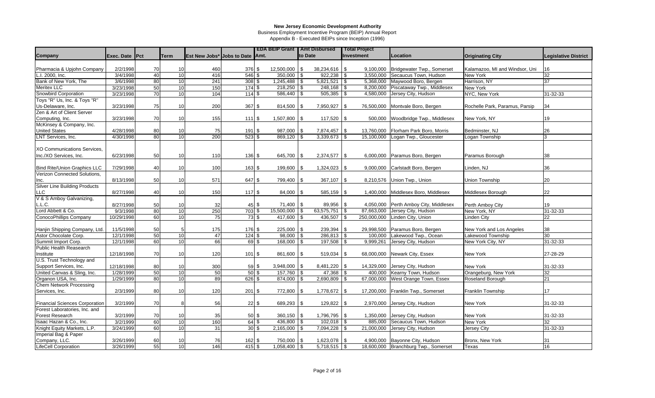Business Employment Incentive Program (BEIP) Annual Report

|                                       |                |                 |                 |                                 |             |                  | <b>EDA BEIP Grant</b> |      | <b>Amt Disbursed</b> |            | <b>Total Project</b> |                                      |                                |                             |
|---------------------------------------|----------------|-----------------|-----------------|---------------------------------|-------------|------------------|-----------------------|------|----------------------|------------|----------------------|--------------------------------------|--------------------------------|-----------------------------|
| <b>Company</b>                        | Exec. Date Pct |                 | <b>Term</b>     | Est New Jobs* Jobs to Date Amt. |             |                  |                       |      | to Date              |            | <b>Investment</b>    | Location                             | <b>Originating City</b>        | <b>Legislative District</b> |
|                                       |                |                 |                 |                                 |             |                  |                       |      |                      |            |                      |                                      |                                |                             |
| Pharmacia & Upjohn Company            | 2/2/1998       | 70              | 10              | 460                             | 376 \$      |                  | 12,500,000            | \$   | 38,234,616           | <b>\$</b>  |                      | 9,100,000 Bridgewater Twp., Somerset | Kalamazoo, MI and Windsor, Uni | 16                          |
| L.I. 2000, Inc.                       | 3/4/1998       | 40              | 10              | 416                             | $546$ \$    |                  | $350,000$ \$          |      | $922,238$ \$         |            |                      | 3,550,000 Secaucus Town, Hudson      | New York                       | 32                          |
| Bank of New York, The                 | 3/6/1998       | 80              | 10              | 241                             | $308$ \$    |                  |                       |      | $5,821,521$ \\$      |            |                      | 5,368,000 Maywood Boro, Bergen       | Harrison, NY                   | 37                          |
| Meritex LLC                           | 3/23/1998      | 50              | $\overline{10}$ | 150                             | 174S        |                  | $218,250$ \$          |      | $248,168$ \$         |            |                      | 8,200,000 Piscataway Twp., Middlesex | New York                       |                             |
| Snowbird Corporation                  | 3/23/1998      | 70              | 10              | 104                             | $114$ \$    |                  | $586,440$ \\$         |      | $505,385$ \$         |            |                      | 4,580,000 Jersey City, Hudson        | NYC, New York                  | 31-32-33                    |
| Toys "R" Us, Inc. & Toys "R"          |                |                 |                 |                                 |             |                  |                       |      |                      |            |                      |                                      |                                |                             |
| Us-Delaware, Inc.                     | 3/23/1998      | 75              | 10              | 200                             | $367$ \$    |                  | 814,500               | -\$  | 7,950,927            | -\$        | 76,500,000           | Montvale Boro, Bergen                | Rochelle Park, Paramus, Parsip | 34                          |
| Zen & Art of Client Server            |                |                 |                 |                                 |             |                  |                       |      |                      |            |                      |                                      |                                |                             |
| Computing, Inc.                       | 3/23/1998      | 70              | 10              | 155                             | 111S        |                  | 1,507,800 \$          |      | 117,520              | $\sqrt{3}$ | 500,000              | Woodbridge Twp., Middlesex           | New York, NY                   | 19                          |
| McKinsey & Company, Inc.              |                |                 |                 |                                 |             |                  |                       |      |                      |            |                      |                                      |                                |                             |
| <b>United States</b>                  | 4/28/1998      | 80              | 10              | 75                              | 191 \$      |                  | 987,000 \$            |      | 7,874,457            | <b>S</b>   | 13,760,000           | Florham Park Boro, Morris            | Bedminster, NJ                 | 26                          |
| <b>LNT Services, Inc.</b>             | 4/30/1998      | 80              | 10              | 200                             | $523$ \$    |                  | 869,120               |      | 3,339,673            | -\$        | 15,100,000           | Logan Twp., Gloucester               | Logan Township                 | 3                           |
|                                       |                |                 |                 |                                 |             |                  |                       |      |                      |            |                      |                                      |                                |                             |
| <b>XO Communications Services.</b>    |                |                 |                 |                                 |             |                  |                       |      |                      |            |                      |                                      |                                |                             |
| Inc./XO Services, Inc.                | 6/23/1998      | 50              | 10              | 110                             | $136$ \$    |                  | 645,700 \$            |      | $2,374,577$ \\$      |            |                      | 6,000,000 Paramus Boro, Bergen       | Paramus Borough                | 38                          |
| Bind Rite/Union Graphics LLC          | 7/29/1998      | 40              | 10              | 100                             | $163$ \$    |                  | 199,600 \$            |      | 1,324,023            | <b>S</b>   |                      | 9,000,000 Carlstadt Boro, Bergen     | Linden, NJ                     | 36                          |
| Verizon Connected Solutions,          |                |                 |                 |                                 |             |                  |                       |      |                      |            |                      |                                      |                                |                             |
| Inc.                                  | 8/13/1998      | 50              | 10              | 571                             | 647 \$      |                  | 799,400 \$            |      | 367,107              | $\sqrt{3}$ |                      | 8,210,576 Union Twp., Union          | Union Township                 | 20                          |
| <b>Silver Line Building Products</b>  |                |                 |                 |                                 |             |                  |                       |      |                      |            |                      |                                      |                                |                             |
| LLC                                   | 8/27/1998      | 40              | 10              | 150                             | 117S        |                  | 84,000 \$             |      | 585,159              | <b>S</b>   | 1,400,000            | Middlesex Boro, Middlesex            | Middlesex Borough              | 22                          |
| V & S Amboy Galvanizing,              |                |                 |                 |                                 |             |                  |                       |      |                      |            |                      |                                      |                                |                             |
| L.L.C.                                | 8/27/1998      | 50              | 10              | 32                              |             | $45\%$           | $71,400$ \ \$         |      | $89,956$ \$          |            | 4,050,000            | Perth Amboy City, Middlesex          | Perth Amboy City               | 19                          |
| Lord Abbett & Co.                     | 9/3/1998       | 80              | 10              | 250                             | $703$ \$    |                  | $15,500,000$ \$       |      | $63,575,751$ \$      |            | 87,663,000           | Jersey City, Hudson                  | New York, NY                   | 31-32-33                    |
| ConocoPhillips Company                | 10/29/1998     | $\overline{60}$ | 10              | $\overline{75}$                 | 73S         |                  | $417,600$ \$          |      | 436,507              | $\sqrt{3}$ | 250,000,000          | Linden City, Union                   | <b>Linden City</b>             | 22                          |
|                                       |                |                 |                 |                                 |             |                  |                       |      |                      |            |                      |                                      |                                |                             |
| Hanjin Shipping Company, Ltd.         | 11/5/1998      | 50              |                 | 175                             | 176 \$      |                  | 225,000 \$            |      | 239,394 \$           |            | 29,998,500           | Paramus Boro, Bergen                 | New York and Los Angeles       | 38                          |
| Astor Chocolate Corp.                 | 12/1/1998      | 50              | 10              | 47                              | $124$ \$    |                  | 98,000                | \$   | $286,813$ \$         |            |                      | 100,000 Lakewood Twp., Ocean         | Lakewood Township              | 30                          |
| Summit Import Corp.                   | 12/1/1998      | 60              | 10              | 66                              | $69$ \$     |                  | $168,000$ \$          |      | 197,508              | <b>S</b>   | 9,999,261            | Jersey City, Hudson                  | New York City, NY              | 31-32-33                    |
| <b>Public Health Reasearch</b>        |                |                 |                 |                                 |             |                  |                       |      |                      |            |                      |                                      |                                |                             |
| Institute                             | 12/18/1998     | 70              | 10              | 120                             | $101$ \$    |                  | 861,600 \$            |      | 519,034              | l \$       |                      | 68,000,000 Newark City, Essex        | New York                       | 27-28-29                    |
| U.S. Trust Technology and             |                |                 |                 |                                 |             |                  |                       |      |                      |            |                      |                                      |                                |                             |
| Support Services, Inc.                | 12/18/1998     | 80              | 10              | 300                             |             | $59$ \$          | $3,948,000$ \$        |      | 8,481,220 \$         |            | 14,329,000           | Jersey City, Hudson                  | New York                       | 31-32-33                    |
| United Canvas & Sling, Inc.           | 1/28/1999      | 50              | 10              | 50                              | $50$ \$     |                  | 157,760 \$            |      | 47,368               | \$         |                      | 400,000 Kearny Town, Hudson          | Orangeburg, New York           | 32                          |
| Organon USA, Inc.                     | 1/29/1999      | 80              | 10              | 89                              | $626$ \$    |                  | 874,000               |      | 2,690,809            |            | 67,000,000           | West Orange Town, Essex              | Roseland Borough               | 21                          |
| <b>Chem Network Processing</b>        |                |                 |                 |                                 |             |                  |                       |      |                      |            |                      |                                      |                                |                             |
| Services, Inc.                        | 2/3/1999       | 80              | 10              | 120                             | $201$ \$    |                  | 772,800 \$            |      | 1,778,672            | <b>S</b>   |                      | 17,200,000 Franklin Twp., Somerset   | Franklin Township              | 17                          |
|                                       |                |                 |                 |                                 |             |                  |                       |      |                      |            |                      |                                      |                                |                             |
| <b>Financial Sciences Corporation</b> | 3/2/1999       | 70              |                 | 56                              |             | $22 \text{ }$ \$ | 689,293 \$            |      | 129,822              | -\$        |                      | 2,970,000 Jersey City, Hudson        | New York                       | 31-32-33                    |
| Forest Laboratories, Inc. and         |                |                 |                 |                                 |             |                  |                       |      |                      |            |                      |                                      |                                |                             |
| Forest Research                       | 3/2/1999       | 70              | 10              | 35                              |             | $50$ \$          | $360,150$ \$          |      | 1,796,795            | \$         | 1,350,000            | Jersey City, Hudson                  | New York                       | 31-32-33                    |
| Isaac Hazan & Co., Inc.               | 3/2/1999       | 60              | 10              | 160                             | $64$ \$     |                  | 436,800 \$            |      | $102,018$ \$         |            |                      | 885,000 Secaucus Town, Hudson        | New York                       | 32                          |
| Knight Equity Markets, L.P.           | 3/24/1999      | 60              | 10              | 31                              |             | $30\sqrt{3}$     | $2,165,000$ \$        |      | $7,094,228$ \$       |            |                      | 21,000,000 Jersey City, Hudson       | <b>Jersey City</b>             | 31-32-33                    |
| Imperial Bag & Paper                  |                |                 |                 |                                 |             |                  |                       |      |                      |            |                      |                                      |                                |                             |
| Company, LLC.                         | 3/26/1999      | 60              | 10              | 76                              | $162 \,$ \$ |                  | 750,000               | l \$ | 1,623,078            | -\$        |                      | 4,900,000 Bayonne City, Hudson       | Bronx, New York                | 31                          |
| <b>LifeCell Corporation</b>           | 3/26/1999      | 55              | 10              | 146                             | $415$ \$    |                  | $1,058,400$ \\$       |      | $5,718,515$ \$       |            |                      | 18,600,000 Branchburg Twp., Somerset | Texas                          | 16                          |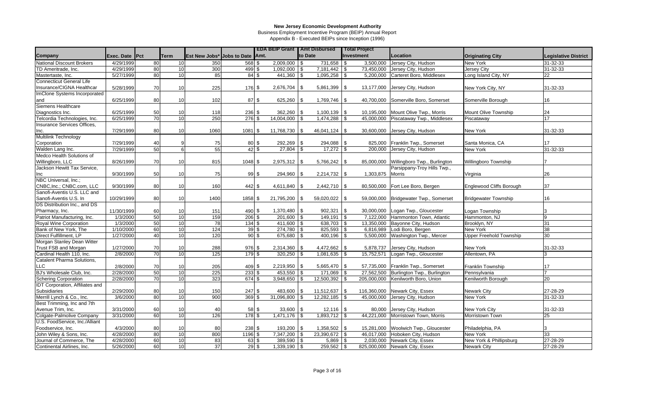Business Employment Incentive Program (BEIP) Annual Report

|                                        |                       |                 |                 |      |                                 | <b>EDA BEIP Grant   Amt Disbursed</b> |         |                | <b>Total Project</b> |                                       |                                |                             |
|----------------------------------------|-----------------------|-----------------|-----------------|------|---------------------------------|---------------------------------------|---------|----------------|----------------------|---------------------------------------|--------------------------------|-----------------------------|
| <b>Company</b>                         | <b>Exec. Date Pct</b> |                 | <b>Term</b>     |      | Est New Jobs* Jobs to Date Amt. |                                       | to Date |                | Investment           | <b>Location</b>                       | <b>Originating City</b>        | <b>Legislative District</b> |
| National Discount Brokers              | 4/29/1999             | 80              | 10              | 350  | 568 \$                          | $2,009,000$ \$                        |         | $731,658$ \$   | 3,500,000            | Jersey City, Hudson                   | New York                       | 31-32-33                    |
| TD Ameritrade, Inc.                    | 4/29/1999             | 80              | 10              | 300  | $499$ \$                        | 1,092,000 \$                          |         | 7,181,442      | \$<br>73,450,000     | Jersey City, Hudson                   | Jersey City                    | 31-32-33                    |
| Mastertaste, Inc.                      | 5/27/1999             | 80              | 10              | 85   | 84S                             | 441,360 \$                            |         | 1,095,258      | \$<br>5,200,000      | Carteret Boro, Middlesex              | Long Island City, NY           | 22                          |
| <b>Connecticut General Life</b>        |                       |                 |                 |      |                                 |                                       |         |                |                      |                                       |                                |                             |
| Insurance/CIGNA Healthcar              | 5/28/1999             | 70              | 10              | 225  | 176 \$                          | $2,676,704$ \\$                       |         | 5,861,399      | \$<br>13,177,000     | Jersey City, Hudson                   | New York City, NY              | 31-32-33                    |
| ImClone Systems Incorporated           |                       |                 |                 |      |                                 |                                       |         |                |                      |                                       |                                |                             |
| and                                    | 6/25/1999             | 80              | 10              | 102  | 87 \$                           | $625,260$ \$                          |         | 1,769,746      | \$<br>40,700,000     | Somerville Boro, Somerset             | Somerville Borough             | 16                          |
| Siemens Healthcare                     |                       |                 |                 |      |                                 |                                       |         |                |                      |                                       |                                |                             |
| Diagnostics Inc.                       | 6/25/1999             | 50              | 10              | 118  | 236 \$                          | $362,260$ \ \$                        |         | 1,100,139      | -\$<br>10,195,000    | Mount Olive Twp., Morris              | Mount Olive Township           | 24                          |
| Telcordia Technologies, Inc.           | 6/25/1999             | 70              | 10              | 250  | $276$ \$                        | $14,004,000$ \\$                      |         | 1,474,288      | -\$<br>45,000,000    | Piscataway Twp., Middlesex            | Piscataway                     | 17                          |
| Insurance Services Offices,            |                       |                 |                 |      |                                 |                                       |         |                |                      |                                       |                                |                             |
| Inc.                                   | 7/29/1999             | 80              | 10              | 1060 | 1081 \$                         | 11,768,730                            | l Si    | 46,041,124     | -\$<br>30,600,000    | Jersey City, Hudson                   | New York                       | 31-32-33                    |
| Multilink Technology                   |                       |                 |                 |      |                                 |                                       |         |                |                      |                                       |                                |                             |
| Corporation                            | 7/29/1999             | 40              |                 | 75   | 80 \$                           | $292,269$ \$                          |         | 294,088        | - \$<br>825,000      | Franklin Twp., Somerset               | Santa Monica, CA               | 17                          |
| Walden Lang Inc.                       | 7/29/1999             | 50              | R               | 55   | $42\overline{\smash{)}\,}$ \$   | 27,804 \$                             |         | 17,272         | \$<br>200,000        | Jersey City, Hudson                   | New York                       | 31-32-33                    |
| Medco Health Solutions of              |                       |                 |                 |      |                                 |                                       |         |                |                      |                                       |                                |                             |
| Willingboro, LLC                       | 8/26/1999             | 70              | 10              | 815  | 1048 \$                         | $2,975,312$ \$                        |         | 5,766,242      | -\$<br>85,000,000    | Willingboro Twp., Burlington          | Willingboro Township           |                             |
| Jackson Hewitt Tax Service,            |                       |                 |                 |      |                                 |                                       |         |                |                      | Parsippany-Troy Hills Twp.,           |                                |                             |
| Inc                                    | 9/30/1999             | 50              | 10              | 75   | 99S                             | 294,960 \$                            |         | 2,214,732      | 1,303,875<br>\$      | <b>Morris</b>                         | Virginia                       | 26                          |
| NBC Universal, Inc.;                   |                       |                 |                 |      |                                 |                                       |         |                |                      |                                       |                                |                             |
| CNBC, Inc.; CNBC.com, LLC              | 9/30/1999             | 80              | 10              | 160  | $442$ \$                        | $4,611,840$ \\$                       |         | $2,442,710$ \$ | 80,500,000           | Fort Lee Boro, Bergen                 | Englewood Cliffs Borough       | 37                          |
| Sanofi-Aventis U.S. LLC and            |                       |                 |                 |      |                                 |                                       |         |                |                      |                                       |                                |                             |
| Sanofi-Aventis U.S. In                 | 10/29/1999            | 80              | 10              | 1400 | 1858 \$                         | 21,795,200 \$                         |         | 59,020,022     | \$                   | 59,000,000 Bridgewater Twp., Somerset | <b>Bridgewater Township</b>    | 16                          |
| DS Distribution Inc., and DS           |                       |                 |                 |      |                                 |                                       |         |                |                      |                                       |                                |                             |
| Pharmacy, Inc.                         | 11/30/1999            | 60              | 10              | 151  | 490 \$                          | $1,370,480$ \$                        |         | 902,321        | \$<br>30,000,000     | Logan Twp., Gloucester                | Logan Township                 | 3                           |
| Patriot Manufacturing, Inc.            | 1/3/2000              | 50              | 10              | 159  | $206$ \$                        | $201,600$ \$                          |         | 149,191        | \$<br>7,122,000      | Hammonton Town, Atlantic              | Hammonton, NJ                  | 9                           |
| Royal Wine Corporation                 | 1/3/2000              | 50              | 10              | 78   | $134$ \$                        | 411,600 \$                            |         | $638,703$ \$   | 13,350,000           | Bayonne City, Hudson                  | Brooklyn, NY                   | 31                          |
| Bank of New York, The                  | 1/10/2000             | 60              | 10              | 124  | 39 <sup>5</sup>                 | $274,780$ \\$                         |         | $825,593$ \$   | 6,816,989            | Lodi Boro, Bergen                     | New York                       | 38                          |
| Direct Fulfillment, LP                 | 1/27/2000             | 40              | 10              | 120  | $90\overline{\smash{)}\,}$      | 675,680 \$                            |         | 400,196        | 5,500,000<br>\$      | Washington Twp., Mercer               | <b>Upper Freehold Township</b> | 30                          |
| Morgan Stanley Dean Witter             |                       |                 |                 |      |                                 |                                       |         |                |                      |                                       |                                |                             |
| Trust FSB and Morgan                   | 1/27/2000             | 70              | 10              | 288  | 976 \$                          | $2,314,360$ \\$                       |         | 4,472,662      | \$<br>5,878,737      | Jersey City, Hudson                   | New York                       | 31-32-33                    |
| Cardinal Health 110, Inc.              | 2/8/2000              | 70              | 10              | 125  | 179 \$                          | 320,250                               | \$      | 1,081,635      | \$<br>15,752,571     | Logan Twp., Gloucester                | Allentown, PA                  | 3                           |
| Catalent Pharma Solutions,             |                       |                 |                 |      |                                 |                                       |         |                |                      |                                       |                                |                             |
| <b>LLC</b>                             | 2/8/2000              | 70              | 10              | 205  | 409 \$                          | $2,219,950$ \$                        |         | 5,665,470      | 57,735,000<br>- \$   | Franklin Twp., Somerset               | Franklin Township              | 17                          |
| BJ's Wholesale Club, Inc.              | 2/28/2000             | 50              | 10              | 225  | $233$ \$                        | 453,550 \$                            |         | 171,069        | 27,562,500<br>\$     | Burlington Twp., Burlington           | Pennsylvania                   | $\overline{7}$              |
| <b>Schering Corporation</b>            | 2/28/2000             | 70              | $\overline{10}$ | 323  | 674S                            | $3,948,650$ \$                        |         | 12,500,392     | 205,000,000          | Kenilworth Boro, Union                | Kenilworth Borough             | 20                          |
| <b>IDT Corporation, Affiliates and</b> |                       |                 |                 |      |                                 |                                       |         |                |                      |                                       |                                |                             |
| <b>Subsidiaries</b>                    | 2/29/2000             | 80              | 10              | 150  | $247$ \$                        | 483,600                               | -SG     | 11,512,637     | -\$<br>116,360,000   | Newark City, Essex                    | <b>Newark City</b>             | 27-28-29                    |
| Merrill Lynch & Co., Inc.              | 3/6/2000              | $\overline{80}$ | 10              | 900  | $369$ \$                        | 31,096,800                            |         | 12,282,185     | 45,000,000<br>\$     | Jersey City, Hudson                   | New York                       | 31-32-33                    |
| Best Trimming, Inc and 7th             |                       |                 |                 |      |                                 |                                       |         |                |                      |                                       |                                |                             |
| Avenue Trim. Inc.                      | 3/31/2000             | 60              | 10              | 40   | 58 \$                           | 33,600 \$                             |         | 12,116         | \$<br>80,000         | Jersey City, Hudson                   | New York City                  | 31-32-33                    |
| Colgate-Palmolive Company              | 3/31/2000             | 60              | 10              | 126  | 178S                            | $1,471,176$ \$                        |         | 1,893,712      | - \$<br>44,221,000   | Morristown Town, Morris               | Morristown Town                | 25                          |
| U.S. FoodService, Inc./Alliant         |                       |                 |                 |      |                                 |                                       |         |                |                      |                                       |                                |                             |
| Foodservice, Inc.                      | 4/3/2000              | 80              | 10              | 80   | 238S                            | 193,200 \$                            |         | 1,358,502      | \$<br>15,281,000     | Woolwich Twp., Gloucester             | Philadelphia, PA               | 3                           |
| John Wiley & Sons, Inc.                | 4/28/2000             | 80              | 10              | 800  | 1196 \$                         | $7,347,200$ \$                        |         | 23,390,672     | \$<br>46,017,000     | Hoboken City, Hudson                  | New York                       | 33                          |
| Journal of Commerce, The               | 4/28/2000             | 60              | 10              | 83   | 63 \$                           | 389,590 \$                            |         | 5,869          | 2,030,000<br>- \$    | Newark City, Essex                    | New York & Phillipsburg        | 27-28-29                    |
| Continental Airlines, Inc.             | 5/26/2000             | 60              | 10              | 37   | $29$ \$                         | $1,339,190$ \$                        |         | 259,562        | \$                   | 825,000,000 Newark City, Essex        | <b>Newark City</b>             | 27-28-29                    |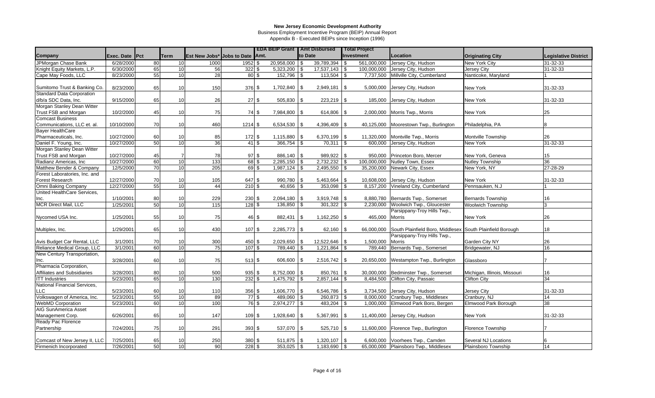Business Employment Incentive Program (BEIP) Annual Report

|                                  |                |    |                 |                                 |                          |       | <b>EDA BEIP Grant   Amt Disbursed</b> |         |                 |            | <b>Total Project</b> |                                                           |                              |                             |
|----------------------------------|----------------|----|-----------------|---------------------------------|--------------------------|-------|---------------------------------------|---------|-----------------|------------|----------------------|-----------------------------------------------------------|------------------------------|-----------------------------|
| Company                          | Exec. Date Pct |    | <b>Term</b>     | Est New Jobs* Jobs to Date Amt. |                          |       |                                       | to Date |                 |            | Investment           | Location                                                  | <b>Originating City</b>      | <b>Legislative District</b> |
| JPMorgan Chase Bank              | 6/28/2000      | 80 | 10 <sup>1</sup> | 1000                            | 1952 \$                  |       | 20,958,000 \$                         |         | $39,789,394$ \$ |            | 561.000.000          | Jersey City, Hudson                                       | New York City                | 31-32-33                    |
| Knight Equity Markets, L.P.      | 6/30/2000      | 65 | 10              | 56                              | $322$ \$                 |       | 5,323,200                             | l \$    | 17,537,143      | -\$        | 100.000.000          | Jersey City, Hudson                                       | <b>Jersey City</b>           | 31-32-33                    |
| Cape May Foods, LLC              | 8/23/2000      | 55 | 10              | 28                              | $80$ \$                  |       | $152,796$ \$                          |         | 113,504         | \$         | 7,737,500            | Millville City, Cumberland                                | Nanticoke, Maryland          |                             |
|                                  |                |    |                 |                                 |                          |       |                                       |         |                 |            |                      |                                                           |                              |                             |
| Sumitomo Trust & Banking Co.     | 8/23/2000      | 65 | 10              | 150                             | $376$ \$                 |       | $1,702,840$ \\$                       |         | 2,949,181       | \$         | 5,000,000            | Jersey City, Hudson                                       | New York                     | 31-32-33                    |
| <b>Standard Data Corporation</b> |                |    |                 |                                 |                          |       |                                       |         |                 |            |                      |                                                           |                              |                             |
| d/b/a SDC Data, Inc.             | 9/15/2000      | 65 | 10              | 26                              |                          | 27S   | 505,830 \$                            |         | 223,219         | <b>S</b>   | 185,000              | Jersey City, Hudson                                       | New York                     | 31-32-33                    |
| Morgan Stanley Dean Witter       |                |    |                 |                                 |                          |       |                                       |         |                 |            |                      |                                                           |                              |                             |
| Trust FSB and Morgan             | 10/2/2000      | 45 | 10              | 75                              |                          | 74 \$ | 7,984,800 \$                          |         | 614,806         | -\$        |                      | 2,000,000 Morris Twp., Morris                             | New York                     | 25                          |
| <b>Comcast Business</b>          |                |    |                 |                                 |                          |       |                                       |         |                 |            |                      |                                                           |                              |                             |
| Communications, LLC et. al.      | 10/10/2000     | 70 | 10              | 460                             | 1214S                    |       | $6,534,530$ \\$                       |         | 4,396,409       | \$         | 40,125,000           | Moorestown Twp., Burlington                               | Philadelphia, PA             |                             |
| <b>Bayer HealthCare</b>          |                |    |                 |                                 |                          |       |                                       |         |                 |            |                      |                                                           |                              |                             |
| Pharmaceuticals, Inc.            | 10/27/2000     | 60 | 10              | 85                              | $172$ \$                 |       | $1,115,880$   \$                      |         | 6,370,199       | \$         | 11,320,000           | Montville Twp., Morris                                    | Montville Township           | 26                          |
| Daniel F. Young, Inc.            | 10/27/2000     | 50 | 10              | 36                              | 41                       | \$    | $366,754$ \\$                         |         | 70,311          | \$         | 600,000              | Jersey City, Hudson                                       | New York                     | 31-32-33                    |
| Morgan Stanley Dean Witter       |                |    |                 |                                 |                          |       |                                       |         |                 |            |                      |                                                           |                              |                             |
| Trust FSB and Morgan             | 10/27/2000     | 45 |                 | 78                              | $97$ \$                  |       | 886,140 \$                            |         | 989,922         | $\sqrt{3}$ | 950,000              | Princeton Boro, Mercer                                    | New York, Geneva             | 15                          |
| Radianz Americas, Inc            | 10/27/2000     | 60 | 10              | 133                             | $68$ \$                  |       | $2,285,150$ \$                        |         | 2,732,232       | <b>S</b>   | 100,000,000          | Nutley Town, Essex                                        | <b>Nutley Township</b>       | 36                          |
| Matthew Bender & Company         | 12/5/2000      | 70 | 10              | 205                             | $69$ \$                  |       | $1,987,124$ \$                        |         | 2,495,550       | \$         | 35,200,000           | Newark City, Essex                                        | New York, NY                 | 27-28-29                    |
| Forest Laboratories, Inc. and    |                |    |                 |                                 |                          |       |                                       |         |                 |            |                      |                                                           |                              |                             |
| Forest Research                  | 12/27/2000     | 70 | 10              | 105                             | 647 \$                   |       | 990,780 \$                            |         | 5,463,664       | -\$        | 10,608,000           | Jersey City, Hudson                                       | New York                     | 31-32-33                    |
| Omni Baking Company              | 12/27/2000     | 55 | 10              | 44                              | $210$ \$                 |       | $40,656$ \ \$                         |         | 353,098         | \$         | 8,157,200            | Vineland City, Cumberland                                 | Pennsauken, N.J              |                             |
| United HealthCare Services,      |                |    |                 |                                 |                          |       |                                       |         |                 |            |                      |                                                           |                              |                             |
| Inc.                             | 1/10/2001      | 80 | 10              | 229                             | 230 \$                   |       | $2,094,180$ \\$                       |         | 3,919,748       | <b>\$</b>  |                      | 8,880,780 Bernards Twp., Somerset                         | <b>Bernards Township</b>     | 16                          |
| <b>MCR Direct Mail, LLC</b>      | 1/25/2001      | 50 | 10              | $\overline{115}$                | 128S                     |       | $136,850$ \$                          |         | 301,322         | \$         |                      | 2,230,000 Woolwich Twp., Gloucester                       | <b>Woolwich Township</b>     | 3                           |
|                                  |                |    |                 |                                 |                          |       |                                       |         |                 |            |                      | Parsippany-Troy Hills Twp.,                               |                              |                             |
| Nycomed USA Inc.                 | 1/25/2001      | 55 | 10              | 75                              |                          | 46 \$ |                                       |         | 1,162,250       | -\$        | 465,000              | Morris                                                    | New York                     | 26                          |
|                                  |                |    |                 |                                 |                          |       |                                       |         |                 |            |                      |                                                           |                              |                             |
| Multiplex, Inc.                  | 1/29/2001      | 65 | 10              | 430                             | 107S                     |       | $2,285,773$ \$                        |         | 62,160          | -\$        | 66,000,000           | South Plainfield Boro, Middlesex South Plainfield Borough |                              | 18                          |
|                                  |                |    |                 |                                 |                          |       |                                       |         |                 |            |                      | Parsippany-Troy Hills Twp.,                               |                              |                             |
| Avis Budget Car Rental, LLC      | 3/1/2001       | 70 | 10              | 300                             | 450 \$                   |       | $2,029,650$ \$                        |         | 12,522,646      | \$         | 1,500,000            | Morris                                                    | Garden City NY               | 26                          |
| Reliance Medical Group, LLC      | 3/1/2001       | 60 | $\overline{10}$ | 75                              | $107$ \$                 |       | 789,440                               |         | 1,221,864       | \$         | 789,440              | Bernards Twp., Somerset                                   | Bridgewater, NJ              | 16                          |
| New Century Transportation,      |                |    |                 |                                 |                          |       |                                       |         |                 |            |                      |                                                           |                              |                             |
| Inc.                             | 3/28/2001      | 60 | 10              | 75                              | $513$ \$                 |       | 606,600 \$                            |         | $2,516,742$ \$  |            |                      | 20,650,000 Westampton Twp., Burlington                    | Glassboro                    |                             |
| Pharmacia Corporation,           |                |    |                 |                                 |                          |       |                                       |         |                 |            |                      |                                                           |                              |                             |
| Affiliates and Subsidiaries      | 3/28/2001      | 80 | 10              | 500                             | $935$ \$                 |       | $8,752,000$ \ \$                      |         | 850,761         | -\$        |                      | 30,000,000 Bedminster Twp., Somerset                      | Michigan, Illinois, Missouri | 16                          |
| <b>ITT Industries</b>            | 5/23/2001      | 65 | 10              | 130                             | $232 \mid$ \$            |       | $1,475,792$ \$                        |         | 2,857,144       | -\$        | 8,484,500            | Clifton City, Passaic                                     | <b>Clifton City</b>          | 34                          |
| National Financial Services,     |                |    |                 |                                 |                          |       |                                       |         |                 |            |                      |                                                           |                              |                             |
| <b>LLC</b>                       | 5/23/2001      | 60 | 10              | 110                             | $356$ \$                 |       | 1,606,770 \$                          |         | 6,546,786       | \$         | 3,734,500            | Jersey City, Hudson                                       | Jersey City                  | 31-32-33                    |
| Volkswagen of America, Inc.      | 5/23/2001      | 55 | 10              | 89                              | $77$ \$                  |       | 489,060 \$                            |         | 260,873         | \$         | 8,000,000            | Cranbury Twp., Middlesex                                  | Cranbury, NJ                 | 14                          |
| <b>WebMD Corporation</b>         | 5/23/2001      | 60 | 10              | 100                             | $76\overline{\text{ }3}$ |       | $2,974,277$ \$                        |         | 483,204         | \$         |                      | 1,000,000 Elmwood Park Boro, Bergen                       | Elmwood Park Borough         | 38                          |
| <b>AIG SunAmerica Asset</b>      |                |    |                 |                                 |                          |       |                                       |         |                 |            |                      |                                                           |                              |                             |
| Management Corp.                 | 6/26/2001      | 65 | 10              | 147                             | 109S                     |       | $1,928,640$ \ \$                      |         | 5,367,991       | \$         | 11,400,000           | Jersey City, Hudson                                       | New York                     | 31-32-33                    |
| Ready Pac Florence               |                |    |                 |                                 |                          |       |                                       |         |                 |            |                      |                                                           |                              |                             |
| Partnership                      | 7/24/2001      | 75 | 10              | 291                             | $393$ \$                 |       | 537,070 \$                            |         | 525,710         | \$         |                      | 11,600,000 Florence Twp., Burlington                      | <b>Florence Township</b>     |                             |
|                                  |                |    |                 |                                 |                          |       |                                       |         |                 |            |                      |                                                           |                              |                             |
| Comcast of New Jersey II, LLC    | 7/25/2001      | 65 | 10              | 250                             | 380 \$                   |       | $511,875$ \\$                         |         | 1,320,107       | \$         |                      | 6,600,000 Voorhees Twp., Camden                           | Several NJ Locations         |                             |
| Firmenich Incorporated           | 7/26/2001      | 50 | 10 <sup>1</sup> | 90 <sup>1</sup>                 | 228S                     |       | $353,025$ \\$                         |         | $1,183,690$ \$  |            |                      | 65,000,000 Plainsboro Twp., Middlesex                     | Plainsboro Township          | 14                          |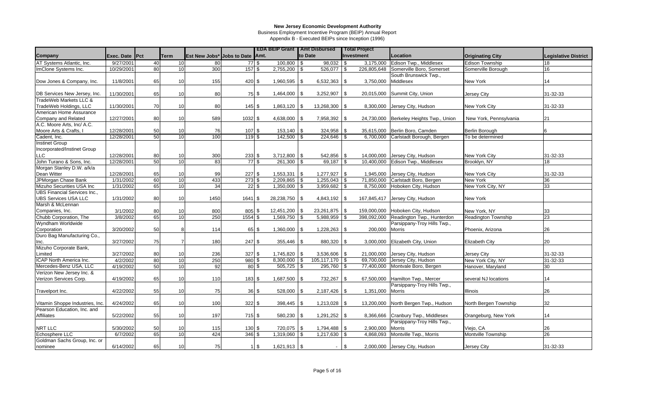Business Employment Incentive Program (BEIP) Annual Report

|                                                                  |                |    |             |                                 |                  | <b>EDA BEIP Grant   Amt Disbursed</b> |      |                |          | <b>Total Project</b> |                                 |                         |                             |
|------------------------------------------------------------------|----------------|----|-------------|---------------------------------|------------------|---------------------------------------|------|----------------|----------|----------------------|---------------------------------|-------------------------|-----------------------------|
| Company                                                          | Exec. Date Pct |    | <b>Term</b> | Est New Jobs* Jobs to Date Amt. |                  |                                       |      | to Date        |          | Investment           | <b>Location</b>                 | <b>Originating City</b> | <b>Legislative District</b> |
| AT Systems Atlantic, Inc.                                        | 9/27/2001      | 40 | 10          | 80                              | 77S              | $100,800$ \\$                         |      | 98,032         | - \$     | 3,175,000            | Edison Twp., Middlesex          | <b>Edison Township</b>  | 18                          |
| ImClone Systems Inc.                                             | 10/29/2001     | 80 | 10          | 300                             | 157S             | $2,755,200$ \$                        |      | 526,077        | \$       | 226,805,648          | Somerville Boro, Somerset       | Somerville Borough      | 16                          |
|                                                                  |                |    |             |                                 |                  |                                       |      |                |          |                      | South Brunswick Twp.,           |                         |                             |
| Dow Jones & Company, Inc.                                        | 11/8/2001      | 65 | 10          | 155                             | 420 \$           | 1,960,595                             | \$   | 6,532,363      | \$       | 3,750,000            | Middlesex                       | New York                | 14                          |
|                                                                  |                |    |             |                                 |                  |                                       |      |                |          |                      |                                 |                         |                             |
| DB Services New Jersey, Inc.                                     | 11/30/2001     | 65 | 10          | 80                              | 75 \$            | $1,464,000$ \\$                       |      | 3,252,907      | \$       | 20,015,000           | Summit City, Union              | <b>Jersey City</b>      | 31-32-33                    |
| TradeWeb Markets LLC &                                           |                |    |             |                                 |                  |                                       |      |                |          |                      |                                 |                         |                             |
| TradeWeb Holdings, LLC                                           | 11/30/2001     | 70 | 10          | 80                              | $145$ \$         | 1,863,120                             | \$   | 13,268,300     | \$       | 8,300,000            | Jersey City, Hudson             | New York City           | 31-32-33                    |
| American Home Assurance                                          |                |    |             |                                 |                  |                                       |      |                |          |                      |                                 |                         |                             |
| Company and Related                                              | 12/27/2001     | 80 | 10          | 589                             | $1032$ \$        | 4,638,000                             | -\$  | 7,958,392      | -\$      | 24,730,000           | Berkeley Heights Twp., Union    | New York, Pennsylvania  | 21                          |
| A.C. Moore Arts, Inc/ A.C.                                       |                |    |             |                                 |                  |                                       |      |                |          |                      |                                 |                         |                             |
| Moore Arts & Crafts, I                                           | 12/28/2001     | 50 | 10          | 76                              | $107$ \$         | $153,140$ \\$                         |      | 324,958        | -\$      | 35,615,000           | Berlin Boro, Camden             | Berlin Borough          | 6                           |
| Cadent, Inc.                                                     | 12/28/2001     | 50 | 10          | 100                             | 119S             | 142,500                               |      | 224,646        |          | 6,700,000            | Carlstadt Borough, Bergen       | To be determined        |                             |
| <b>Instinet Group</b>                                            |                |    |             |                                 |                  |                                       |      |                |          |                      |                                 |                         |                             |
| Incorporated/Instinet Group                                      |                |    |             |                                 |                  |                                       |      |                |          |                      |                                 |                         |                             |
| LLC                                                              | 12/28/2001     | 80 | 10          | 300                             | 233 \$           | $3,712,800$ \\$                       |      | 542,856        | -\$      | 14,000,000           | Jersey City, Hudson             | New York City           | 31-32-33                    |
| John Turano & Sons, Inc.                                         | 12/28/2001     | 50 | 10          | 83                              | 77S              | $261.300$ \ \$                        |      | 69,187         | \$       | 10.400.000           | Edison Twp., Middlesex          | Brooklyn, NY            | 18                          |
| Morgan Stanley D.W. a/k/a                                        |                |    |             |                                 |                  |                                       |      |                |          |                      |                                 |                         |                             |
| <b>Dean Witter</b>                                               | 12/28/2001     | 65 | 10          | 99                              | 227S             | $1,553,331$ \\$                       |      | 1,277,927      | \$       | 1,945,000            | Jersey City, Hudson             | New York City           | 31-32-33                    |
| JPMorgan Chase Bank                                              | 1/31/2002      | 60 | 10          | 433                             | $273$ \$         | $2,209,865$ \$                        |      | 1,255,043      |          | 71,850,000           | Carlstadt Boro, Bergen          | New York                | 36                          |
| Mizuho Securities USA Inc<br><b>UBS Financial Services Inc.,</b> | 1/31/2002      | 65 | 10          | 34                              | $22\sqrt{3}$     | $1,350,000$ \$                        |      | 3,959,682      | \$       | 8,750,000            | Hoboken City, Hudson            | New York City, NY       | 33                          |
| <b>UBS Services USA LLC</b>                                      | 1/31/2002      | 80 | 10          | 1450                            | 1641 \$          | 28,238,750 \$                         |      | 4,843,192      | \$       |                      | 167,845,417 Jersey City, Hudson |                         |                             |
| Marsh & McLennan                                                 |                |    |             |                                 |                  |                                       |      |                |          |                      |                                 | New York                |                             |
| Companies, Inc.                                                  | 3/1/2002       | 80 | 10          | 800                             | 805 \$           | 12,451,200                            |      | 23,261,875     | \$       | 159,000,000          | Hoboken City, Hudson            | New York, NY            | 33                          |
| Chubb Corporation, The                                           | 3/8/2002       | 65 | 10          | 250                             | $1554$ \$        | $1,569,750$ \$                        |      | 5,988,959      | \$       | 398,092,000          | Readington Twp., Hunterdon      | Readington Township     | 23                          |
| Wyndham Worldwide                                                |                |    |             |                                 |                  |                                       |      |                |          |                      | Parsippany-Troy Hills Twp.,     |                         |                             |
| Corporation                                                      | 3/20/2002      | 50 |             | 114                             | 65 \$            | $1,360,000$ \$                        |      | 1,228,263      | <b>S</b> | 200,000              | Morris                          | Phoenix, Arizona        | 26                          |
| Duro Bag Manufacturing Co.,                                      |                |    |             |                                 |                  |                                       |      |                |          |                      |                                 |                         |                             |
| Inc.                                                             | 3/27/2002      | 75 |             | 180                             | $247$ \$         | 355,446 \$                            |      | 880,320        | -\$      | 3,000,000            | Elizabeth City, Union           | <b>Elizabeth City</b>   | 20                          |
| Mizuho Corporate Bank,                                           |                |    |             |                                 |                  |                                       |      |                |          |                      |                                 |                         |                             |
| Limited                                                          | 3/27/2002      | 80 | 10          | 236                             | $327$ \$         | 1,745,820 \$                          |      | 3,536,606      | \$       | 21,000,000           | Jersey City, Hudson             | Jersey City             | 31-32-33                    |
| ICAP North America Inc.                                          | 4/2/2002       | 80 | 10          | 250                             | $980$ \$         | $8,300,000$ \$                        |      | 105,117,170    | \$       | 69,700,000           | Jersey City, Hudson             | New York City, NY       | 31-32-33                    |
| Mercedes-Benz USA, LLC                                           | 4/19/2002      | 50 | 10          | 92                              | $80\sqrt{3}$     | $505,725$ \$                          |      | 295,760        | \$       | 77,400,000           | Montvale Boro, Bergen           | Hanover, Maryland       | 30                          |
| Verizon New Jersey Inc. &                                        |                |    |             |                                 |                  |                                       |      |                |          |                      |                                 |                         |                             |
| Verizon Services Corp.                                           | 4/19/2002      | 65 | 10          | 110                             | 183 \$           | $1,687,500$ \ \$                      |      | 732,267        | . \$     | 67,500,000           | Hamilton Twp., Mercer           | several NJ locations    | 14                          |
|                                                                  |                |    |             |                                 |                  |                                       |      |                |          |                      | Parsippany-Troy Hills Twp.,     |                         |                             |
| Travelport Inc.                                                  | 4/22/2002      | 55 | 10          | 75                              | $36 \text{ }$ \$ | 528,000                               | l Si | 2,187,426      | - \$     | 1,351,000            | <b>Morris</b>                   | Illinois                | 26                          |
|                                                                  |                |    |             |                                 |                  |                                       |      |                |          |                      |                                 |                         |                             |
| Vitamin Shoppe Industries, Inc.                                  | 4/24/2002      | 65 | 10          | 100                             | $322$ \$         | 398,445                               | -\$  | 1,213,028      | \$       | 13,200,000           | North Bergen Twp., Hudson       | North Bergen Township   | 32                          |
| Pearson Education, Inc. and                                      |                |    |             |                                 |                  |                                       |      |                |          |                      |                                 |                         |                             |
| <b>Affiliates</b>                                                | 5/22/2002      | 55 | 10          | 197                             | 715S             | 580,230 \$                            |      | 1,291,252      | \$       | 8,366,666            | Cranbury Twp., Middlesex        | Orangeburg, New York    | 14                          |
|                                                                  |                |    |             |                                 |                  |                                       |      |                |          |                      | Parsippany-Troy Hills Twp.,     |                         |                             |
| NRT LLC                                                          | 5/30/2002      | 50 | 10          | 115                             | 130S             | 720,075 \$                            |      | 1,794,488 \$   |          | 2,900,000            | <b>Morris</b>                   | Viejo, CA               | 26                          |
| Echosphere LLC                                                   | 6/7/2002       | 65 | 10          | 424                             | $346$ \$         | $1,319,060$ \$                        |      | $1,217,630$ \$ |          | 4,868,093            | Montville Twp., Morris          | Montville Township      | 26                          |
| Goldman Sachs Group, Inc. or                                     |                |    |             |                                 |                  |                                       |      |                |          |                      |                                 |                         |                             |
| nominee                                                          | 6/14/2002      | 65 | 10          | 75                              | $1 \text{ }$ \$  |                                       |      | $\blacksquare$ | \$       |                      | 2,000,000 Jersey City, Hudson   | Jersey City             | 31-32-33                    |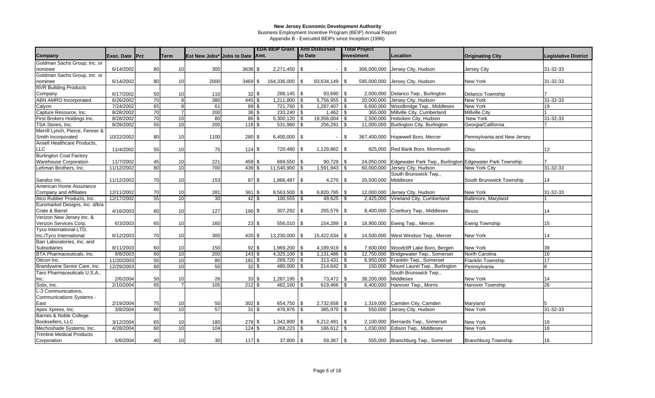Business Employment Incentive Program (BEIP) Annual Report

|                                  |                       |    |                 |                                         |                                 |                  | <b>EDA BEIP Grant   Amt Disbursed</b> |         |                 |              | <b>Total Project</b> |                                                                    |                             |                             |
|----------------------------------|-----------------------|----|-----------------|-----------------------------------------|---------------------------------|------------------|---------------------------------------|---------|-----------------|--------------|----------------------|--------------------------------------------------------------------|-----------------------------|-----------------------------|
| Company                          | <b>Exec. Date Pct</b> |    | Term            | <b>Est New Jobs* Jobs to Date 1Amt.</b> |                                 |                  |                                       | to Date |                 |              | Investment           | Location                                                           | <b>Originating City</b>     | <b>Legislative District</b> |
| Goldman Sachs Group, Inc. or     |                       |    |                 |                                         |                                 |                  |                                       |         |                 |              |                      |                                                                    |                             |                             |
| nominee                          | 6/14/2002             | 80 | 10              | 300                                     | $3636$ \$                       |                  | 2,271,450                             | l \$    | $\sim$          | $\mathbf{s}$ |                      | 306,000,000 Jersey City, Hudson                                    | Jersey City                 | 31-32-33                    |
| Goldman Sachs Group, Inc. or     |                       |    |                 |                                         |                                 |                  |                                       |         |                 |              |                      |                                                                    |                             |                             |
| nominee                          | 6/14/2002             | 80 | 10              | 2000                                    | $3469$ \$                       |                  | 164,336,000                           | l \$    | 93,634,149      | \$           |                      | 595,000,000 Jersey City, Hudson                                    | New York                    | 31-32-33                    |
| <b>NVR Building Products</b>     |                       |    |                 |                                         |                                 |                  |                                       |         |                 |              |                      |                                                                    |                             |                             |
| Company                          | 6/17/2002             | 50 | 10              | 110                                     | $32$ \$                         |                  | $288,145$ \\$                         |         | $93,690$ \\$    |              |                      | 2,000,000 Delanco Twp., Burlington                                 | <b>Delanco Township</b>     |                             |
| ABN AMRO Incorporated            | 6/26/2002             | 70 |                 | 380                                     | 445 \$                          |                  | $1,211,800$ \ \$                      |         | $5,756,955$ \$  |              |                      | 20,000,000 Jersey City, Hudson                                     | New York                    | 31-32-33                    |
| Calyon                           | 7/24/2002             | 65 |                 | 61                                      | $89$ \$                         |                  | $721,760$ \$                          |         | $1,287,407$ \$  |              |                      | 6,600,000 Woodbridge Twp., Middlesex                               | <b>New York</b>             | 19                          |
| Capture Resource, Inc.           | 8/28/2002             | 70 |                 | 200                                     |                                 | $36\frac{1}{9}$  | $233,240$ \$                          |         | $1,462$ \$      |              |                      | 365,000 Millville City, Cumberland                                 | <b>Millville City</b>       |                             |
| First Brokers Holdings Inc.      | 8/28/2002             | 70 | 10              | 80                                      |                                 | $86\frac{1}{9}$  | $5,300,120$ \$                        |         | $19,356,004$ \$ |              |                      | 2,500,000 Hoboken City, Hudson                                     | New York                    | 31-32-33                    |
| TSA Stores, Inc.                 | 8/28/2002             | 55 | 10              | 200                                     | 118S                            |                  | 531,960                               | l \$    | $256,291$ \$    |              |                      | 11,000,000 Burlington City, Burlington                             | Georgia/California          |                             |
| Merrill Lynch, Pierce, Fenner &  |                       |    |                 |                                         |                                 |                  |                                       |         |                 |              |                      |                                                                    |                             |                             |
| Smith Incorporated               | 10/22/2002            | 80 | 10              | 1100                                    | 280 \$                          |                  | $6,400,000$ \\$                       |         |                 | \$.          | 367,400,000          | Hopewell Boro, Mercer                                              | Pennsylvania and New Jersey |                             |
| Ansell Healthcare Products.      |                       |    |                 |                                         |                                 |                  |                                       |         |                 |              |                      |                                                                    |                             |                             |
| LLC.                             | 11/4/2002             | 55 | 10              | 75                                      | 124S                            |                  | 720,480 \$                            |         | $1,129,862$ \$  |              |                      | 825,000 Red Bank Boro, Monmouth                                    | Ohio                        | 12 <sup>°</sup>             |
| <b>Burlington Coat Factory</b>   |                       |    |                 |                                         |                                 |                  |                                       |         |                 |              |                      |                                                                    |                             |                             |
| Warehouse Corporation            | 11/7/2002             | 45 | 10              | 221                                     | 458 \$                          |                  | 669,550 \$                            |         | 90,729          |              |                      | 24,050,000 Edgewater Park Twp., Burlington Edgewater Park Township |                             |                             |
| Lehman Brothers, Inc.            | 11/12/2002            | 80 | 10              | 700                                     | 439S                            |                  | 11,540,900                            | l \$    | $1,591,943$ \$  |              | 60,000,000           | Jersey City, Hudson                                                | New York City               | 31-32-33                    |
|                                  |                       |    |                 |                                         |                                 |                  |                                       |         |                 |              |                      | South Brunswick Twp.,                                              |                             |                             |
| Sandoz Inc.                      | 11/12/2002            | 70 | 10              | 153                                     |                                 | 87S              | $1,866,487$ \$                        |         | 4,270           | \$.          | 20,500,000           | Middlesex                                                          | South Brunswick Township    | 14                          |
| American Home Assurance          |                       |    |                 |                                         |                                 |                  |                                       |         |                 |              |                      |                                                                    |                             |                             |
| Company and Affiliates           | 12/11/2002            | 70 | 10              | 281                                     | 361                             | l \$             | 8,563,500                             | l \$    | 6,820,795       | \$           | 12,000,000           | Jersey City, Hudson                                                | New York                    | 31-32-33                    |
| Atco Rubber Products, Inc.       | 12/17/2002            | 55 | 10              | 30                                      |                                 | $42 \text{ }$ \$ | 100,555                               |         |                 |              | 2,425,000            | Vineland City, Cumberland                                          | Baltimore, Maryland         |                             |
| Euromarket Designs, Inc. d/b/a   |                       |    |                 |                                         |                                 |                  |                                       |         |                 |              |                      |                                                                    |                             |                             |
| Crate & Barrel                   | 4/16/2003             | 60 | 10              | 127                                     | 190 \$                          |                  | $307,292$ \$                          |         | 265,579         | \$           |                      | 8,400,000 Cranbury Twp., Middlesex                                 | Illinois                    | 14                          |
| Verizon New Jersey Inc. &        |                       |    |                 |                                         |                                 |                  |                                       |         |                 |              |                      |                                                                    |                             |                             |
| Verizon Services Corp.           | 6/3/2003              | 65 | 10              | 160                                     |                                 | $23$ \$          | $556,010$ \\$                         |         | 154,289         | \$           |                      | 18,900,000 Ewing Twp., Mercer                                      | Ewing Township              | 15                          |
| Tyco International LTD,          |                       |    |                 |                                         |                                 |                  |                                       |         |                 |              |                      |                                                                    |                             |                             |
| Inc./Tyco International          | 6/12/2003             | 70 | 10              | 300                                     | 420 \$                          |                  | 13,230,000                            | l \$    | 15,422,634      | - \$         |                      | 14,500,000 West Windsor Twp., Mercer                               | New York                    | 14                          |
| Barr Laboratories, Inc. and      |                       |    |                 |                                         |                                 |                  |                                       |         |                 |              |                      |                                                                    |                             |                             |
| <b>Subsidiaries</b>              | 8/11/2003             | 60 | 10              | 150                                     |                                 | 92S              | $1,969,200$ \\$                       |         | $4,189,919$ \\$ |              | 7,600,000            | Woodcliff Lake Boro, Bergen                                        | <b>New York</b>             | 39                          |
| BTA Pharmaceuticals, Inc.        | 9/8/2003              | 60 | 10              | 200                                     | 143S                            |                  | $4,325,100$ \$                        |         | $1,131,486$ \$  |              |                      | 12,750,000 Bridgewater Twp., Somerset                              | North Carolina              | 16                          |
| Oticon Inc.                      | 11/20/2003            | 55 | 10              | 80                                      | 181                             | l \$             | $269,720$ \$                          |         | $313,431$ \$    |              | 6,950,000            | Franklin Twp., Somerset                                            | Franklin Township           | 17                          |
| Brandywine Senior Care, Inc.     | 12/29/2003            | 60 | 10              | 50                                      | $32 \mid$ \$                    |                  | $480,000$ \$                          |         | $214,642$ \$    |              | 150,000              | Mount Laurel Twp., Burlington                                      | Pennsylvania                | 8                           |
| Taro Pharmaceuticals U.S.A.,     |                       |    |                 |                                         |                                 |                  |                                       |         |                 |              |                      | South Brunswick Twp.,                                              |                             |                             |
| Inc.                             | 2/6/2004              | 50 | 10              | 26                                      |                                 | $33\frac{ }{ }$  | $1,287,195$ \\$                       |         | 73,472          | \$           | 38.200.000           | Middlesex                                                          | <b>New York</b>             | 14                          |
| Solix, Inc.                      | 2/10/2004             | 65 |                 | 105                                     | $212 \overline{\smash{)}\,}$ \$ |                  | $482,160$ \$                          |         | 619,466         | \$           | 6,400,000            | Hanover Twp., Morris                                               | Hanover Township            | 26                          |
| L-3 Communications,              |                       |    |                 |                                         |                                 |                  |                                       |         |                 |              |                      |                                                                    |                             |                             |
| Communications Systems -         |                       |    |                 |                                         |                                 |                  |                                       |         |                 |              |                      |                                                                    |                             |                             |
| East                             | 2/19/2004             | 75 | 10              | 50                                      | $302$ \$                        |                  | 654,750 \$                            |         | 2,732,658 \$    |              |                      | 1,319,000 Camden City, Camden                                      | Maryland                    |                             |
| Apex Xpress, Inc.                | 3/8/2004              | 80 | 10              | 57                                      |                                 | 31S              | 476,976 \$                            |         | $385,970$ \$    |              |                      | 550,000 Jersey City, Hudson                                        | New York                    | 31-32-33                    |
| Barnes & Noble College           |                       |    |                 |                                         |                                 |                  |                                       |         |                 |              |                      |                                                                    |                             |                             |
| Booksellers, LLC                 | 3/12/2004             | 65 | 10              | 180                                     | 278 \$                          |                  | $1,342,800$ \$                        |         | $6,212,491$ \$  |              |                      | 2,100,000 Bernards Twp., Somerset                                  | New York                    | 16                          |
| Mechoshade Systems, Inc.         | 4/28/2004             | 60 | $\overline{10}$ | 104                                     | 124S                            |                  | 268,223                               | l \$    | 186,612 \$      |              |                      | 1,030,000 Edison Twp., Middlesex                                   | <b>New York</b>             | $\overline{18}$             |
| <b>Trimline Medical Products</b> |                       |    |                 |                                         |                                 |                  |                                       |         |                 |              |                      |                                                                    |                             |                             |
| Corporation                      | 5/6/2004              | 40 | 10              | 30                                      | 117S                            |                  | $37,800$ \$                           |         | $59,367$ \$     |              |                      | 555,000 Branchburg Twp., Somerset                                  | <b>Branchburg Township</b>  | 16                          |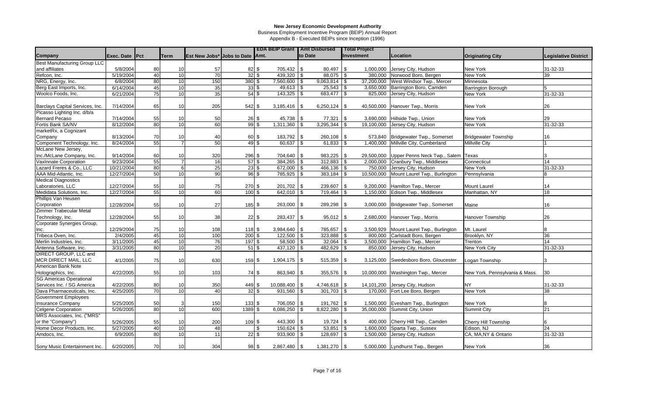Business Employment Incentive Program (BEIP) Annual Report

|                                 |                |    |                 |                                 |                    |                      |                 | <b>EDA BEIP Grant   Amt Disbursed</b> |                         | <b>Total Project</b> |                                      |                                |                             |
|---------------------------------|----------------|----|-----------------|---------------------------------|--------------------|----------------------|-----------------|---------------------------------------|-------------------------|----------------------|--------------------------------------|--------------------------------|-----------------------------|
| Company                         | Exec. Date Pct |    | <b>Term</b>     | Est New Jobs* Jobs to Date Amt. |                    |                      |                 | to Date                               |                         | Investment           | Location                             | <b>Originating City</b>        | <b>Legislative District</b> |
| Best Manufacturing Group LLC    |                |    |                 |                                 |                    |                      |                 |                                       |                         |                      |                                      |                                |                             |
| and affiliates                  | 5/8/2004       | 80 | 10              | 57                              |                    | 82 \$                | 705,432         | 80,497<br>-\$                         | \$                      | 1,000,000            | Jersey City, Hudson                  | <b>New York</b>                | 31-32-33                    |
| Refcon, Inc.                    | 5/19/2004      | 40 | 10              | 70                              |                    | $32\sqrt{3}$         | 439,320 \$      |                                       |                         |                      | 380,000 Norwood Boro, Bergen         | <b>New York</b>                | 39                          |
| NRG, Energy, Inc.               | 6/8/2004       | 80 | 10              | 150                             | 380S               |                      | 7.560.600       | 9.063.814<br>\$                       | \$                      | 37.200.000           | West Windsor Twp., Mercer            | Minnesota                      |                             |
| Berg East Imports, Inc.         | 6/14/2004      | 45 | 10              | 35                              | $33$ $\frac{2}{3}$ |                      | $49,613$ \\$    | $25,543$ \$                           |                         |                      | 3,650,000 Barrington Boro, Camden    | <b>Barrington Borough</b>      | 5                           |
| Woolco Foods, Inc.              | 6/21/2004      | 75 | 10              | 35                              | $54$ \$            |                      | $143,325$ \$    | 683,477                               | s)                      |                      | 825,000 Jersey City, Hudson          | <b>New York</b>                | 31-32-33                    |
|                                 |                |    |                 |                                 |                    |                      |                 |                                       |                         |                      |                                      |                                |                             |
| Barclays Capital Services, Inc. | 7/14/2004      | 65 | 10              | 205                             | 542 \$             |                      | 3,185,416       | 6,250,124<br>\$                       | \$                      |                      | 40,500,000 Hanover Twp., Morris      | <b>New York</b>                | 26                          |
| Picasso Lighting Inc. d/b/a     |                |    |                 |                                 |                    |                      |                 |                                       |                         |                      |                                      |                                |                             |
| <b>Bernard Pecaso</b>           | 7/14/2004      | 55 | 10              | 50                              | $26 \text{ }$ \$   |                      | $45,738$ \\$    | 77,321                                | \$                      | 3,690,000            | Hillside Twp., Union                 | <b>New York</b>                | 29                          |
| Fortis Bank SA/NV               | 8/12/2004      | 80 | 10              | 60                              | 995                |                      | 1,311,360       | 3,295,344                             |                         | 19,100,000           | Jersey City, Hudson                  | <b>New York</b>                | 31-32-33                    |
| marketRx, a Cognizant           |                |    |                 |                                 |                    |                      |                 |                                       |                         |                      |                                      |                                |                             |
| Company                         | 8/13/2004      | 70 | 10              | 40                              |                    | 60 \$                | 183,792 \$      | 260,108                               | <b>S</b>                |                      | 573,840   Bridgewater Twp., Somerset | <b>Bridgewater Township</b>    | 16                          |
| Component Technology, Inc.      | 8/24/2004      | 55 |                 | 50                              |                    | $49$ \$              | 60,637          | 61,833<br>\$.                         | \$                      | 1,400,000            | Millville City, Cumberland           | <b>Millville City</b>          |                             |
| McLane New Jersey,              |                |    |                 |                                 |                    |                      |                 |                                       |                         |                      |                                      |                                |                             |
| Inc./McLane Company, Inc.       | 9/14/2004      | 60 | 10              | 320                             | 296 \$             |                      | 704,640 \$      | $983,225$ \$                          |                         | 29,500,000           | Upper Penns Neck Twp., Salem Texas   |                                | $3^{\circ}$                 |
| VaxInnate Corporation           | 9/23/2004      | 55 |                 | 16                              | $57$ \$            |                      | $384,265$ \$    | $312,883$ \$                          |                         |                      | 2,000,000 Cranbury Twp., Middlesex   | Connecticut                    | 14                          |
| Lazard Freres & Co., LLC        | 10/21/2004     | 80 |                 | 25                              | $23$ \$            |                      | 672,000 \$      | 466,136 \$                            |                         | 750,000              | Jersey City, Hudson                  | New York                       | 31-32-33                    |
| AAA Mid-Atlantic, Inc.          | 12/27/2004     | 50 | 10              | 90                              | $96 $ \$           |                      | 785,925 \$      | $383,184$ \\$                         |                         | 10,500,000           | Mount Laurel Twp., Burlington        | Pennsylvania                   | 8                           |
| <b>Medical Diagnostics</b>      |                |    |                 |                                 |                    |                      |                 |                                       |                         |                      |                                      |                                |                             |
| Laboratories, LLC               | 12/27/2004     | 55 | 10              | 75                              | 270 \$             |                      | 201,702 \$      | 239,607                               | \$                      | 9,200,000            | Hamilton Twp., Mercer                | <b>Mount Laurel</b>            | 14                          |
| Medidata Solutions, Inc.        | 12/27/2004     | 55 | $\overline{10}$ | 60                              | $100$ \$           |                      | $642,010$ \\$   | 719,464                               | -\$                     |                      | 1,150,000 Edison Twp., Middlesex     | Manhattan, NY                  | 18                          |
| Phillips Van Heusen             |                |    |                 |                                 |                    |                      |                 |                                       |                         |                      |                                      |                                |                             |
| Corporation                     | 12/28/2004     | 55 | 10              | 27                              | 185 \$             |                      | 263,000 \$      | 289,298                               | -\$                     |                      | 3,000,000 Bridgewater Twp., Somerset | Maine                          | 16                          |
| <b>Zimmer Trabecular Metal</b>  |                |    |                 |                                 |                    |                      |                 |                                       |                         |                      |                                      |                                |                             |
| Technology, Inc.                | 12/28/2004     | 55 | 10              | 38                              |                    | 22S                  | 283,437 \$      | $95,012$ \$                           |                         |                      | 2,680,000 Hanover Twp., Morris       | Hanover Township               | 26                          |
| Corporate Synergies Group,      |                |    |                 |                                 |                    |                      |                 |                                       |                         |                      |                                      |                                |                             |
| Inc.                            | 12/29/2004     | 75 | 10              | 108                             | 118S               |                      | $3,984,640$ \$  | 785,657 \$                            |                         | 3,500,929            | Mount Laurel Twp., Burlington        | Mt. Laurel                     |                             |
| Tribeca Oven, Inc.              | 2/4/2005       | 45 | 10              | 100                             | $200$ \$           |                      | $122.500$ \ \$  | 323.888                               | $\overline{\mathbf{s}}$ |                      | 800,000 Carlstadt Boro, Bergen       | Brooklyn, NY                   | 36                          |
| Merlin Industries, Inc.         | 3/11/2005      | 45 | 10              | 76                              | 197 <sup>5</sup>   |                      | $58,500$ \$     | $32,064$ \$                           |                         |                      | 3,500,000 Hamilton Twp., Mercer      | Trenton                        | 14                          |
| Antenna Software, Inc.          | 3/31/2005      | 80 | 10              | $\overline{20}$                 |                    | $51$ \ $\frac{1}{3}$ | $437,120$ \$    | 482,629                               | $\mathbf{s}$            |                      | 850,000 Jersey City, Hudson          | New York City                  | 31-32-33                    |
| DIRECT GROUP, LLC and           |                |    |                 |                                 |                    |                      |                 |                                       |                         |                      |                                      |                                |                             |
| MCR DIRECT MAIL, LLC            | 4/1/2005       | 75 | 10              | 630                             | 159 \$             |                      | $1,904,175$ \\$ | 515,359                               | \$                      | 3,125,000            | Swedesboro Boro, Gloucester          | Logan Township                 | 3                           |
| American Bank Note              |                |    |                 |                                 |                    |                      |                 |                                       |                         |                      |                                      |                                |                             |
| Holographics, Inc.              | 4/22/2005      | 55 | 10              | 103                             |                    | 74 \$                | 863,940 \$      | 355,576                               | $\sqrt{3}$              |                      | 10,000,000 Washington Twp., Mercer   | New York, Pennsylvania & Mass. | 30                          |
| <b>SG Americas Operational</b>  |                |    |                 |                                 |                    |                      |                 |                                       |                         |                      |                                      |                                |                             |
| Services Inc. / SG America      | 4/22/2005      | 80 | 10              | 350                             | 449 \$             |                      | 10,088,400      | $4,746,618$ \$<br>\$                  |                         | 14,101,200           | Jersey City, Hudson                  | <b>NY</b>                      | 31-32-33                    |
| Dava Pharmaceuticals, Inc.      | 4/25/2005      | 70 | 10              | 40                              | $32\sqrt{3}$       |                      | $931,560$ \$    | 301,703                               | <b>S</b>                |                      | 170,000 Fort Lee Boro, Bergen        | <b>New York</b>                | 38                          |
| Government Employees            |                |    |                 |                                 |                    |                      |                 |                                       |                         |                      |                                      |                                |                             |
| <b>Insurance Company</b>        | 5/25/2005      | 50 |                 | 150                             | $133$ \$           |                      | 706,050 \$      | $191,762$ \$                          |                         |                      | 1,500,000 Evesham Twp., Burlington   | <b>New York</b>                | 8                           |
| Celgene Corporation             | 5/26/2005      | 80 | 10              | 600                             | 1389 \$            |                      | $6,086,250$ \$  | $8,822,280$ \$                        |                         |                      | 35,000,000 Summit City, Union        | <b>Summit City</b>             | 21                          |
| MRS Associates, Inc. ("MRS"     |                |    |                 |                                 |                    |                      |                 |                                       |                         |                      |                                      |                                |                             |
| or the "Company")               | 5/26/2005      | 55 | 10              | 200                             | 109 \$             |                      | 443,300 \$      | $19,724$ \\$                          |                         |                      | 400,000 Cherry Hill Twp., Camden     | Cherry Hill Township           |                             |
| Home Decor Products, Inc.       | 5/27/2005      | 40 | 10              | 48                              |                    | \$                   | $150,624$ \$    | 53,851                                | \$                      | 1,600,000            | Sparta Twp., Sussex                  | Edison, NJ                     | 24                          |
| Amdocs, Inc.                    | 6/9/2005       | 80 | 10              | 11                              |                    | 22S                  | $933,900$ \$    | 128,697                               | \$                      | 1,500,000            | Jersey City, Hudson                  | CA, MA, NY & Ontario           | 31-32-33                    |
|                                 |                |    |                 |                                 |                    |                      |                 |                                       |                         |                      |                                      |                                |                             |
| Sony Music Entertainment Inc.   | 6/20/2005      | 70 | 10 <sup>1</sup> | 304                             |                    | 98 \$                | $2,867,480$ \\$ |                                       |                         |                      | 5,000,000 Lyndhurst Twp., Bergen     | New York                       | 36                          |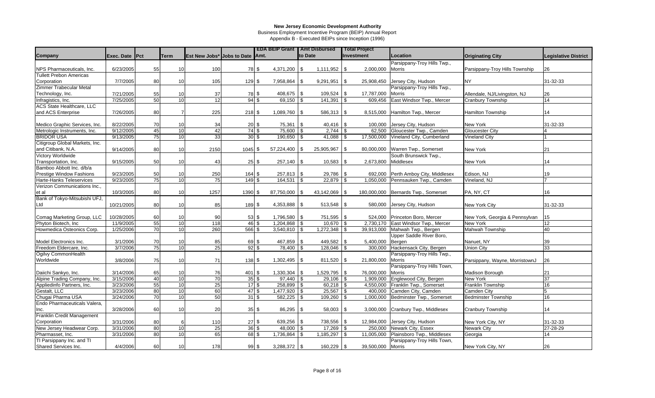Business Employment Incentive Program (BEIP) Annual Report

|                                                   |                        |          |                 |                                 |                            | <b>EDA BEIP Grant   Amt Disbursed</b> |                | <b>Total Project</b>          |                                     |                                         |                             |
|---------------------------------------------------|------------------------|----------|-----------------|---------------------------------|----------------------------|---------------------------------------|----------------|-------------------------------|-------------------------------------|-----------------------------------------|-----------------------------|
| Company                                           | Exec. Date Pct         |          | Term            | Est New Jobs* Jobs to Date Amt. |                            |                                       | to Date        | <b>Investment</b>             | Location                            | <b>Originating City</b>                 | <b>Legislative District</b> |
|                                                   |                        |          |                 |                                 |                            |                                       |                |                               | Parsippany-Troy Hills Twp.,         |                                         |                             |
| NPS Pharmaceuticals, Inc.                         | 6/23/2005              | 55       | 10              | 100                             | 78 \$                      | $4,371,200$ \\$                       | 1,111,952      | 2,000,000<br>\$               | Morris                              | Parsippany-Troy Hills Township          | 26                          |
| <b>Tullett Prebon Americas</b>                    |                        |          |                 |                                 |                            |                                       |                |                               |                                     |                                         |                             |
| Corporation                                       | 7/7/2005               | 80       | 10              | 105                             | 129S                       | 7,958,864 \\$                         | 9,291,951      | \$<br>25,908,450              | Jersey City, Hudson                 | <b>NY</b>                               | 31-32-33                    |
| Zimmer Trabecular Metal                           |                        |          |                 |                                 |                            |                                       |                |                               | Parsippany-Troy Hills Twp.,         |                                         |                             |
| Technology, Inc.                                  | 7/21/2005              | 55       | 10              | 37                              | 78 \$                      | 408,675 \$                            | 109,524        | \$<br>17,787,000              | <b>Morris</b>                       | Allendale, NJ/Livingston, NJ            | 26                          |
| Infragistics, Inc.                                | 7/25/2005              | 50       | 10              | 12                              | $94$ \$                    | $69,150$ \$                           | 141,391        | \$<br>609,456                 | East Windsor Twp., Mercer           | Cranbury Township                       | 14                          |
| <b>ACS State Healthcare, LLC</b>                  |                        |          |                 |                                 |                            |                                       |                |                               |                                     |                                         |                             |
| and ACS Enterprise                                | 7/26/2005              | 80       |                 | 225                             | 218 \$                     | $1,089,760$ \\$                       | 586,313        | <b>S</b><br>8,515,000         | Hamilton Twp., Mercer               | <b>Hamilton Township</b>                | 14                          |
|                                                   |                        |          |                 |                                 |                            |                                       |                |                               |                                     |                                         |                             |
| Medico Graphic Services, Inc.                     | 8/22/2005              | 70       | 10              | 34                              | $20\sqrt{3}$               | $75,361$ \\$                          | 40,416         | l \$<br>100,000               | Jersey City, Hudson                 | New York                                | 31-32-33                    |
| Metrologic Instruments, Inc.                      | 9/12/2005              | 45       | $\overline{10}$ | 42                              | $74$ \$                    | 75,600                                | 2,744          | 62.500                        | Gloucester Twp., Camden             | <b>Gloucester City</b>                  |                             |
| <b>BRIDOR USA</b>                                 | 9/13/2005              | 75       | $\overline{10}$ | 33                              | $30\sqrt{3}$               | 190,650                               | 41,088         | 17,500,000<br>\$              | Vineland City, Cumberland           | <b>Vineland City</b>                    |                             |
| Citigroup Global Markets, Inc.                    |                        |          |                 |                                 |                            |                                       |                |                               |                                     |                                         |                             |
| and Citibank, N.A.                                | 9/14/2005              | 80       | 10              | 2150                            | $1045$ \$                  | $57,224,400$ \\$                      | 25,905,967     | \$<br>80,000,000              | Warren Twp., Somerset               | New York                                | 21                          |
| Victory Worldwide                                 |                        |          |                 |                                 |                            |                                       |                |                               | South Brunswick Twp.,               |                                         |                             |
| Transportation, Inc.                              | 9/15/2005              | 50       | 10              | 43                              | $25$ \$                    | $257,140$ \\$                         | 10,583         | 2,673,800<br>\$               | Middlesex                           | New York                                | 14                          |
| Bamboo Abbott Inc. d/b/a                          |                        |          |                 |                                 |                            |                                       |                |                               |                                     |                                         |                             |
| <b>Prestige Window Fashions</b>                   | 9/23/2005              | 50       | 10              | 250                             | 164S                       | $257,813$ \$                          | 29,786         | \$                            | 692,000 Perth Amboy City, Middlesex | Edison, NJ                              | 19                          |
| Harte-Hanks Teleservices                          | 9/23/2005              | 75       | 10              | $\overline{75}$                 | 149 \$                     | $164,531$ \$                          | 22,879         | \$<br>1,050,000               | Pennsauken Twp., Camden             | Vineland, NJ                            |                             |
| Verizon Communications Inc.,                      |                        |          |                 |                                 |                            |                                       |                |                               |                                     |                                         |                             |
| et al                                             | 10/3/2005              | 80       | 10              | 1257                            | 1390S                      | 87,750,000 \$                         | 43,142,069     | l \$                          | 180,000,000 Bernards Twp., Somerset | PA, NY, CT                              | 16                          |
| Bank of Tokyo-Mitsubishi UFJ,                     |                        |          |                 |                                 |                            |                                       |                |                               |                                     |                                         |                             |
| Ltd                                               | 10/21/2005             | 80       | 10              | 85                              | 189S                       | 4,353,888 \$                          | $513,548$ \$   | 580,000                       | Jersey City, Hudson                 | New York City                           | 31-32-33                    |
|                                                   |                        |          |                 |                                 |                            |                                       |                |                               |                                     |                                         |                             |
| Comag Marketing Group, LLC                        | 10/28/2005             | 60       | 10              | 90                              | $53$ \$                    | $1,796,580$ \\$                       | 751,595        | $\overline{\phantom{a}}$      | 524,000 Princeton Boro, Mercer      | New York, Georgia & Pennsylvan          | 15                          |
| Phyton Biotech, Inc.                              | 11/9/2005              | 55       | 10              | 118                             | 46 \$                      |                                       | $10,670$ \ \$  |                               | 2,730,170 East Windsor Twp., Mercer | New York                                | 12                          |
| Howmedica Osteonics Corp.                         | 1/25/2006              | 70       | 10              | 260                             | 566 \$                     | $3,540,810$ \\$                       | 1,272,348      | <b>S</b>                      | 39,913,000 Mahwah Twp., Bergen      | <b>Mahwah Township</b>                  | 40                          |
|                                                   |                        |          |                 |                                 |                            |                                       |                |                               | Upper Saddle River Boro,            |                                         |                             |
| Model Electronics Inc.                            | 3/1/2006               | 70       | 10              | 85                              | 69 \$                      | 467,859 \$                            | 449,582        | -\$<br>5,400,000              | Bergen                              | Nanuet, NY                              | 39                          |
| Freedom Eldercare, Inc.                           | 3/7/2006               | 75       | 10              | 25                              | 92S                        | 78,400                                | 128,046        | 300,000                       | Hackensack City, Bergen             | <b>Union City</b>                       | 33                          |
| Ogilvy CommonHealth                               |                        |          |                 |                                 |                            |                                       |                |                               | Parsippany-Troy Hills Twp.,         |                                         |                             |
| Worldwide                                         | 3/8/2006               | 75       | 10              | 71                              | 138 \$                     | $1,302,495$ \\$                       | 811,520        | 21,800,000<br>\$              | <b>Morris</b>                       | Parsippany, Wayne, MorristownJ          | 26                          |
|                                                   |                        |          |                 |                                 |                            |                                       |                |                               | Parsippany-Troy Hills Town,         |                                         |                             |
| Daiichi Sankyo, Inc.                              | 3/14/2006              | 65       | 10              | 76                              | $401$ \$                   |                                       | 1,529,795      | 76,000,000<br>\$              | Morris                              | Madison Borough                         | 21                          |
| Alpine Trading Company, Inc.                      | 3/15/2006              | 40       | $\overline{10}$ | $\overline{70}$                 | $35\overline{\smash{)}\,}$ | $97,440$ \$                           | 29,106         | 1,909,000<br>\$               | Englewood City, Bergen              | New York                                | $\overline{37}$             |
| Appliedinfo Partners, Inc.                        | 3/23/2006              | 55       | 10              | 25                              | $17\overline{\text{S}}$    | 258,899 \$                            | 60,218         | 4,550,000<br>\$               | Franklin Twp., Somerset             | Franklin Township                       | 16                          |
| Gestalt, LLC                                      | 3/23/2006              | 80<br>70 | 10              | 60                              | $47$ \$<br>$31$ \$         | 1,477,920 \$                          | 25,567         | 400,000<br>\$                 | Camden City, Camden                 | Camden City                             | 5                           |
| Chugai Pharma USA<br>Endo Pharmaceuticals Valera, | 3/24/2006              |          | 10              | 50                              |                            | $582,225$ \$                          | 109,260        | \$<br>1,000,000               | Bedminster Twp., Somerset           | <b>Bedminster Township</b>              | 16                          |
| Inc.                                              | 3/28/2006              | 60       | 10              | 20                              | $35$ \$                    | $86,295$ \$                           | 58,003         | \$<br>3,000,000               | Cranbury Twp., Middlesex            | Cranbury Township                       | 14                          |
| Franklin Credit Management                        |                        |          |                 |                                 |                            |                                       |                |                               |                                     |                                         |                             |
|                                                   |                        | 80       |                 |                                 | $27$ \$                    |                                       | 738,556 \$     |                               | Jersey City, Hudson                 |                                         | 31-32-33                    |
| Corporation<br>New Jersey Headwear Corp.          | 3/31/2006<br>3/31/2006 | 80       | 10              | 110<br>25                       | $36\overline{\smash{3}}$   | 639,256 \$<br>$48,000$ \ \$           | $17,269$ \$    | 12,984,000<br>250,000         | Newark City, Essex                  | New York City, NY<br><b>Newark City</b> | 27-28-29                    |
| Pharmasset, Inc.                                  | 3/31/2006              | 80       | 10              | 65                              | 68 \$                      | $1,736,864$ \$                        | $1,185,297$ \$ | 11,005,000                    | Plainsboro Twp., Middlesex          |                                         | 14                          |
| TI Parsippany Inc. and TI                         |                        |          |                 |                                 |                            |                                       |                |                               | Parsippany-Troy Hills Town,         | Georgia                                 |                             |
| Shared Services Inc.                              | 4/4/2006               | 60       | 10              | 178                             | 99 \$                      | $3,288,372$ \\$                       | 160,229        | <b>S</b><br>39,500,000 Morris |                                     | New York City, NY                       | 26                          |
|                                                   |                        |          |                 |                                 |                            |                                       |                |                               |                                     |                                         |                             |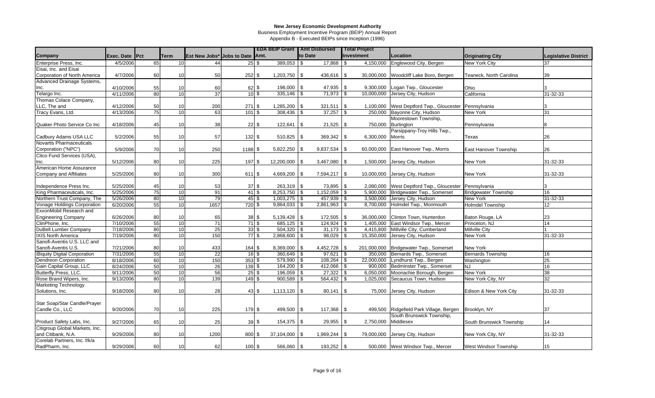Business Employment Incentive Program (BEIP) Annual Report

|                                     |                       |    |      |                                 |                            |                                      | <b>EDA BEIP Grant   Amt Disbursed</b> |            |                  |            | <b>Total Project</b> |                                                      |                              |                             |
|-------------------------------------|-----------------------|----|------|---------------------------------|----------------------------|--------------------------------------|---------------------------------------|------------|------------------|------------|----------------------|------------------------------------------------------|------------------------------|-----------------------------|
| Company                             | <b>Exec. Date Pct</b> |    | Term | Est New Jobs* Jobs to Date Amt. |                            |                                      |                                       | to Date    |                  |            | <b>Investment</b>    | Location                                             | <b>Originating City</b>      | <b>Legislative District</b> |
| Enterprise Press, Inc.              | 4/5/2006              | 65 | 10   | 44                              |                            | 25S                                  | $389,053$ \$                          |            | 17,868           | -\$        | 4,150,000            | Englewood City, Bergen                               | New York City                | 37                          |
| Eisai. Inc. and Eisai               |                       |    |      |                                 |                            |                                      |                                       |            |                  |            |                      |                                                      |                              |                             |
| Corporation of North America        | 4/7/2006              | 60 | 10   | 50                              | $252$ \$                   |                                      | $1,203,750$ \\$                       |            | 436,616          | <b>S</b>   | 30,000,000           | Woodcliff Lake Boro, Bergen                          | Teaneck. North Carolina      | 39                          |
| Advanced Drainage Systems,          |                       |    |      |                                 |                            |                                      |                                       |            |                  |            |                      |                                                      |                              |                             |
| Inc.                                | 4/10/2006             | 55 | 10   | 60                              |                            | $62 \,$ \$                           | 198,000 \$                            |            | 47,935           | <b>S</b>   | 9,300,000            | Logan Twp., Gloucester                               | Ohio                         |                             |
| Telargo Inc.                        | 4/11/2006             | 80 | 10   | 37                              | $10\overline{\smash{)}\,}$ |                                      | $335,146$ \$                          |            | 71,973           | -\$        | 10.000.000           | Jersey City, Hudson                                  | California                   | 31-32-33                    |
| Thomas Colace Company,              |                       |    |      |                                 |                            |                                      |                                       |            |                  |            |                      |                                                      |                              |                             |
| LLC, The and                        | 4/12/2006             | 50 | 10   | 200                             | 271S                       |                                      | 1,285,200                             | $\sqrt{3}$ | 321,511          | -\$        | 1,100,000            | West Deptford Twp., Gloucester Pennsylvania          |                              | 3                           |
| Tracy Evans, Ltd.                   | 4/13/2006             | 75 | 10   | 63                              | 101S                       |                                      | 308,436 \$                            |            | 37,257           | -\$        |                      | 250,000 Bayonne City, Hudson                         | <b>New York</b>              | 31                          |
|                                     |                       |    |      |                                 |                            |                                      |                                       |            |                  |            |                      | Moorestown Township,                                 |                              |                             |
| Quaker Photo Service Co Inc         | 4/18/2006             | 45 | 10   | 38                              |                            | $22 \text{ }$ \$                     | 122,641                               | l \$       | 21,525           | -\$        | 750,000              | Burlington                                           | Pennsylvania                 | 8                           |
|                                     |                       |    |      |                                 |                            |                                      |                                       |            |                  |            |                      | Parsippany-Troy Hills Twp.,                          |                              |                             |
| Cadbury Adams USA LLC               | 5/2/2006              | 55 | 10   | 57                              | $132$ \$                   |                                      | 510,825                               | l \$       | 369,342          | \$         | 6,300,000            | <b>Morris</b>                                        | Texas                        | 26                          |
| Novartis Pharmaceuticals            |                       |    |      |                                 |                            |                                      |                                       |            |                  |            |                      |                                                      |                              |                             |
| Corporation ("NPC")                 | 5/9/2006              | 70 | 10   | 250                             | 1188S                      |                                      | $5,822,250$ \\$                       |            | 9,837,534        | -\$        |                      | 60,000,000 East Hanover Twp., Morris                 | East Hanover Township        | 26                          |
| Citco Fund Services (USA),          |                       |    |      |                                 |                            |                                      |                                       |            |                  |            |                      |                                                      |                              |                             |
| Inc.                                | 5/12/2006             | 80 | 10   | 225                             | $197$ \$                   |                                      | 12,200,000   \$                       |            | $3,467,080$ \ \$ |            |                      | 1,500,000 Jersey City, Hudson                        | New York                     | 31-32-33                    |
| American Home Assurance             |                       |    |      |                                 |                            |                                      |                                       |            |                  |            |                      |                                                      |                              |                             |
| Company and Affiliates              | 5/25/2006             | 80 | 10   | 300                             | 611 \$                     |                                      | 4,669,200                             | \$         | 7,594,217        | \$         |                      | 10,000,000 Jersey City, Hudson                       | New York                     | 31-32-33                    |
|                                     |                       |    |      |                                 |                            |                                      |                                       |            |                  |            |                      |                                                      |                              |                             |
| Independence Press Inc.             | 5/25/2006             | 45 | 10   | 53                              |                            | 37S                                  | 263,319 \$                            |            | 73,895 \$        |            | 2,080,000            | West Deptford Twp., Gloucester Pennsylvania          |                              | 3                           |
| King Pharmaceuticals, Inc.          | 5/25/2006             | 75 | 10   | 91                              | $41$ \$                    |                                      | $8,253,750$ \$                        |            | $1,152,059$ \$   |            |                      | 5,900,000 Bridgewater Twp., Somerset                 | <b>Bridgewater Township</b>  | 16                          |
| Northern Trust Company, The         | 5/26/2006             | 80 | 10   | 79                              | $45\overline{\smash{3}}$   |                                      | $1,003,275$ \$                        |            | $457,939$ \$     |            | 3,500,000            | Jersey City, Hudson                                  | <b>New York</b>              | 31-32-33                    |
| Vonage Holdings Corporation         | 6/20/2006             | 55 | 10   | 1657                            | $720$ \$                   |                                      | $9,864,033$ \$                        |            | $2,861,963$ \$   |            |                      | 8,700,000 Holmdel Twp., Monmouth                     | <b>Holmdel Township</b>      | 12 <sup>°</sup>             |
| ExxonMobil Research and             |                       |    |      |                                 |                            |                                      |                                       |            |                  |            |                      |                                                      |                              |                             |
| <b>Engineering Company</b>          | 6/26/2006             | 80 | 10   | 65                              | $38$ \$                    |                                      | $5,139,428$ \\$                       |            | $172,505$ \\$    |            | 36,000,000           | Clinton Town, Hunterdon                              | Baton Rouge, LA              | 23                          |
| ClinPhone, Inc.                     | 7/10/2006             | 55 | 10   | 71                              | $71$ \$                    |                                      | $685,125$ \$                          |            |                  |            | 1,405,000            | East Windsor Twp., Mercer                            | Princeton, NJ                | 14                          |
| DuBell Lumber Company               | 7/18/2006             | 80 | 10   | $\overline{25}$                 |                            | $33\overline{\text{}}\sqrt{\text{}}$ | $504,320$ \$                          |            | $31,173$ \$      |            |                      | 4,415,800 Millville City, Cumberland                 | <b>Millville City</b>        |                             |
| <b>IXIS North America</b>           | 7/19/2006             | 80 | 10   | 150                             | $77$ \$                    |                                      | $2,868,600$ \$                        |            | 98,029           | $\sqrt{3}$ |                      | 15,350,000 Jersey City, Hudson                       | New York                     | 31-32-33                    |
| Sanofi-Aventis U.S. LLC and         |                       |    |      |                                 |                            |                                      |                                       |            |                  |            |                      |                                                      |                              |                             |
| Sanofi-Aventis U.S.                 | 7/21/2006             | 80 | 10   | 433                             | 164 \$                     |                                      | $8,369,000$ \ \$                      |            | 4,452,728        | <b>S</b>   |                      | 201,000,000 Bridgewater Twp., Somerset               | New York                     |                             |
| <b>iBiquity Digital Corporation</b> | 7/31/2006             | 55 | 10   | 22                              | $16 \text{ }$ \$           |                                      | 360,649 \$                            |            | 97,621           | $\sqrt{3}$ |                      | 350,000 Bernards Twp., Somerset                      | <b>Bernards Township</b>     | 16                          |
| Dendreon Corporation                | 8/18/2006             | 60 | 10   | 150                             | $353$ \$                   |                                      | 579,990                               | \$         | 108,264          | \$         | 22,000,000           | Lyndhurst Twp., Bergen                               | Washington                   | 25                          |
| Gain Capital Group, LLC             | 8/24/2006             | 50 | 10   | 26                              | $139$ \$                   |                                      | $164,200$ \\$                         |            | $412,066$ \$     |            |                      | 900,000 Bedminster Twp., Somerset                    | <b>NJ</b>                    | 16                          |
| Butterfly Press, LLC.               | 9/11/2006             | 50 | 10   | 56                              | $25\sqrt{3}$               |                                      | 196,059                               | \$         | 27,322           | \$         | 6,050,000            | Moonachie Borough, Bergen                            | New York                     | 38                          |
| Rose Brand Wipers, Inc.             | 9/13/2006             | 80 | 10   | 139                             | $149$ \$                   |                                      | 900,589                               | -\$        | 564,432          | $\sqrt{3}$ | 1,025,000            | Secaucus Town, Hudson                                | New York City, NY            | 32                          |
| <b>Marketing Technology</b>         |                       |    |      |                                 |                            |                                      |                                       |            |                  |            |                      |                                                      |                              |                             |
| Solutions, Inc.                     | 9/18/2006             | 80 | 10   | 28                              |                            | $43 \,$ \$                           |                                       |            | 80,141           | -\$        | 75,000               | Jersey City, Hudson                                  | Edison & New York City       | 31-32-33                    |
|                                     |                       |    |      |                                 |                            |                                      |                                       |            |                  |            |                      |                                                      |                              |                             |
| Star Soap/Star Candle/Prayer        |                       |    |      |                                 |                            |                                      |                                       |            |                  |            |                      |                                                      |                              |                             |
| Candle Co., LLC                     | 9/20/2006             | 70 | 10   | 225                             | 179 \$                     |                                      | 499,500 \$                            |            | 117,368          | \$         |                      | 499,500 Ridgefield Park Village, Bergen Brooklyn, NY |                              | 37                          |
|                                     |                       |    |      |                                 |                            |                                      |                                       |            |                  |            |                      | South Brunswick Township,                            |                              |                             |
| Product Safety Labs, Inc.           | 9/27/2006             | 65 | 10   | 25                              | 39S                        |                                      | $154,375$ \$                          |            | 29,955           | <b>S</b>   | 2,750,000            | Middlesex                                            | South Brunswick Township     | 14                          |
| Citigroup Global Markets, Inc.      |                       |    |      |                                 |                            |                                      |                                       |            |                  |            |                      |                                                      |                              |                             |
| and Citibank, N.A.                  | 9/29/2006             | 80 | 10   | 1200                            | 800 \$                     |                                      | $37,104,000$ \\$                      |            | 1,969,244        | -\$        |                      | 79,000,000 Jersey City, Hudson                       | New York City, NY            | 31-32-33                    |
| Corelab Partners, Inc. f/k/a        |                       |    |      |                                 |                            |                                      |                                       |            |                  |            |                      |                                                      |                              |                             |
| RadPharm, Inc.                      | 9/29/2006             | 60 | 10   | 62                              | 100S                       |                                      | 566,060 \$                            |            | $193,252$ \$     |            |                      | 500,000 West Windsor Twp., Mercer                    | <b>West Windsor Township</b> | 15                          |
|                                     |                       |    |      |                                 |                            |                                      |                                       |            |                  |            |                      |                                                      |                              |                             |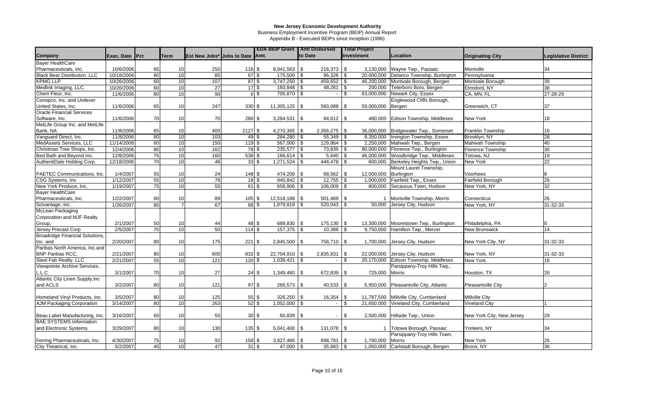Business Employment Incentive Program (BEIP) Annual Report

|                                     |                |    |                 |                                   |                                |                    |                 | <b>EDA BEIP Grant   Amt Disbursed</b> |            | <b>Total Project</b>  |                                         |                           |                             |
|-------------------------------------|----------------|----|-----------------|-----------------------------------|--------------------------------|--------------------|-----------------|---------------------------------------|------------|-----------------------|-----------------------------------------|---------------------------|-----------------------------|
| Company                             | Exec. Date Pct |    | <b>Term</b>     | Est New Jobs* Jobs to Date   Amt. |                                |                    |                 | to Date                               |            | Investment            | Location                                | <b>Originating City</b>   | <b>Legislative District</b> |
| <b>Bayer HealthCare</b>             |                |    |                 |                                   |                                |                    |                 |                                       |            |                       |                                         |                           |                             |
| Pharmaceuticals, Inc.               | 10/6/2006      | 65 | 10              | 250                               | 116S                           |                    |                 | 216,373                               | \$         | 3,130,000             | Wayne Twp., Passaic                     | Montville                 | 34                          |
| <b>Black Bear Distribution, LLC</b> | 10/18/2006     | 80 | 10              | 85                                | 67S                            |                    | $175,500$ \$    | $96,326$ \ \ \$                       |            |                       | 20,000,000 Delanco Township, Burlington | Pennsylvania              |                             |
| <b>KPMG LLP</b>                     | 10/26/2006     | 60 | 10              | 107                               | $87\sqrt{3}$                   |                    | 3.747.250       | 459.652<br>\$                         | -\$        |                       | 46,200,000 Montvale Borough, Bergen     | Montvale Borough          | 39                          |
| Medlink Imaging, LLC.               | 10/26/2006     | 60 | 10              | 27                                | $17\sqrt{3}$                   |                    | 160,848         | 48,261                                | \$         |                       | 200,000 Teterboro Boro, Bergen          | Elmsford, NY              | 38                          |
| Chem Fleur, Inc.                    | 11/6/2006      | 80 | 10              | 90                                |                                | 6 \$               | 705,870         | $\mathfrak{L}$<br>$\sim$              | \$         | 63,000,000            | Newark City, Essex                      | CA, MN, FL                | 27-28-29                    |
| Conopco, Inc. and Unilever          |                |    |                 |                                   |                                |                    |                 |                                       |            |                       | Englewood Cliffs Borough,               |                           |                             |
| United States, Inc.                 | 11/6/2006      | 65 | 10              | 247                               | 330 \$                         |                    | $11,305,125$ \$ | 560,088                               | \$         | 59,000,000            | Bergen                                  | Greenwich, CT             | 37                          |
| <b>Oracle Financial Services</b>    |                |    |                 |                                   |                                |                    |                 |                                       |            |                       |                                         |                           |                             |
| Software, Inc.                      | 11/6/2006      | 70 | 10              | 70                                | 280 \$                         |                    | 3,284,531       | $\sqrt{3}$<br>$84,612$ \$             |            | 480,000               | Edison Township, Middlesex              | <b>New York</b>           | 18                          |
| MetLife Group Inc. and MetLife      |                |    |                 |                                   |                                |                    |                 |                                       |            |                       |                                         |                           |                             |
| Bank, NA                            | 11/8/2006      | 65 | 10              | 400                               | 2127 \$                        |                    | $4,270,365$ \\$ | 2,356,275                             | <b>S</b>   |                       | 36,000,000 Bridgewater Twp., Somerset   | <b>Franklin Township</b>  | 16                          |
| Vanguard Direct, Inc.               | 11/8/2006      | 80 | 10              | 103                               | 49 \$                          |                    | $284,280$ \$    | $55,349$ \\$                          |            | 9,350,000             | Irvington Township, Essex               | Brooklyn, NY              | 28                          |
| MedAssets Services, LLC             | 11/14/2006     | 60 | 10              | 150                               | 119 \$                         |                    | 567,000 \$      | 129,864                               | $\sqrt{3}$ | 2.250.000             | Mahwah Twp., Bergen                     | Mahwah Township           | 40                          |
| Christmas Tree Shops, Inc.          | 12/4/2006      | 80 | 10              | 162                               | $79$ \$                        |                    | $235,577$ \$    | $73,835$ \\$                          |            | 90.000.000            | Florence Twp., Burlington               | <b>Florence Township</b>  | 30                          |
| Bed Bath and Beyond Inc.            | 12/8/2006      | 75 | $\overline{10}$ | 160                               | $538$ \$                       |                    | 166,614         | 5,640<br>\$                           | <b>S</b>   | 46,000,000            | Woodbridge Twp., Middlesex              | Totowa, NJ                | 19                          |
| AuthentiDate Holding Corp.          | 12/18/2006     | 70 | 10              | 46                                | $33 \,$ \$                     |                    | 1,271,524       | 448,478<br>-\$                        | <b>S</b>   | 600.000               | Berkeley Heights Twp., Union            | <b>New York</b>           | 22                          |
|                                     |                |    |                 |                                   |                                |                    |                 |                                       |            |                       | Mount Laurel Township,                  |                           |                             |
| PAETEC Communications, Inc.         | 1/4/2007       | 55 | 10              | 24                                | $148$ \$                       |                    | 474,200 \$      | 68,562 \$                             |            | 12,000,000 Burlington |                                         | Voorhees                  | 8                           |
| CSG Systems, Inc                    | 1/12/2007      | 55 | 10              | 76                                | $18$ \$                        |                    | $940,842$ \$    | $12,755$ \$                           |            |                       | 1,000,000 Fairfield Twp., Essex         | Fairfield Borough         | 26                          |
| New York Produce, Inc.              | 1/19/2007      | 75 | 10              | 55                                | $61$ \$                        |                    | $656,906$ \$    | $106,009$ \$                          |            |                       | 800,000 Secaucus Town, Hudson           | New York, NY              | 32                          |
| <b>Bayer HealthCare</b>             |                |    |                 |                                   |                                |                    |                 |                                       |            |                       |                                         |                           |                             |
| Pharmaceuticals, Inc.               | 1/22/2007      | 60 | 10              | 89                                | $105$ \$                       |                    | $12,518,188$ \$ | $501,469$ \$                          |            |                       | Montville Township, Morris              | Connecticut               | 26                          |
| Scivantage, Inc.                    | 1/26/2007      | 80 |                 | 67                                |                                | 88S                | $1,879,819$ \$  | $520,043$ \$                          |            |                       | 50,000 Jersey City, Hudson              | New York, NY              | 31-32-33                    |
| McLean Packaging                    |                |    |                 |                                   |                                |                    |                 |                                       |            |                       |                                         |                           |                             |
| Corporation and MJF Realty          |                |    |                 |                                   |                                |                    |                 |                                       |            |                       |                                         |                           |                             |
| Group,                              | 2/1/2007       | 50 | 10              | 44                                | 48 \$                          |                    | 689,830 \$      | 175,130                               | $\sqrt{3}$ |                       | 13,300,000 Moorestown Twp., Burlington  | Philadelphia, PA          |                             |
| Jersey Precast Corp                 | 2/5/2007       | 70 | 10              | 50                                | $114$ \$                       |                    | $157,375$ \$    | 10,388                                | \$         |                       | 9,750,000 Hamilton Twp., Mercer         | <b>New Brunswick</b>      | 14                          |
| Broadridge Financial Solutions,     |                |    |                 |                                   |                                |                    |                 |                                       |            |                       |                                         |                           |                             |
| Inc. and                            | 2/20/2007      | 80 | 10              | 175                               | 221S                           |                    | 2,845,500       | l \$<br>758,710                       | \$         |                       | 1,700,000 Jersey City, Hudson           | New York City, NY         | 31-32-33                    |
| Paribas North America, Inc.and      |                |    |                 |                                   |                                |                    |                 |                                       |            |                       |                                         |                           |                             |
| <b>BNP Paribas RCC,</b>             | 2/21/2007      | 80 | 10              | 600                               | 832 \$                         |                    | 22,704,910 \$   | 2,835,831                             | -\$        |                       | 22,000,000 Jersey City, Hudson          | New York, NY              | 31-32-33                    |
| Steel Fab Realty, LLC               | 2/21/2007      | 55 | $\overline{10}$ | 121                               | $120$ \$                       |                    | $1,039,421$ \$  |                                       | \$         | 20,170,000            | Edison Township, Middlesex              | <b>New York</b>           | 18                          |
| Viewpointe Archive Services,        |                |    |                 |                                   |                                |                    |                 |                                       |            |                       | Parsippany-Troy Hills Twp.,             |                           |                             |
| L.L.C.                              | 3/1/2007       | 70 | 10              | 27                                | $24$ \$                        |                    | $1,349,460$ \$  | 672,839                               | \$         | 725,000               | Morris                                  | Houston, TX               | 26                          |
| Atlantic City Linen Supply, Inc     |                |    |                 |                                   |                                |                    |                 |                                       |            |                       |                                         |                           |                             |
| and ACLS                            | 3/2/2007       | 80 | 10              | 121                               | 97S                            |                    | 266,573 \$      | 40,533                                | \$         | 5,950,000             | Pleasantville City, Atlantic            | Pleasantville City        |                             |
|                                     |                |    |                 |                                   |                                |                    |                 |                                       |            |                       |                                         |                           |                             |
| Homeland Vinyl Products, Inc.       | 3/5/2007       | 80 | 10              | 125                               | 55 \$                          |                    | 326,250 \$      | 16,354                                | \$         | 11,787,500            | Millville City, Cumberland              | Millville City            |                             |
| AJM Packaging Corporation           | 3/14/2007      | 80 | 10              | 263                               | $52$ \$                        |                    | $1,052,000$ \$  | $\overline{\phantom{a}}$              | \$         | 21,650,000            | Vineland City, Cumberland               | <b>Vineland City</b>      |                             |
|                                     |                |    |                 |                                   |                                |                    |                 |                                       |            |                       |                                         |                           |                             |
| Beau Label Manufacturing, Inc.      | 3/16/2007      | 60 | 10              | 55                                |                                | $30\frac{ }{ }$ \$ | $60,839$ \$     | $\blacksquare$                        | \$         |                       | 2,500,000 Hillside Twp., Union          | New York City; New Jersey | 29                          |
| <b>BAE SYSTEMS Information</b>      |                |    |                 |                                   |                                |                    |                 |                                       |            |                       |                                         |                           |                             |
| and Electronic Systems              | 3/29/2007      | 80 | 10              | 130                               | $135$ \$                       |                    | $5,041,400$ \$  | 131,078 \$                            |            |                       | 1 Totowa Borough, Passaic               | Yonkers, NY               | 34                          |
|                                     |                |    |                 |                                   |                                |                    |                 |                                       |            |                       | Parsippany-Troy Hills Town,             |                           |                             |
| Ferring Pharmaceuticals, Inc.       | 4/30/2007      | 75 | 10              | 92                                | 158 \$                         |                    | $3,927,466$ \$  | 698,781                               | S.         | 1,790,000             | Morris                                  | New York                  | 26                          |
| City Theatrical, Inc.               | 5/2/2007       | 45 | 10              | 47                                | $31$ $\overline{\phantom{1}3}$ |                    | $47,000$ \$     |                                       |            |                       | 1,050,000 Carlstadt Borough, Bergen     | Bronx, NY                 | 36                          |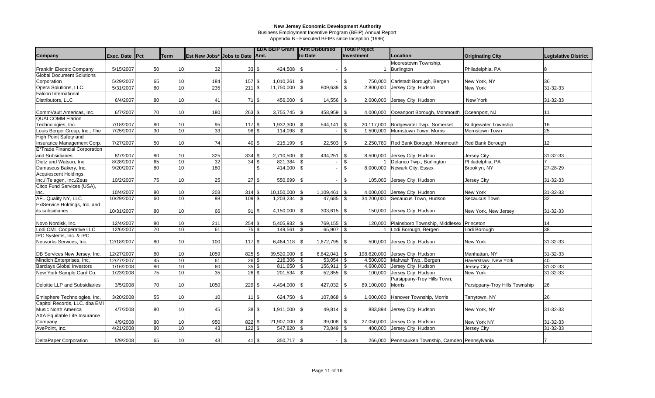Business Employment Incentive Program (BEIP) Annual Report

|                                  |                |    |                 |                                 |                            |                 |                   | <b>EDA BEIP Grant   Amt Disbursed</b> |                          | <b>Total Project</b>     |                                                     |                                |                             |
|----------------------------------|----------------|----|-----------------|---------------------------------|----------------------------|-----------------|-------------------|---------------------------------------|--------------------------|--------------------------|-----------------------------------------------------|--------------------------------|-----------------------------|
| <b>Company</b>                   | Exec. Date Pct |    | <b>Term</b>     | Est New Jobs* Jobs to Date Amt. |                            |                 |                   | to Date                               |                          | <b>Investment</b>        | Location                                            | <b>Originating City</b>        | <b>Legislative District</b> |
|                                  |                |    |                 |                                 |                            |                 |                   |                                       |                          |                          | Moorestown Township,                                |                                |                             |
| <b>Franklin Electric Company</b> | 5/15/2007      | 50 | 10 <sup>1</sup> | 32                              |                            | $33\frac{ }{ }$ | 424,508 \$        |                                       | $\sim$                   | -\$                      | <b>Burlington</b>                                   | Philadelphia, PA               |                             |
| <b>Global Document Solutions</b> |                |    |                 |                                 |                            |                 |                   |                                       |                          |                          |                                                     |                                |                             |
| Corporation                      | 5/29/2007      | 65 | 10              | 184                             | $157$ \$                   |                 | $1,010,261$ \$    |                                       | $\overline{\phantom{a}}$ | \$<br>750,000            | Carlstadt Borough, Bergen                           | New York, NY                   | 36                          |
| Opera Solutions, LLC.            | 5/31/2007      | 80 | 10 <sup>1</sup> | 235                             | 211S                       |                 | $11,750,000$ \ \$ | 809,638                               |                          | 2,800,000<br>-\$         | Jersey City, Hudson                                 | New York                       | 31-32-33                    |
| Falcon International             |                |    |                 |                                 |                            |                 |                   |                                       |                          |                          |                                                     |                                |                             |
| Distributors, LLC                | 6/4/2007       | 80 | 10              | 41                              | 71S                        |                 | 456,000 \$        |                                       | 14,556                   | <b>S</b><br>2,000,000    | Jersey City, Hudson                                 | New York                       | 31-32-33                    |
|                                  |                |    |                 |                                 |                            |                 |                   |                                       |                          |                          |                                                     |                                |                             |
| CommVault Americas, Inc.         | 6/7/2007       | 70 | 10              | 180                             | 263S                       |                 | $3,755,745$ \$    |                                       | 458,959 \$               |                          | 4,000,000 Oceanport Borough, Monmouth Oceanport, NJ |                                | 11                          |
| <b>QUALCOMM Flarion</b>          |                |    |                 |                                 |                            |                 |                   |                                       |                          |                          |                                                     |                                |                             |
| Technologies, Inc.               | 7/18/2007      | 80 | 10              | 95                              | 117S                       |                 |                   | 544,141                               |                          | 20.117.000<br>-\$        | Bridgewater Twp., Somerset                          | <b>Bridgewater Township</b>    | 16                          |
| Louis Berger Group, Inc., The    | 7/25/2007      | 30 | 10 <sup>1</sup> | 33                              | 98 \$                      |                 | $114,098$ \$      |                                       |                          | 1,500,000<br>\$          | Morristown Town, Morris                             | Morristown Town                | $\overline{25}$             |
| High Point Safety and            |                |    |                 |                                 |                            |                 |                   |                                       |                          |                          |                                                     |                                |                             |
| Insurance Management Corp.       | 7/27/2007      | 50 | 10              | 74                              |                            | 40 \$           | $215,199$ \$      |                                       | 22,503                   | <b>S</b><br>2,250,780    | Red Bank Borough, Monmouth                          | <b>Red Bank Borough</b>        | 12 <sup>°</sup>             |
| E*Trade Financial Corporation    |                |    |                 |                                 |                            |                 |                   |                                       |                          |                          |                                                     |                                |                             |
| and Subsidiaries                 | 8/7/2007       | 80 | 10              | 325                             | 334                        | \$              |                   | 434,251                               |                          | -\$<br>8.500.000         | Jersey City, Hudson                                 | Jersey City                    | 31-32-33                    |
| Dietz and Watson, Inc            | 8/28/2007      | 65 | 10              | 32                              | $34$ \$                    |                 | $821,384$ \$      |                                       | $\blacksquare$           | \$                       | Delanco Twp., Burlington                            | Philadelphia, PA               |                             |
| Damascus Bakery, Inc.            | 9/20/2007      | 80 | 10 <sup>1</sup> | 180                             |                            | \$              | $414,000$ \$      |                                       | $\sim$                   | \$<br>8,000,000          | Newark City, Essex                                  | Brooklyn, NY                   | 27-28-29                    |
| Acquiescent Holdings,            |                |    |                 |                                 |                            |                 |                   |                                       |                          |                          |                                                     |                                |                             |
| Inc./ITelagen, Inc./Zeus         | 10/2/2007      | 75 | 10              | 25                              | $27$ \$                    |                 | 550,699 \$        |                                       | $\sim$                   | $\mathbf{s}$             | 105,000 Jersey City, Hudson                         | Jersey City                    | 31-32-33                    |
| Citco Fund Services (USA),       |                |    |                 |                                 |                            |                 |                   |                                       |                          |                          |                                                     |                                |                             |
| Inc.                             | 10/4/2007      | 80 | 10              | 203                             | 314S                       |                 | $10,150,000$ \\$  | 1,109,461                             |                          | <b>S</b><br>4,000,000    | Jersey City, Hudson                                 | New York                       | 31-32-33                    |
| <b>AFL Quality NY, LLC</b>       | 10/29/2007     | 60 | 10 <sup>1</sup> | 98                              | 109S                       |                 |                   |                                       | 47,685                   | 34,200,000<br>-\$        | Secaucus Town, Hudson                               | Secaucus Town                  | 32                          |
| ExlService Holdings, Inc. and    |                |    |                 |                                 |                            |                 |                   |                                       |                          |                          |                                                     |                                |                             |
| its subsidiaries                 | 10/31/2007     | 80 | 10              | 66                              | 91                         | \$              | $4,150,000$ \$    |                                       | $303,615$ \$             | 150,000                  | Jersey City, Hudson                                 | New York, New Jersey           | 31-32-33                    |
|                                  |                |    |                 |                                 |                            |                 |                   |                                       |                          |                          |                                                     |                                |                             |
| Novo Nordisk, Inc.               | 12/4/2007      | 80 | 10              | 211                             | 254                        | \$              | $5,405,932$ \\$   |                                       | 769,155                  | <b>S</b><br>120,000      | Plainsboro Township, Middlesex Princeton            |                                | 14                          |
| Lodi CML Cooperative LLC         | 12/6/2007      | 70 | 10              | 61                              | $75$ \$                    |                 | $149,561$ \$      |                                       | 65,907                   | $\sqrt{3}$               | Lodi Borough, Bergen                                | Lodi Borough                   | 38                          |
| IPC Systems, Inc. & IPC          |                |    |                 |                                 |                            |                 |                   |                                       |                          |                          |                                                     |                                |                             |
| Networks Services, Inc.          | 12/18/2007     | 80 | 10              | 100                             | 117S                       |                 | $6,464,118$ \$    | 1,672,795                             |                          | l \$<br>500,000          | Jersey City, Hudson                                 | New York                       | 31-32-33                    |
|                                  |                |    |                 |                                 |                            |                 |                   |                                       |                          |                          |                                                     |                                |                             |
| DB Services New Jersey, Inc.     | 12/27/2007     | 80 | 10              | 1059                            | 825                        | \$.             | $39,520,000$ \\$  | 6,842,041                             |                          | 198,620,000<br>l \$      | Jersey City, Hudson                                 | Manhattan, NY                  | 31-32-33                    |
| Mindich Enterprises, Inc.        | 12/27/2007     | 45 | 10              | 61                              | $26 \vert \sqrt[6]{3}$     |                 | $216,306$ \$      |                                       | 53,054                   | $\sqrt{3}$<br>4,500,000  | Mahwah Twp., Bergen                                 | Haverstraw, New York           | 40                          |
| <b>Barclays Global Investors</b> | 1/16/2008      | 80 | 10 <sup>1</sup> | 60                              | $35$ \$                    |                 | $811,650$ \$      |                                       | 156,911                  | <b>S</b><br>4,600,000    | Jersey City, Hudson                                 | Jersey City                    | 31-32-33                    |
| New York Sample Card Co.         | 1/23/2008      | 75 | 10 <sup>1</sup> | 35                              | $26\overline{\smash{)}\,}$ |                 | $201,534$ \$      |                                       | 52,855                   | 100,000<br><b>S</b>      | Jersey City, Hudson                                 | New York                       | 31-32-33                    |
|                                  |                |    |                 |                                 |                            |                 |                   |                                       |                          |                          | Parsippany-Troy Hills Town,                         |                                |                             |
| Deloitte LLP and Subsidiaries    | 3/5/2008       | 70 | 10              | 1050                            | 229                        | \$              | $4,494,000$ \\$   |                                       | 427,032                  | l \$<br>89,100,000       | Morris                                              | Parsippany-Troy Hills Township | 26                          |
|                                  |                |    |                 |                                 |                            |                 |                   |                                       |                          |                          |                                                     |                                |                             |
| Emisphere Technologies, Inc.     | 3/20/2008      | 55 | 10              | 10                              |                            | 11S             | 624,750 \$        |                                       | 107,868                  | <b>S</b><br>1,000,000    | Hanover Township, Morris                            | Tarrytown, NY                  | 26                          |
| Capitol Records, LLC. dba EMI    |                |    |                 |                                 |                            |                 |                   |                                       |                          |                          |                                                     |                                |                             |
| <b>Music North America</b>       | 4/7/2008       | 80 | 10              | 45                              | 38                         | \$              | $1,911,000$ \ \$  |                                       | $49,814$ \\$             | 883,894                  | Jersey City, Hudson                                 | New York, NY                   | 31-32-33                    |
| AXA Equitable Life Insurance     |                |    |                 |                                 |                            |                 |                   |                                       |                          |                          |                                                     |                                |                             |
| Company                          | 4/9/2008       | 80 | 10              | 950                             | 822                        | \$              | 21,907,000 \$     |                                       | 39,008                   | $\sqrt{3}$<br>27,050,000 | Jersey City, Hudson                                 | New York NY                    | 31-32-33                    |
| AvePoint, Inc.                   | 4/21/2008      | 80 | $\overline{10}$ | 43                              | $122 \overline{\$}$        |                 | $547,820$ \$      |                                       | 73,849                   | $\sqrt{3}$<br>400,000    | Jersey City, Hudson                                 | <b>Jersey City</b>             | 31-32-33                    |
|                                  |                |    |                 |                                 |                            |                 |                   |                                       |                          |                          |                                                     |                                |                             |
| <b>DeltaPaper Corporation</b>    | 5/9/2008       | 65 | 10 <sup>1</sup> | 43                              |                            | 41S             | $350.717$ \\$     |                                       | $\sim$                   | $\mathbf{s}$             | 266,000 Pennsauken Township, Camden Pennsylvania    |                                |                             |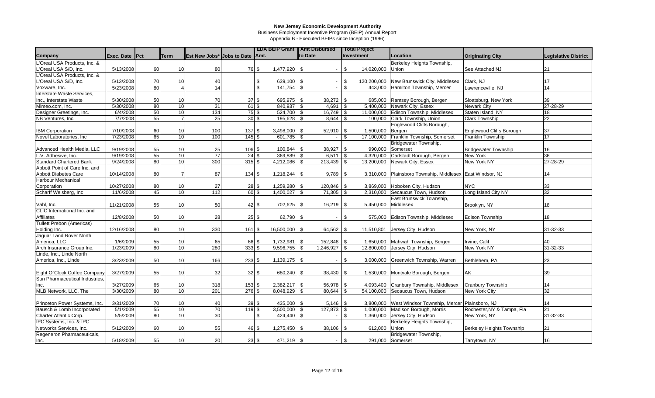Business Employment Incentive Program (BEIP) Annual Report

|                                  |                |    |                 |                                 |              |                             | <b>EDA BEIP Grant   Amt Disbursed</b> |         |                          |                | <b>Total Project</b> |                                                 |                                  |                             |
|----------------------------------|----------------|----|-----------------|---------------------------------|--------------|-----------------------------|---------------------------------------|---------|--------------------------|----------------|----------------------|-------------------------------------------------|----------------------------------|-----------------------------|
| Company                          | Exec. Date Pct |    | <b>Term</b>     | Est New Jobs* Jobs to Date Amt. |              |                             |                                       | to Date |                          |                | Investment           | Location                                        | <b>Originating City</b>          | <b>Legislative District</b> |
| L'Oreal USA Products, Inc. &     |                |    |                 |                                 |              |                             |                                       |         |                          |                |                      | Berkeley Heights Township,                      |                                  |                             |
| L'Oreal USA S/D, Inc.            | 5/13/2008      | 60 | 10              | 80                              |              | 76 \$                       | 1,477,920 \$                          |         | $\blacksquare$           | \$             | 14,020,000           | Union                                           | See Attached NJ                  | 21                          |
| L'Oreal USA Products, Inc. &     |                |    |                 |                                 |              |                             |                                       |         |                          |                |                      |                                                 |                                  |                             |
| L'Oreal USA S/D, Inc.            | 5/13/2008      | 70 | 10              | 40                              |              | \$                          | $639,100$ \$                          |         |                          | <sup>\$</sup>  | 120,200,000          | New Brunswick City, Middlesex                   | Clark, NJ                        | 17                          |
| Voxware, Inc.                    | 5/23/2008      | 80 | $\Delta$        | 14                              |              | \$                          | 141,754 \$                            |         | $\blacksquare$           | \$             | 443,000              | Hamilton Township, Mercer                       | Lawrenceville, NJ                | 14                          |
| Interstate Waste Services,       |                |    |                 |                                 |              |                             |                                       |         |                          |                |                      |                                                 |                                  |                             |
| Inc., Interstate Waste           | 5/30/2008      | 50 | 10              | 70                              |              | $37$ \$                     | 695,975 \$                            |         | 38,272                   | \$             | 685,000              | Ramsey Borough, Bergen                          | Sloatsburg, New York             | 39                          |
| Mimeo.com, Inc.                  | 5/30/2008      | 80 | 10              | $\overline{31}$                 | $61$ \$      |                             |                                       |         | 4,691                    | \$             |                      | 5,400,000 Newark City, Essex                    | <b>Newark City</b>               | 27-28-29                    |
| Designer Greetings, Inc.         | 6/4/2008       | 50 | $\overline{10}$ | 134                             | $75$ \$      |                             | 524,700 \$                            |         | 16,749                   | \$             | 11.000.000           | Edison Township, Middlesex                      | Staten Island, NY                | 18                          |
| NB Ventures, Inc.                | 7/7/2008       | 55 | $\overline{7}$  | 25                              | $30\sqrt{3}$ |                             | $195,628$ \$                          |         | 8,644                    | \$             |                      | 100,000 Clark Township, Union                   | <b>Clark Township</b>            | 22                          |
|                                  |                |    |                 |                                 |              |                             |                                       |         |                          |                |                      | Englewood Cliffs Borough,                       |                                  |                             |
| <b>IBM Corporation</b>           | 7/10/2008      | 60 | 10              | 100                             | 137S         |                             | $3,498,000$ \ \$                      |         | 52,910                   | \$             | 1,500,000            | Bergen                                          | <b>Englewood Cliffs Borough</b>  | 37                          |
| Novel Laboratories, Inc.         | 7/23/2008      | 65 | 10              | 100                             | $145$ \$     |                             | 601,785 \$                            |         |                          | \$             | 17,100,000           | Franklin Township, Somerset                     | <b>Franklin Township</b>         | 17                          |
|                                  |                |    |                 |                                 |              |                             |                                       |         |                          |                |                      | Bridgewater Township,                           |                                  |                             |
| Advanced Health Media, LLC       | 9/19/2008      | 55 | 10              | 25                              | $106$ \$     |                             | $100,844$ \$                          |         | 38,927                   | \$             | 990,000              | Somerset                                        | <b>Bridgewater Township</b>      | 16                          |
| L.V. Adhesive, Inc.              | 9/19/2008      | 55 | 10              | $\overline{77}$                 | $24$ \$      |                             | 369,889 \$                            |         | 6,511                    | \$             | 4,320,000            | Carlstadt Borough, Bergen                       | New York                         | 36                          |
| <b>Standard Chartered Bank</b>   | 9/24/2008      | 80 | 10              | 300                             | $315$ \$     |                             | $4,212,086$ \$                        |         | 213,439                  | \$             | 13,200,000           | Newark City, Essex                              | New York NY                      | 27-28-29                    |
| Abbott Point of Care Inc. and    |                |    |                 |                                 |              |                             |                                       |         |                          |                |                      |                                                 |                                  |                             |
| Abbott Diabetes Care             | 10/14/2008     | 80 |                 | 87                              | 134S         |                             | $1,218,244$ \\$                       |         | 9,789                    | \$             | 3,310,000            | Plainsboro Township, Middlesex East Windsor, NJ |                                  | 14                          |
| <b>Harbour Mechanical</b>        |                |    |                 |                                 |              |                             |                                       |         |                          |                |                      |                                                 |                                  |                             |
| Corporation                      | 10/27/2008     | 80 | 10              | 27                              |              | 28S                         | $1,259,280$ \\$                       |         | 120,846                  | \$             | 3,869,000            | Hoboken City, Hudson                            | <b>NYC</b>                       | 33                          |
| Scharff Weisberg, Inc            | 11/6/2008      | 45 | $\overline{10}$ | 112                             | $60\sqrt{3}$ |                             | $1,400,027$ \\$                       |         | 71,305                   | \$             |                      | 2,310,000 Secaucus Town, Hudson                 | Long Island City NY              | 32                          |
|                                  |                |    |                 |                                 |              |                             |                                       |         |                          |                |                      | East Brunswick Township,                        |                                  |                             |
| Vahl, Inc.                       | 11/21/2008     | 55 | 10              | 50                              |              | $42 \overline{\phantom{a}}$ | 702,625 \$                            |         | 16,219                   | \$             | 5,450,000            | Middlesex                                       | Brooklyn, NY                     | 18                          |
| CLIC International Inc. and      |                |    |                 |                                 |              |                             |                                       |         |                          |                |                      |                                                 |                                  |                             |
| Affiliates                       | 12/8/2008      | 50 | 10              | 28                              | $25$ \$      |                             | $62,790$ \\$                          |         |                          | \$             | 575,000              | Edison Township, Middlesex                      | <b>Edison Township</b>           | 18                          |
| <b>Tullett Prebon (Americas)</b> |                |    |                 |                                 |              |                             |                                       |         |                          |                |                      |                                                 |                                  |                             |
| Holding Inc.                     | 12/16/2008     | 80 | 10              | 330                             | $161$ \$     |                             | 16,500,000 \$                         |         | 64,562                   | -\$            | 11,510,801           | Jersey City, Hudson                             | New York, NY                     | 31-32-33                    |
| Jaguar Land Rover North          |                |    |                 |                                 |              |                             |                                       |         |                          |                |                      |                                                 |                                  |                             |
| America, LLC                     | 1/6/2009       | 55 | 10              | 65                              |              | 66 \$                       | 1,732,981   \$                        |         | 152,848                  | \$             | 1,650,000            | Mahwah Township, Bergen                         | Irvine, Calif                    | 40                          |
| Arch Insurance Group Inc.        | 1/23/2009      | 80 | 10              | 280                             | $333$ \$     |                             | $9,596,755$ \$                        |         | 1,246,927                | \$             | 12,800,000           | Jersey City, Hudson                             | New York NY                      | 31-32-33                    |
| Linde, Inc., Linde North         |                |    |                 |                                 |              |                             |                                       |         |                          |                |                      |                                                 |                                  |                             |
| America, Inc., Linde             | 3/23/2009      | 50 | 10              | 166                             | 233S         |                             | $1,139,175$ \$                        |         |                          | \$             | 3,000,000            | Greenwich Township, Warren                      | Bethlehem, PA                    | 23                          |
|                                  |                |    |                 |                                 |              |                             |                                       |         |                          |                |                      |                                                 |                                  |                             |
| Eight O'Clock Coffee Company     | 3/27/2009      | 55 | 10              | 32                              |              | $32 \,$ \$                  | 680,240 \$                            |         | 38,430                   | <b>S</b>       | 1,530,000            | Montvale Borough, Bergen                        | AK                               | 39                          |
| Sun Pharmaceutical Industries.   |                |    |                 |                                 |              |                             |                                       |         |                          |                |                      |                                                 |                                  |                             |
| Inc.                             | 3/27/2009      | 65 | 10              | 318                             | $153$ \$     |                             | $2,382,217$ \$                        |         | 56,978                   | -\$            | 4,093,400            | Cranbury Township, Middlesex                    | <b>Cranbury Township</b>         | 14                          |
| MLB Network, LLC, The            | 3/30/2009      | 80 | $\overline{10}$ | 201                             | $276$ \$     |                             | $8,048,929$ \$                        |         | 80,644                   | \$             | 54,100,000           | Secaucus Town, Hudson                           | New York City                    | 32                          |
|                                  |                |    |                 |                                 |              |                             |                                       |         |                          |                |                      |                                                 |                                  |                             |
| Princeton Power Systems, Inc.    | 3/31/2009      | 70 | 10              | 40                              | 39S          |                             | 435,000 \$                            |         | 5,146                    | <b>S</b>       | 3.800.000            | West Windsor Township, Mercer Plainsboro, NJ    |                                  | 14                          |
| Bausch & Lomb Incorporated       | 5/1/2009       | 55 | $\overline{10}$ | 70                              | 119S         |                             | $3,500,000$ \$                        |         | 127,873                  | l \$           | 1,000,000            | Madison Borough, Morris                         | Rochester, NY & Tampa, Fla       | 21                          |
| Charter Atlantic Corp.           | 5/5/2009       | 80 | 10              | 30                              |              | \$                          | $424,440$ \\$                         |         | $\blacksquare$           | \$             | 1,360,000            | Jersey City, Hudson                             | New York, NY                     | 31-32-33                    |
| IPC Systems, Inc. & IPC          |                |    |                 |                                 |              |                             |                                       |         |                          |                |                      | Berkeley Heights Township,                      |                                  |                             |
| Networks Services, Inc.          | 5/12/2009      | 60 | 10              | 55                              |              | 46 \$                       |                                       |         | 38,106                   | \$             | 612,000              | Union                                           | <b>Berkeley Heights Township</b> | 21                          |
| Regeneron Pharmaceuticals,       |                |    |                 |                                 |              |                             |                                       |         |                          |                |                      | Bridgewater Township,                           |                                  |                             |
| Inc.                             | 5/18/2009      | 55 | 10              | 20                              |              | 23S                         | $471,219$ \\$                         |         | $\overline{\phantom{a}}$ | $\mathfrak{S}$ |                      | 291,000 Somerset                                | Tarrytown, NY                    | 16                          |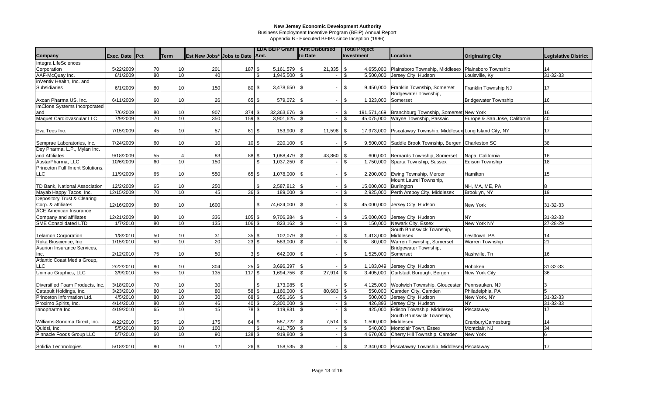Business Employment Incentive Program (BEIP) Annual Report

|                                  |                |    |                 |                                 |                  |                 |                  | <b>EDA BEIP Grant   Amt Disbursed</b> |                         | <b>Total Project</b> |                                                       |                               |                             |
|----------------------------------|----------------|----|-----------------|---------------------------------|------------------|-----------------|------------------|---------------------------------------|-------------------------|----------------------|-------------------------------------------------------|-------------------------------|-----------------------------|
| Company                          | Exec. Date Pct |    | <b>Term</b>     | Est New Jobs* Jobs to Date Amt. |                  |                 |                  | to Date                               |                         | Investment           | Location                                              | <b>Originating City</b>       | <b>Legislative District</b> |
| Integra LifeSciences             |                |    |                 |                                 |                  |                 |                  |                                       |                         |                      |                                                       |                               |                             |
| Corporation                      | 5/22/2009      | 70 | 10              | 201                             | 187S             |                 | $5,161,579$ \\$  | 21,335                                | \$                      | 4,655,000            | Plainsboro Township, Middlesex Plainsboro Township    |                               | 14                          |
| AAF-McQuay Inc.                  | 6/1/2009       | 80 | $\overline{10}$ | 40                              |                  | \$              | $1,945,500$ \$   |                                       | \$                      | 5,500,000            | Jersey City, Hudson                                   | Louisville, Ky                | 31-32-33                    |
| inVentiv Health, Inc. and        |                |    |                 |                                 |                  |                 |                  |                                       |                         |                      |                                                       |                               |                             |
| Subsidiaries                     | 6/1/2009       | 80 | 10              | 150                             |                  | 80 \$           | $3,478,650$ \$   | $\overline{\phantom{a}}$              | \$                      | 9,450,000            | Franklin Township, Somerset                           | Franklin Township NJ          | 17                          |
|                                  |                |    |                 |                                 |                  |                 |                  |                                       |                         |                      | Bridgewater Township,                                 |                               |                             |
| Axcan Pharma US, Inc.            | 6/11/2009      | 60 | 10              | 26                              | 65 \$            |                 | 579,072 \$       | $\overline{\phantom{a}}$              | \$                      | 1,323,000            | Somerset                                              | <b>Bridgewater Township</b>   | 16                          |
| ImClone Systems Incorporated     |                |    |                 |                                 |                  |                 |                  |                                       |                         |                      |                                                       |                               |                             |
| and                              | 7/6/2009       | 80 | 10              | 907                             | 374S             |                 | $32,363,676$ \\$ |                                       | \$                      | 191,571,469          | Branchburg Township, Somerset New York                |                               | 16                          |
| Maquet Cardiovascular LLC        | 7/9/2009       | 70 | 10              | 350                             | 159S             |                 | $3,901,625$ \$   | $\overline{a}$                        | - \$                    | 45,075,000           | Wayne Township, Passaic                               | Europe & San Jose, California | 40                          |
|                                  |                |    |                 |                                 |                  |                 |                  |                                       |                         |                      |                                                       |                               |                             |
| Eva Tees Inc.                    | 7/15/2009      | 45 | 10              | 57                              |                  | 61S             | $153,900$ \ \$   | 11,598                                | \$                      | 17,973,000           | Piscataway Township, Middlesex Long Island City, NY   |                               | 17                          |
|                                  |                |    |                 |                                 |                  |                 |                  |                                       |                         |                      |                                                       |                               |                             |
| Semprae Laboratories, Inc.       | 7/24/2009      | 60 | 10              | 10                              |                  | 10S             | $220,100$ \\$    |                                       | \$                      |                      | 9,500,000 Saddle Brook Township, Bergen Charleston SC |                               | 38                          |
| Dey Pharma, L.P., Mylan Inc.     |                |    |                 |                                 |                  |                 |                  |                                       |                         |                      |                                                       |                               |                             |
| and Affiliates                   | 9/18/2009      | 55 |                 | 83                              | 88 \$            |                 | $1,088,479$ \\$  | 43,860                                | -\$                     |                      | 600,000 Bernards Township, Somerset                   | Napa, California              | 16                          |
| AustarPharma, LLC                | 10/6/2009      | 60 | 10              | 150                             |                  | \$              | $1,037,250$ \\$  |                                       | - \$                    | 1,750,000            | Sparta Township, Sussex                               | <b>Edison Township</b>        | 18                          |
| Princeton Fulfillment Solutions, |                |    |                 |                                 |                  |                 |                  |                                       |                         |                      |                                                       |                               |                             |
| <b>LLC</b>                       | 11/9/2009      | 65 | 10              | 550                             |                  | 65 \$           | $1,078,000$ \$   | $\overline{\phantom{a}}$              | \$                      | 2,200,000            | Ewing Township, Mercer                                | Hamilton                      | 15                          |
|                                  |                |    |                 |                                 |                  |                 |                  |                                       |                         |                      | Mount Laurel Township,                                |                               |                             |
| TD Bank, National Association    | 12/2/2009      | 65 | 10              | 250                             |                  | \$              | $2,587,812$ \$   | $\blacksquare$                        | \$                      | 15,000,000           | Burlington                                            | NH, MA, ME, PA                | 8                           |
| Mayab Happy Tacos, Inc.          | 12/15/2009     | 70 | $\overline{10}$ | 45                              |                  | 36S             | 189,000 \$       |                                       | \$                      | 2,925,000            | Perth Amboy City, Middlesex                           | Brooklyn, NY                  | 19                          |
| Depository Trust & Clearing      |                |    |                 |                                 |                  |                 |                  |                                       |                         |                      |                                                       |                               |                             |
| Corp. & affiliates               | 12/16/2009     | 80 | 10              | 1600                            |                  | \$              | 74,624,000 \$    | $\blacksquare$                        | \$                      | 45,000,000           | Jersey City, Hudson                                   | New York                      | 31-32-33                    |
| <b>ACE American Insurance</b>    |                |    |                 |                                 |                  |                 |                  |                                       |                         |                      |                                                       |                               |                             |
| Company and affiliates           | 12/21/2009     | 80 | 10              | 336                             | $105 \,$ \$      |                 | $9,706,284$ \$   | $\blacksquare$                        | -\$                     | 15,000,000           | Jersey City, Hudson                                   | <b>NY</b>                     | 31-32-33                    |
| <b>SME Consolidated LTD</b>      | 1/7/2010       | 80 | 10              | 135                             | 106S             |                 | $823,162$ \$     | $\sim$                                | $\mathfrak{L}$          | 150,000              | Newark City, Essex                                    | New York NY                   | 27-28-29                    |
|                                  |                |    |                 |                                 |                  |                 |                  |                                       |                         |                      | South Brunswick Township,                             |                               |                             |
| <b>Telamon Corporation</b>       | 1/8/2010       | 50 | 10              | 31                              | $35$ \$          |                 | $102,079$ \$     | $\overline{\phantom{a}}$              | $\mathbf{\$}$           | 1,413,000            | Middlesex                                             | Levittown PA                  | 14                          |
| Roka Bioscience, Inc             | 1/15/2010      | 50 | 10              | 20                              | $23\sqrt{3}$     |                 | 583,000 \$       | $\sim$                                | -\$                     | 80,000               | Warren Township, Somerset                             | Warren Township               | 21                          |
| Asurion Insurance Services,      |                |    |                 |                                 |                  |                 |                  |                                       |                         |                      | Bridgewater Township,                                 |                               |                             |
| Inc.                             | 2/12/2010      | 75 | 10              | 50                              |                  | $3\sqrt{3}$     | 642,000 \$       | $\overline{\phantom{a}}$              | \$                      | 1,525,000            | Somerset                                              | Nashville, Tn                 | 16                          |
| Atlantic Coast Media Group,      |                |    |                 |                                 |                  |                 |                  |                                       |                         |                      |                                                       |                               |                             |
| <b>LLC</b>                       | 2/22/2010      | 80 | 10              | 304                             |                  | $25 \,$ \$      | $3,696,397$ \\$  |                                       | \$                      | 1,183,049            | Jersey City, Hudson                                   | Hoboken                       | 31-32-33                    |
| Unimac Graphics, LLC             | 3/9/2010       | 55 | 10              | 135                             | 117S             |                 | $1,694,756$ \$   | 27,914                                | -\$                     | 3,405,000            | Carlstadt Borough, Bergen                             | <b>New York City</b>          | 36                          |
|                                  |                |    |                 |                                 |                  |                 |                  |                                       |                         |                      |                                                       |                               |                             |
| Diversified Foam Products, Inc.  | 3/18/2010      | 70 | 10              | 30                              |                  | \$              | 173,985 \$       |                                       | \$                      | 4,125,000            | Woolwich Township, Gloucester Pennsauken, NJ          |                               | 3                           |
| Catapult Holdings, Inc.          | 3/23/2010      | 80 | 10              | 80                              | $58$ \$          |                 | $1,160,000$ \ \$ | 80,683                                | -\$                     | 550,000              | Camden City, Camden                                   | Philadelphia, PA              | 5                           |
| Princeton Information Ltd.       | 4/5/2010       | 80 | 10              | 30                              | $68\overline{3}$ |                 | 656,166 \$       | $\mathbf{r}$                          | \$                      | 500,000              | Jersey City, Hudson                                   | New York, NY                  | 31-32-33                    |
| Proximo Spirits, Inc.            | 4/14/2010      | 80 | 10              | 46                              | $40\sqrt{3}$     |                 | $2,300,000$ \$   | $\sim$                                | \$                      | 426,893              | Jersey City, Hudson                                   | <b>NY</b>                     | 31-32-33                    |
| Innopharma Inc.                  | 4/19/2010      | 65 | 10              | 15                              | $78$ \$          |                 | $119,831$ \$     | $\sim$                                | \$                      | 425,000              | Edison Township, Middlesex                            | Piscataway                    | 17                          |
|                                  |                |    |                 |                                 |                  |                 |                  |                                       |                         |                      | South Brunswick Township,                             |                               |                             |
| Williams-Sonoma Direct, Inc.     | 4/22/2010      | 55 | 10              | 175                             |                  | 64 \$           | $587,722$ \$     | 7,514                                 | $\vert$ \$              | 1,500,000            | Middlesex                                             | Cranbury/Jamesburg            | 14                          |
| Quidsi, Inc.                     | 5/5/2010       | 80 | 10              | 100                             |                  | \$              | $411,750$ \$     | $\overline{\phantom{a}}$              | $\overline{\mathbf{s}}$ | 540,000              | Montclair Town, Essex                                 | Montclair, NJ                 | 34                          |
| Pinnacle Foods Group LLC         | 5/7/2010       | 60 | 10              | 90                              | 138S             |                 | $919,800$ \$     |                                       | \$                      | 4,670,000            | Cherry Hill Township, Camden                          | New York                      | 6                           |
|                                  |                |    |                 |                                 |                  |                 |                  |                                       |                         |                      |                                                       |                               |                             |
| Solidia Technologies             | 5/18/2010      | 80 | 10              | 12                              |                  | $26\text{ }$ \$ | $158,535$ \\$    | $\overline{\phantom{a}}$              | \$                      |                      | 2,340,000 Piscataway Township, Middlesex Piscataway   |                               | 17                          |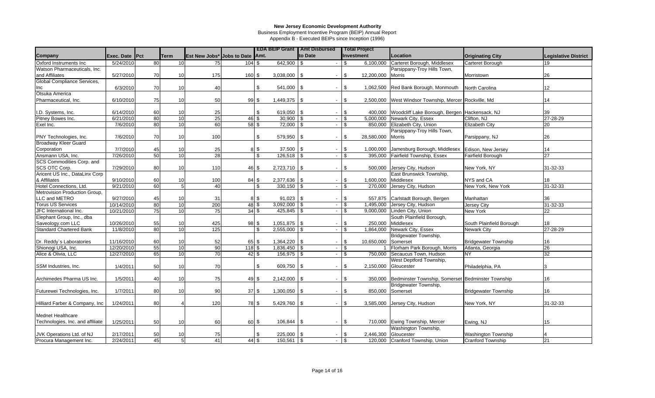Business Employment Incentive Program (BEIP) Annual Report

|                                  |                       |          |                       |                                 |                          |            |                               | <b>EDA BEIP Grant   Amt Disbursed</b> | <b>Total Project</b>                        |                                                                              |                             |                             |
|----------------------------------|-----------------------|----------|-----------------------|---------------------------------|--------------------------|------------|-------------------------------|---------------------------------------|---------------------------------------------|------------------------------------------------------------------------------|-----------------------------|-----------------------------|
| Company                          | Exec. Date Pct        |          | <b>Term</b>           | Est New Jobs* Jobs to Date Amt. |                          |            |                               | to Date                               | Investment                                  | Location                                                                     | <b>Originating City</b>     | <b>Legislative District</b> |
| Oxford Instruments Inc           | 5/24/2010             | 80       | 10                    | 75                              | 104S                     |            | $642,900$ \$                  |                                       | $\mathfrak{L}$<br>6,100,000                 | Carteret Borough, Middlesex                                                  | Carteret Borough            | 19                          |
| Watson Pharmaceuticals, Inc.     |                       |          |                       |                                 |                          |            |                               |                                       |                                             | Parsippany-Troy Hills Town,                                                  |                             |                             |
| and Affiliates                   | 5/27/2010             | 70       | 10                    | 175                             | $160$ \$                 |            | $3,038,000$ \ \$              | $\overline{\phantom{a}}$              | \$<br>12,200,000                            | <b>Morris</b>                                                                | Morristown                  | 26                          |
| Global Compliance Services,      |                       |          |                       |                                 |                          |            |                               |                                       |                                             |                                                                              |                             |                             |
| Inc                              | 6/3/2010              | 70       | 10                    | 40                              |                          | \$         | 541,000 \$                    | $\overline{\phantom{a}}$              | \$<br>1,062,500                             | Red Bank Borough, Monmouth North Carolina                                    |                             | 12                          |
| Otsuka America                   |                       |          |                       |                                 |                          |            |                               |                                       |                                             |                                                                              |                             |                             |
| Pharmaceutical, Inc.             | 6/10/2010             | 75       | 10                    | 50                              | 99S                      |            | $1,449,375$ \\$               | $\blacksquare$                        | \$<br>2,500,000                             | West Windsor Township, Mercer Rockville, Md                                  |                             | 14                          |
|                                  |                       |          |                       |                                 |                          |            |                               |                                       |                                             |                                                                              |                             |                             |
| I.D. Systems, Inc.               | 6/14/2010             | 60       | 10                    | 25                              |                          | \$         | 619,050 \$                    | $\overline{\phantom{a}}$              | \$<br>400.000                               | Woodcliff Lake Borough, Bergen Hackensack, NJ                                |                             | 39                          |
| Pitney Bowes Inc.                | 6/21/2010             | 80       | 10                    | 25                              | $46\overline{\text{ }4}$ |            | $30,900$ \ \$                 |                                       | \$                                          | 5,000,000 Newark City, Essex                                                 | Clifton, NJ                 | 27-28-29                    |
| Exel Inc.                        | 7/6/2010              | 80       | 10                    | 60                              | 58S                      |            | $72,000$ \ \$                 | $\mathcal{L}$                         | 850,000<br>$\mathfrak{L}$                   | Elizabeth City, Union                                                        | <b>Elizabeth City</b>       | 20                          |
|                                  |                       |          |                       |                                 |                          |            |                               |                                       |                                             | Parsippany-Troy Hills Town,                                                  |                             |                             |
| PNY Technologies, Inc.           | 7/6/2010              | 70       | 10                    | 100                             |                          | \$         | 579,950 \$                    | $\blacksquare$                        | 28,580,000<br>\$                            | Morris                                                                       | Parsippany, NJ              | 26                          |
| <b>Broadway Kleer Guard</b>      |                       |          |                       |                                 |                          |            |                               |                                       |                                             |                                                                              |                             |                             |
| Corporation<br>Ansmann USA, Inc. | 7/7/2010<br>7/26/2010 | 45<br>50 | 10<br>$\overline{10}$ | 25<br>28                        |                          | 8 \$<br>\$ | $37,500$ \ \$<br>$126,518$ \$ | $\sim$                                | \$<br>1,000,000<br>$\mathcal{S}$<br>395.000 | Jamesburg Borough, Middlesex Edison, New Jersey<br>Fairfield Township, Essex | <b>Fairfield Borough</b>    | 14<br>$\overline{27}$       |
| SCS Commodities Corp. and        |                       |          |                       |                                 |                          |            |                               |                                       |                                             |                                                                              |                             |                             |
| SCS OTC Corp.                    | 7/29/2010             | 80       | 10                    | 110                             | 46 \$                    |            | $2,723,710$ \$                | $\blacksquare$                        | \$<br>500,000                               | Jersey City, Hudson                                                          | New York, NY                | 31-32-33                    |
| Aricent US Inc., DataLinx Corp   |                       |          |                       |                                 |                          |            |                               |                                       |                                             | East Brunswick Township,                                                     |                             |                             |
| & Affiliates                     | 9/10/2010             | 60       | 10                    | 100                             | $84$ \$                  |            | $2,377,636$ \$                | $\overline{\phantom{a}}$              | \$<br>1,600,000                             | Middlesex                                                                    | NYS and CA                  | 18                          |
| Hotel Connections, Ltd.          | 9/21/2010             | 60       | 5 <sup>1</sup>        | 40                              |                          | \$         | $330,150$ \$                  | $\blacksquare$                        | 270,000<br>\$                               | Jersey City, Hudson                                                          | New York, New York          | 31-32-33                    |
| Metrovision Production Group,    |                       |          |                       |                                 |                          |            |                               |                                       |                                             |                                                                              |                             |                             |
| LLC and METRO                    | 9/27/2010             | 45       | 10                    | 31                              |                          | 8 \$       | $91,023$ \$                   |                                       | \$<br>557,875                               | Carlstadt Borough, Bergen                                                    | Manhattan                   | 36                          |
| <b>Torus US Services</b>         | 10/14/2010            | 80       | 10                    | 200                             | $48$ \$                  |            | $3,092,000$ \$                | $\sim$                                | 1,495,000<br>\$                             | Jersey City, Hudson                                                          | Jersey City                 | 31-32-33                    |
| JFC International Inc.           | 10/21/2010            | 75       | $\overline{10}$       | 75                              | $34$ \$                  |            | $425,845$ \$                  | $\sim$                                | $\mathfrak{S}$<br>9,000,000                 | Linden City, Union                                                           | New York                    | 22                          |
| Elephant Group, Inc., dba        |                       |          |                       |                                 |                          |            |                               |                                       |                                             | South Plainfield Borough,                                                    |                             |                             |
| Saveology.com LLC                | 10/26/2010            | 55       | 10                    | 425                             | 98 \$                    |            | $1,051,875$ \\$               | $\blacksquare$                        | $\mathfrak{s}$<br>250,000                   | Middlesex                                                                    | South Plainfield Borough    | 18                          |
| <b>Standard Chartered Bank</b>   | 11/8/2010             | 80       | 10                    | $\frac{125}{25}$                |                          | \$         | $2,555,000$ \$                | $\blacksquare$                        | \$<br>1,864,000                             | Newark City, Essex                                                           | <b>Newark City</b>          | 27-28-29                    |
|                                  |                       |          |                       |                                 |                          |            |                               |                                       |                                             | Bridgewater Township,                                                        |                             |                             |
| Dr. Reddy's Laboratories         | 11/16/2010            | 60       | 10                    | 52                              | 65 \$                    |            | $1,364,220$ \\$               | $\overline{\phantom{a}}$              | \$<br>10,650,000                            | Somerset                                                                     | <b>Bridgewater Township</b> | 16                          |
| Shionogi USA, Inc.               | 12/20/2010            | 55       | 10                    | 90                              | 118S                     |            | $1,836,450$ \ \$              | $\overline{\phantom{a}}$              | \$                                          | Florham Park Borough, Morris                                                 | Atlanta, Georgia            | 26                          |
| Alice & Olivia, LLC              | 12/27/2010            | 65       | 10                    | 70                              | $42 \,$ \$               |            | $156,975$ \$                  | $\overline{\phantom{a}}$              | \$<br>750,000                               | Secaucus Town, Hudson                                                        | <b>NY</b>                   | 32                          |
|                                  |                       |          |                       |                                 |                          |            |                               |                                       |                                             | West Deptford Township,                                                      |                             |                             |
| SSM Industries, Inc.             | 1/4/2011              | 50       | 10                    | 70                              |                          | \$         | 609,750 \$                    | $\blacksquare$                        | $\mathfrak{s}$<br>2,150,000                 | Gloucester                                                                   | Philadelphia, PA            | 3                           |
|                                  |                       |          |                       |                                 |                          |            |                               |                                       |                                             |                                                                              |                             |                             |
| Archimedes Pharma US Inc.        | 1/5/2011              | 40       | 10                    | 75                              | $49$ \$                  |            | $2,142,000$ \ \$              | $\blacksquare$                        | $\mathfrak{S}$<br>350,000                   | Bedminster Township, Somerset Bedminster Township                            |                             | 16                          |
|                                  |                       |          |                       |                                 |                          |            |                               |                                       |                                             | Bridgewater Township,                                                        |                             |                             |
| Futurewei Technologies, Inc.     | 1/7/2011              | 80       | 10                    | 90                              | 37S                      |            | $1,300,050$ \$                | $\blacksquare$                        | $\mathfrak{S}$<br>850,000                   | Somerset                                                                     | <b>Bridgewater Township</b> | 16                          |
|                                  |                       |          |                       |                                 |                          |            |                               |                                       |                                             |                                                                              |                             |                             |
| Hilliard Farber & Company, Inc.  | 1/24/2011             | 80       |                       | 120                             | 78 \$                    |            | $5,429,760$ \$                | $\blacksquare$                        | \$<br>3,585,000                             | Jersey City, Hudson                                                          | New York, NY                | 31-32-33                    |
|                                  |                       |          |                       |                                 |                          |            |                               |                                       |                                             |                                                                              |                             |                             |
| <b>Mednet Healthcare</b>         |                       |          |                       |                                 |                          |            |                               |                                       |                                             |                                                                              |                             |                             |
| Technologies, Inc. and affiliate | 1/25/2011             | 50       | 10                    | 60                              | 60 \$                    |            | $106,844$ \ \$                | $\overline{\phantom{a}}$              | \$                                          | 710,000 Ewing Township, Mercer                                               | Ewing, NJ                   | 15                          |
| JVK Operations Ltd. of NJ        | 2/17/2011             | 50       | 10                    | 75                              |                          | \$         | 225,000                       | l \$                                  | \$<br>2,446,300                             | Washington Township,<br>Gloucester                                           | <b>Washington Township</b>  |                             |
| Procura Management Inc.          | 2/24/2011             | 45       | 5 <sup>1</sup>        | 41                              | 44S                      |            |                               | $\sim$                                | $\mathfrak{S}$                              | 120,000 Cranford Township, Union                                             | <b>Cranford Township</b>    | 21                          |
|                                  |                       |          |                       |                                 |                          |            |                               |                                       |                                             |                                                                              |                             |                             |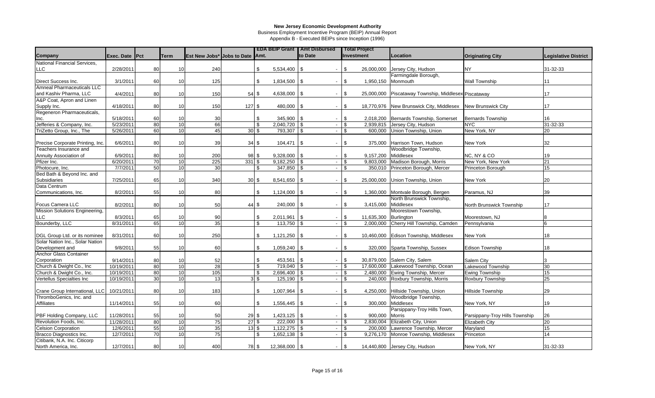Business Employment Incentive Program (BEIP) Annual Report

|                                  |                |                 |                 |                                 |              |                  |                  | <b>EDA BEIP Grant   Amt Disbursed</b> | <b>Total Project</b> |                                                             |                                |                             |
|----------------------------------|----------------|-----------------|-----------------|---------------------------------|--------------|------------------|------------------|---------------------------------------|----------------------|-------------------------------------------------------------|--------------------------------|-----------------------------|
| Company                          | Exec. Date Pct |                 | <b>Term</b>     | Est New Jobs* Jobs to Date Amt. |              |                  |                  | to Date                               | Investment           | Location                                                    | <b>Originating City</b>        | <b>Legislative District</b> |
| National Financial Services,     |                |                 |                 |                                 |              |                  |                  |                                       |                      |                                                             |                                |                             |
| <b>LLC</b>                       | 2/28/2011      | 80              | 10              | 240                             |              | \$               | $5,534,400$ \\$  | $\blacksquare$                        | \$<br>26,000,000     | Jersey City, Hudson                                         | NY.                            | 31-32-33                    |
|                                  |                |                 |                 |                                 |              |                  |                  |                                       |                      | Farmingdale Borough,                                        |                                |                             |
| Direct Success Inc.              | 3/1/2011       | 60              | 10              | 125                             |              | \$               | $1,834,500$ \ \$ | $\overline{\phantom{a}}$              | \$<br>1,950,150      | Monmouth                                                    | <b>Wall Township</b>           | 11                          |
| Amneal Pharmaceuticals LLC       |                |                 |                 |                                 |              |                  |                  |                                       |                      |                                                             |                                |                             |
| and Kashiv Pharma, LLC           | 4/4/2011       | 80              | 10              | 150                             |              | $54$ \$          | $4,638,000$ \\$  | $\blacksquare$                        | \$                   | 25,000,000 Piscataway Township, Middlesex Piscataway        |                                | 17                          |
| A&P Coat, Apron and Linen        |                |                 |                 |                                 |              |                  |                  |                                       |                      |                                                             |                                |                             |
| Supply Inc.                      | 4/18/2011      | 80              | 10              | 150                             | 127S         |                  | 480,000 \$       | $\overline{\phantom{a}}$              | \$                   | 18,770,976 New Brunswick City, Middlesex New Brunswick City |                                | 17                          |
| Regeneron Pharmaceuticals,       |                |                 |                 |                                 |              |                  |                  |                                       |                      |                                                             |                                |                             |
| Inc.                             | 5/18/2011      | 60              | 10              | 30                              |              | \$               | $345,900$ \$     | $\overline{\phantom{a}}$              | \$                   | 2,018,200 Bernards Township, Somerset                       | <b>Bernards Township</b>       | 16                          |
| Jefferies & Company, Inc.        | 5/23/2011      | 80              | 10              | 66                              |              | \$               | $2,040,720$ \$   | $\sim$                                | \$                   | 2,939,815 Jersey City, Hudson                               | NYC.                           | 31-32-33                    |
| TriZetto Group, Inc., The        | 5/26/2011      | 60              | $\overline{10}$ | 45                              | $30\sqrt{3}$ |                  | 793,307          | 1\$<br>$\mathcal{L}$                  | $\mathfrak{L}$       | 600,000 Union Township, Union                               | New York, NY                   | 20                          |
|                                  |                |                 |                 |                                 |              |                  |                  |                                       |                      |                                                             |                                |                             |
| Precise Corporate Printing, Inc. | 6/6/2011       | 80              | 10              | 39                              |              | 34S              | $104,471$ \\$    | $\overline{\phantom{a}}$              | \$                   | 375,000 Harrison Town, Hudson                               | <b>New York</b>                | 32                          |
| Teachers Insurance and           |                |                 |                 |                                 |              |                  |                  |                                       |                      | Woodbridge Township,                                        |                                |                             |
| Annuity Association of           | 6/9/2011       | 80              | 10              | 200                             |              | $98\sqrt{3}$     | $9,328,000$ \ \$ | $\overline{\phantom{a}}$              | \$<br>9,157,200      | Middlesex                                                   | NC, NY & CO                    | 19                          |
| Pfizer Inc.                      | 6/20/2011      | $\overline{70}$ | 10 <sup>1</sup> | 225                             | $331$ \$     |                  |                  | $\blacksquare$                        | \$                   | 9,803,000 Madison Borough, Morris                           | New York, New York             | 21                          |
| Photocure, Inc.                  | 7/7/2011       | 50              | 10 <sup>1</sup> | 30                              |              | \$               | 347,850 \$       | $\mathbf{r}$                          | \$                   | 350,010 Princeton Borough, Mercer                           | Princeton Borough              | 15                          |
| Bed Bath & Beyond Inc. and       |                |                 |                 |                                 |              |                  |                  |                                       |                      |                                                             |                                |                             |
| Subsidiaries                     | 7/25/2011      | 65              | 10              | 340                             | $30\sqrt{3}$ |                  | $8,541,650$ \\$  | $\overline{\phantom{a}}$              | \$                   | 25,000,000 Union Township, Union                            | <b>New York</b>                | 20                          |
| Data Centrum                     |                |                 |                 |                                 |              |                  |                  |                                       |                      |                                                             |                                |                             |
| Communications, Inc.             | 8/2/2011       | 55              | 10              | 80                              |              | \$               |                  | $\overline{\phantom{a}}$              | \$                   | 1,360,000 Montvale Borough, Bergen                          | Paramus, NJ                    | 39                          |
|                                  |                |                 |                 |                                 |              |                  |                  |                                       |                      | North Brunswick Township,                                   |                                |                             |
| Focus Camera LLC                 | 8/2/2011       | 80              | 10              | 50                              |              | $44 \text{ }$ \$ | 240,000 \$       | $\overline{\phantom{a}}$              | \$<br>3,415,000      | Middlesex                                                   | North Brunswick Township       | 17                          |
| Mission Solutions Engineering,   |                |                 |                 |                                 |              |                  |                  |                                       |                      | Moorestown Township,                                        |                                |                             |
| LLC                              | 8/3/2011       | 65              | 10              | 90                              |              | \$               | $2,011,961$ \$   | $\blacksquare$                        | -\$<br>11,635,300    | Burlington                                                  | Moorestown, NJ                 |                             |
| Bounderby, LLC                   | 8/31/2011      | 65              | 10              | 35                              |              | \$               | $113,750$ \$     | $\sim$                                | $\mathfrak{L}$       | 2,000,000 Cherry Hill Township, Camden                      | Pennsylvania                   | <b>I</b> <sub>6</sub>       |
|                                  |                |                 |                 |                                 |              |                  |                  |                                       |                      |                                                             |                                |                             |
| DGL Group Ltd. or its nominee    | 8/31/2011      | 60              | 10              | 250                             |              | \$               |                  | $\sim$                                | \$                   | 10,460,000 Edison Township, Middlesex                       | New York                       | 18                          |
| Solar Nation Inc., Solar Nation  |                |                 |                 |                                 |              |                  |                  |                                       |                      |                                                             |                                |                             |
| Development and                  | 9/8/2011       | 55              | 10              | 60                              |              | \$               | $1,059,240$ \$   | $\blacksquare$                        | $\mathbb{S}$         | 320,000 Sparta Township, Sussex                             | <b>Edison Township</b>         | 18                          |
| Anchor Glass Container           |                |                 |                 |                                 |              |                  |                  |                                       |                      |                                                             |                                |                             |
| Corporation                      | 9/14/2011      | 80              | 10              | 52                              |              | \$               | $453,561$ \$     | $\overline{\phantom{a}}$              | \$                   | 30,879,000 Salem City, Salem                                | <b>Salem City</b>              | 3                           |
| Church & Dwight Co., Inc         | 10/19/2011     | 80              | 10              | $\overline{28}$                 |              | \$               | $719,040$ \$     | $\blacksquare$                        | \$                   | 17,600,000 Lakewood Township, Ocean                         | Lakewood Township              | 30                          |
| Church & Dwight Co., Inc.        | 10/19/2011     | 80              | 10              | 105                             |              | \$               | $2,696,400$ \$   | $\overline{\phantom{a}}$              | \$                   | 2,480,000 Ewing Township, Mercer                            | <b>Ewing Township</b>          | 15                          |
| Vertellus Specialties Inc        | 10/19/2011     | 30              | 10              | 13                              |              | ვ<br>ჭ           | $125,190$ \$     | $\blacksquare$                        | -\$                  | 240,000 Roxbury Township, Morris                            | Roxbury Township               | 25                          |
|                                  |                |                 |                 |                                 |              |                  |                  |                                       |                      |                                                             |                                |                             |
| Crane Group International, LLC   | 10/21/2011     | 80              | 10              | 183                             |              | \$               | $1,007,964$ \$   | $\overline{\phantom{a}}$              | \$                   | 4,250,000 Hillside Township, Union                          | <b>Hillside Township</b>       | 29                          |
| ThromboGenics, Inc. and          |                |                 |                 |                                 |              |                  |                  |                                       |                      | Woodbridge Township,                                        |                                |                             |
| Affiliates                       | 11/14/2011     | 55              | 10              | 60                              |              | \$               | $1,556,445$ \$   | $\overline{\phantom{a}}$              | \$<br>300,000        | Middlesex                                                   | New York, NY                   | 19                          |
|                                  |                |                 |                 |                                 |              |                  |                  |                                       |                      | Parsippany-Troy Hills Town,                                 |                                |                             |
| PBF Holding Company, LLC         | 11/28/2011     | 55              | 10              | 50                              | $29$ \$      |                  | $1,423,125$ \$   | $\overline{\phantom{a}}$              | \$<br>900,000        | <b>Morris</b>                                               | Parsippany-Troy Hills Township | 26                          |
| Revolution Foods, Inc.           | 11/28/2011     | 80              | 10 <sup>1</sup> | 75                              | $27\sqrt{3}$ |                  | $222,000$ \$     | $\blacksquare$                        | \$                   | 2,830,004 Elizabeth City, Union                             | <b>Elizabeth City</b>          | 20                          |
| <b>Celsion Corporation</b>       | 12/6/2011      | 55              | 10              | 35                              | $13\sqrt{3}$ |                  | $1,122,275$ \$   | $\sim$                                | \$                   | 200,000 Lawrence Township, Mercer                           | Maryland                       | 15                          |
| Bracco Diagnostics Inc.          | 12/7/2011      | 70              | 10              | $\overline{75}$                 |              | \$               | $1,652,138$ \$   |                                       | \$                   | 9,276,170 Monroe Township, Middlesex                        | Princeton                      | 14                          |
| Citibank, N.A. Inc. Citicorp     |                |                 |                 |                                 |              |                  |                  |                                       |                      |                                                             |                                |                             |
| North America, Inc.              | 12/7/2011      | 80              | 10              | 400                             |              | 78 \$            | 12,368,000 \$    | $\sim$                                | \$                   | 14,440,800 Jersey City, Hudson                              | New York, NY                   | 31-32-33                    |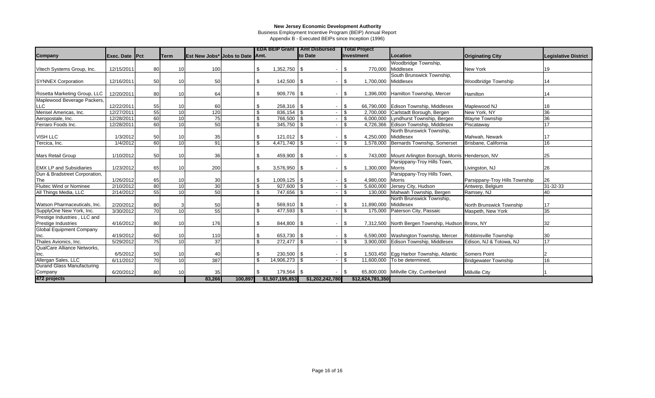Business Employment Incentive Program (BEIP) Annual Report

|                                 |                |                 |                 |                                        |         |     |                  | <b>EDA BEIP Grant   Amt Disbursed</b> |                | <b>Total Project</b> |                                               |                                |                             |
|---------------------------------|----------------|-----------------|-----------------|----------------------------------------|---------|-----|------------------|---------------------------------------|----------------|----------------------|-----------------------------------------------|--------------------------------|-----------------------------|
| Company                         | Exec. Date Pct |                 | <b>ITerm</b>    | <b>Est New Jobs* Jobs to Date Amt.</b> |         |     |                  | <b>Ito Date</b>                       |                | Investment           | Location                                      | <b>Originating City</b>        | <b>Legislative District</b> |
|                                 |                |                 |                 |                                        |         |     |                  |                                       |                |                      | Woodbridge Township,                          |                                |                             |
| Vitech Systems Group, Inc.      | 12/15/2011     | 80              | 10              | 100                                    |         | \$  | $1,352,750$ \\$  |                                       | \$             | 770,000              | Middlesex                                     | <b>New York</b>                | 19                          |
|                                 |                |                 |                 |                                        |         |     |                  |                                       |                |                      | South Brunswick Township,                     |                                |                             |
| <b>SYNNEX Corporation</b>       | 12/16/2011     | 50              | 10              | 50                                     |         | \$  | 142,500 \$       |                                       | $\mathfrak{s}$ | 1,700,000            | Middlesex                                     | <b>Woodbridge Township</b>     | 14                          |
|                                 |                |                 |                 |                                        |         |     |                  |                                       |                |                      |                                               |                                |                             |
| Rosetta Marketing Group, LLC    | 12/20/2011     | 80              | 10              | 64                                     |         | \$  | 909,776 \$       |                                       | \$             |                      | 1,396,000 Hamilton Township, Mercer           | Hamilton                       | 14                          |
| Maplewood Beverage Packers,     |                |                 |                 |                                        |         |     |                  |                                       |                |                      |                                               |                                |                             |
| <b>LLC</b>                      | 12/22/2011     | 55              | 10              | 60                                     |         |     | $258,316$ \$     |                                       | \$             |                      | 66,790,000 Edison Township, Middlesex         | Maplewood NJ                   | 18                          |
| Merisel Americas, Inc.          | 12/27/2011     | 55              | 10              | 120                                    |         | \$  | $836,154$ \$     |                                       | $\mathbf{\$}$  | 2,700,000            | Carlstadt Borough, Bergen                     | New York, NY                   | 36                          |
| Aeropostale, Inc.               | 12/28/2011     | 60              | 10              | 75                                     |         | \$  | 766,500 \$       |                                       | \$             | 6,000,000            | Lyndhurst Township, Bergen                    | <b>Wayne Township</b>          | 36                          |
| Ferraro Foods Inc.              | 12/28/2011     | 60              | 10              | 50                                     |         | \$  | 345,750 \$       |                                       | \$             | 4,726,366            | Edison Township, Middlesex                    | Piscataway                     | 17                          |
|                                 |                |                 |                 |                                        |         |     |                  |                                       |                |                      | North Brunswick Township,                     |                                |                             |
| VISH LLC                        | 1/3/2012       | 50              | 10              | 35                                     |         | \$  | $121,012$ \$     |                                       | \$             | 4,250,000            | Middlesex                                     | Mahwah, Newark                 | 17                          |
| Tercica, Inc.                   | 1/4/2012       | 60              | 10              | 91                                     |         | \$. | $4.471.740$ \\$  |                                       | \$             | 1.578.000            | Bernards Township, Somerset                   | Brisbane, California           | 16                          |
|                                 |                |                 |                 |                                        |         |     |                  |                                       |                |                      |                                               |                                |                             |
| <b>Mars Retail Group</b>        | 1/10/2012      | 50              | 10              | 36                                     |         | \$  | 459,900 \$       | $\blacksquare$                        | \$             | 743,000              | Mount Arlington Borough, Morris Henderson, NV |                                | 25                          |
|                                 |                |                 |                 |                                        |         |     |                  |                                       |                |                      | Parsippany-Troy Hills Town,                   |                                |                             |
| <b>EMX LP and Subsidiaries</b>  | 1/23/2012      | 65              | 10              | 200                                    |         | \$  | $3,576,950$ \ \$ | $\blacksquare$                        | \$             | 1,300,000            | <b>Morris</b>                                 | Livingston, NJ                 | 26                          |
| Dun & Bradstreet Corporation,   |                |                 |                 |                                        |         |     |                  |                                       |                |                      | Parsippany-Troy Hills Town,                   |                                |                             |
| The                             | 1/26/2012      | 65              | 10              | 30                                     |         | \$  | $1,009,125$ \\$  |                                       | \$             | 4.980.000            | <b>Morris</b>                                 | Parsippany-Troy Hills Township | 26                          |
| Fluitec Wind or Nominee         | 2/10/2012      | 80              | 10              | 30                                     |         | \$  | 927,600 \$       | $\overline{\phantom{a}}$              | \$             | 5,600,000            | Jersey City, Hudson                           | Antwerp, Belgium               | 31-32-33                    |
| All Things Media, LLC           | 2/14/2012      | 55              | 10              | 50                                     |         | \$  | 747,656 \$       |                                       | \$             | 130,000              | Mahwah Township, Bergen                       | Ramsey, NJ                     | 40                          |
|                                 |                |                 |                 |                                        |         |     |                  |                                       |                |                      | North Brunswick Township,                     |                                |                             |
| Watson Pharmaceuticals, Inc.    | 2/20/2012      | 80              |                 | 50                                     |         |     | $569,910$ \$     |                                       | \$             | 11,890,000           | Middlesex                                     | North Brunswick Township       | 17                          |
| SupplyOne New York, Inc.        | 3/30/2012      | 70              | 10              | 55                                     |         | \$. | 477,593 \$       |                                       | $\mathfrak{L}$ | 175,000              | Paterson City, Passaic                        | Maspeth, New York              | 35                          |
| Prestige Industries, LLC and    |                |                 |                 |                                        |         |     |                  |                                       |                |                      |                                               |                                |                             |
| Prestige Industries             | 4/16/2012      | 80              | 10              | 176                                    |         | \$  | 844,800 \$       | $\overline{\phantom{a}}$              | \$             | 7,312,500            | North Bergen Township, Hudson Bronx, NY       |                                | 32                          |
| <b>Global Equipment Company</b> |                |                 |                 |                                        |         |     |                  |                                       |                |                      |                                               |                                |                             |
| Inc.                            | 4/19/2012      | 60              | 10              | 110                                    |         | \$  | 653,730 \$       |                                       | \$             |                      | 6,590,000 Washington Township, Mercer         | Robbinsville Township          | 30                          |
| Thales Avionics, Inc.           | 5/29/2012      | 75              | $\overline{10}$ | 37                                     |         | \$. | 272,477 \$       |                                       | \$             | 3,900,000            | Edison Township, Middlesex                    | Edison, NJ & Totowa, NJ        | 17                          |
| QualCare Alliance Networks,     |                |                 |                 |                                        |         |     |                  |                                       |                |                      |                                               |                                |                             |
| Inc.                            | 6/5/2012       | 50              | 10              | 40                                     |         |     | 230,500 \$       |                                       | \$             |                      | 1,503,450 Egg Harbor Township, Atlantic       | <b>Somers Point</b>            |                             |
| Allergan Sales, LLC             | 6/11/2012      | $\overline{70}$ | 10              | 387                                    |         |     | 14,906,273       |                                       | $\mathbf{\$}$  | 11,600,000           | To be determined,                             | <b>Bridgewater Township</b>    | 16                          |
| Durand Glass Manufacturing      |                |                 |                 |                                        |         |     |                  |                                       |                |                      |                                               |                                |                             |
| Company                         | 6/20/2012      | 80              | 10              | 35                                     |         |     | 179,564 \$       |                                       |                |                      | 65,800,000 Millville City, Cumberland         | <b>Millville City</b>          |                             |
| 472 projects                    |                |                 |                 | 83,266                                 | 100,897 |     | \$1,507,195,853  | \$1,202,242,780                       |                | \$12,624,781,350     |                                               |                                |                             |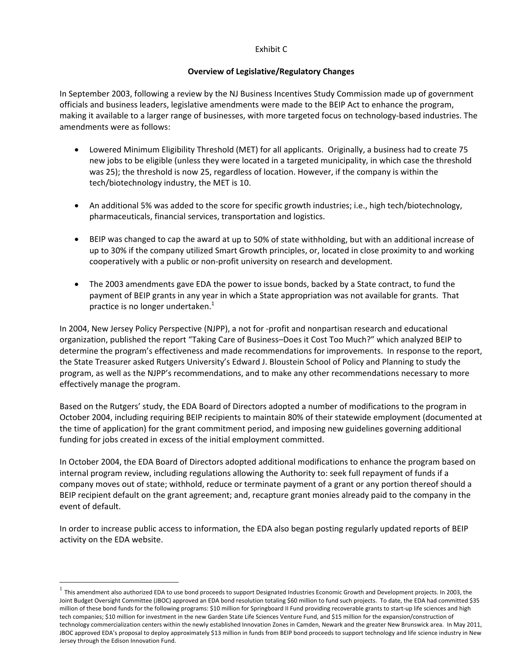### Exhibit C

### **Overview of Legislative/Regulatory Changes**

In September 2003, following a review by the NJ Business Incentives Study Commission made up of government officials and business leaders, legislative amendments were made to the BEIP Act to enhance the program, making it available to a larger range of businesses, with more targeted focus on technology‐based industries. The amendments were as follows:

- Lowered Minimum Eligibility Threshold (MET) for all applicants. Originally, a business had to create 75 new jobs to be eligible (unless they were located in a targeted municipality, in which case the threshold was 25); the threshold is now 25, regardless of location. However, if the company is within the tech/biotechnology industry, the MET is 10.
- An additional 5% was added to the score for specific growth industries; i.e., high tech/biotechnology, pharmaceuticals, financial services, transportation and logistics.
- BEIP was changed to cap the award at up to 50% of state withholding, but with an additional increase of up to 30% if the company utilized Smart Growth principles, or, located in close proximity to and working cooperatively with a public or non‐profit university on research and development.
- The 2003 amendments gave EDA the power to issue bonds, backed by a State contract, to fund the payment of BEIP grants in any year in which a State appropriation was not available for grants. That practice is no longer undertaken.<sup>1</sup>

In 2004, New Jersey Policy Perspective (NJPP), a not for ‐profit and nonpartisan research and educational organization, published the report "Taking Care of Business–Does it Cost Too Much?" which analyzed BEIP to determine the program's effectiveness and made recommendations for improvements. In response to the report, the State Treasurer asked Rutgers University's Edward J. Bloustein School of Policy and Planning to study the program, as well as the NJPP's recommendations, and to make any other recommendations necessary to more effectively manage the program.

Based on the Rutgers' study, the EDA Board of Directors adopted a number of modifications to the program in October 2004, including requiring BEIP recipients to maintain 80% of their statewide employment (documented at the time of application) for the grant commitment period, and imposing new guidelines governing additional funding for jobs created in excess of the initial employment committed.

In October 2004, the EDA Board of Directors adopted additional modifications to enhance the program based on internal program review, including regulations allowing the Authority to: seek full repayment of funds if a company moves out of state; withhold, reduce or terminate payment of a grant or any portion thereof should a BEIP recipient default on the grant agreement; and, recapture grant monies already paid to the company in the event of default.

In order to increase public access to information, the EDA also began posting regularly updated reports of BEIP activity on the EDA website.

 $\overline{a}$ 

 $<sup>1</sup>$  This amendment also authorized EDA to use bond proceeds to support Designated Industries Economic Growth and Development projects. In 2003, the</sup> Joint Budget Oversight Committee (JBOC) approved an EDA bond resolution totaling \$60 million to fund such projects. To date, the EDA had committed \$35 million of these bond funds for the following programs: \$10 million for Springboard II Fund providing recoverable grants to start-up life sciences and high tech companies; \$10 million for investment in the new Garden State Life Sciences Venture Fund, and \$15 million for the expansion/construction of technology commercialization centers within the newly established Innovation Zones in Camden, Newark and the greater New Brunswick area. In May 2011, JBOC approved EDA's proposal to deploy approximately \$13 million in funds from BEIP bond proceeds to support technology and life science industry in New Jersey through the Edison Innovation Fund.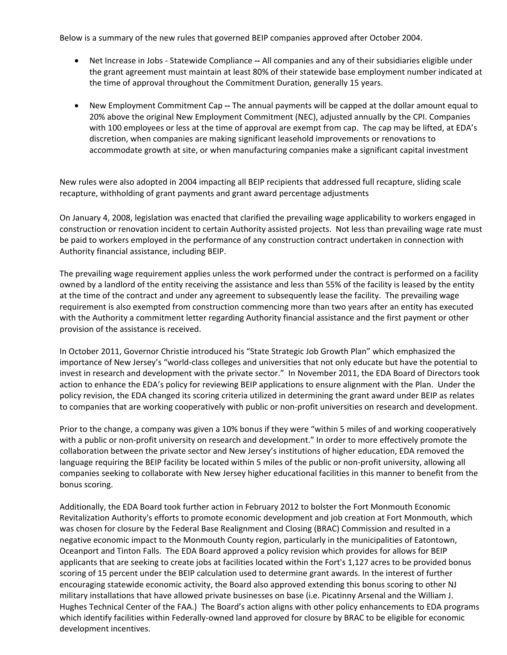Below is a summary of the new rules that governed BEIP companies approved after October 2004.

- Net Increase in Jobs ‐ Statewide Compliance **‐‐** All companies and any of their subsidiaries eligible under the grant agreement must maintain at least 80% of their statewide base employment number indicated at the time of approval throughout the Commitment Duration, generally 15 years.
- New Employment Commitment Cap **‐‐** The annual payments will be capped at the dollar amount equal to 20% above the original New Employment Commitment (NEC), adjusted annually by the CPI. Companies with 100 employees or less at the time of approval are exempt from cap. The cap may be lifted, at EDA's discretion, when companies are making significant leasehold improvements or renovations to accommodate growth at site, or when manufacturing companies make a significant capital investment

New rules were also adopted in 2004 impacting all BEIP recipients that addressed full recapture, sliding scale recapture, withholding of grant payments and grant award percentage adjustments

On January 4, 2008, legislation was enacted that clarified the prevailing wage applicability to workers engaged in construction or renovation incident to certain Authority assisted projects. Not less than prevailing wage rate must be paid to workers employed in the performance of any construction contract undertaken in connection with Authority financial assistance, including BEIP.

The prevailing wage requirement applies unless the work performed under the contract is performed on a facility owned by a landlord of the entity receiving the assistance and less than 55% of the facility is leased by the entity at the time of the contract and under any agreement to subsequently lease the facility. The prevailing wage requirement is also exempted from construction commencing more than two years after an entity has executed with the Authority a commitment letter regarding Authority financial assistance and the first payment or other provision of the assistance is received.

In October 2011, Governor Christie introduced his "State Strategic Job Growth Plan" which emphasized the importance of New Jersey's "world‐class colleges and universities that not only educate but have the potential to invest in research and development with the private sector." In November 2011, the EDA Board of Directors took action to enhance the EDA's policy for reviewing BEIP applications to ensure alignment with the Plan. Under the policy revision, the EDA changed its scoring criteria utilized in determining the grant award under BEIP as relates to companies that are working cooperatively with public or non‐profit universities on research and development.

Prior to the change, a company was given a 10% bonus if they were "within 5 miles of and working cooperatively with a public or non‐profit university on research and development." In order to more effectively promote the collaboration between the private sector and New Jersey's institutions of higher education, EDA removed the language requiring the BEIP facility be located within 5 miles of the public or non‐profit university, allowing all companies seeking to collaborate with New Jersey higher educational facilities in this manner to benefit from the bonus scoring.

Additionally, the EDA Board took further action in February 2012 to bolster the Fort Monmouth Economic Revitalization Authority's efforts to promote economic development and job creation at Fort Monmouth, which was chosen for closure by the Federal Base Realignment and Closing (BRAC) Commission and resulted in a negative economic impact to the Monmouth County region, particularly in the municipalities of Eatontown, Oceanport and Tinton Falls. The EDA Board approved a policy revision which provides for allows for BEIP applicants that are seeking to create jobs at facilities located within the Fort's 1,127 acres to be provided bonus scoring of 15 percent under the BEIP calculation used to determine grant awards. In the interest of further encouraging statewide economic activity, the Board also approved extending this bonus scoring to other NJ military installations that have allowed private businesses on base (i.e. Picatinny Arsenal and the William J. Hughes Technical Center of the FAA.) The Board's action aligns with other policy enhancements to EDA programs which identify facilities within Federally-owned land approved for closure by BRAC to be eligible for economic development incentives.